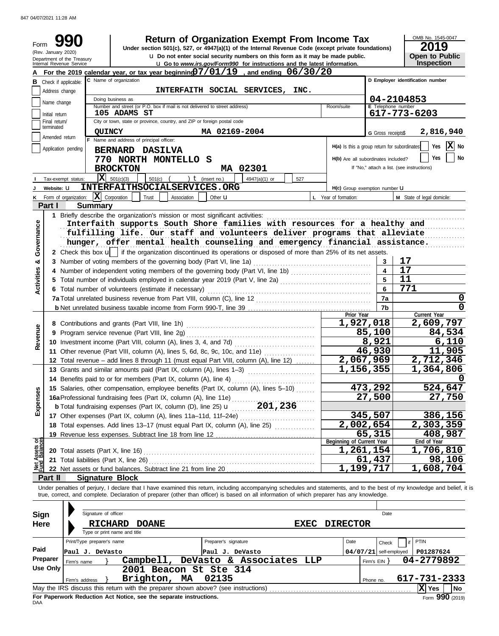847 04/07/2021 11:28 AM

|                                 | <b>Return of Organization Exempt From Income Tax</b>                                                                                                                                                                              |                                              |                          | OMB No. 1545-0047                          |
|---------------------------------|-----------------------------------------------------------------------------------------------------------------------------------------------------------------------------------------------------------------------------------|----------------------------------------------|--------------------------|--------------------------------------------|
| Form<br>(Rev. January 2020)     | Under section 501(c), 527, or 4947(a)(1) of the Internal Revenue Code (except private foundations)                                                                                                                                |                                              |                          | 2019                                       |
|                                 | <b>u</b> Do not enter social security numbers on this form as it may be made public.<br>Department of the Treasury<br>Internal Revenue Service<br><b>u</b> Go to www.irs.gov/Form990 for instructions and the latest information. |                                              |                          | Open to Public<br>Inspection               |
|                                 | For the 2019 calendar year, or tax year beginning $07/01/19$ , and ending $06/30/20$                                                                                                                                              |                                              |                          |                                            |
| <b>B</b> Check if applicable:   | C Name of organization                                                                                                                                                                                                            |                                              |                          | D Employer identification number           |
| Address change                  | INTERFAITH SOCIAL SERVICES, INC.                                                                                                                                                                                                  |                                              |                          |                                            |
| Name change                     | Doing business as                                                                                                                                                                                                                 |                                              |                          | 04-2104853                                 |
|                                 | Number and street (or P.O. box if mail is not delivered to street address)<br>105 ADAMS ST                                                                                                                                        | Room/suite                                   | E Telephone number       | 617-773-6203                               |
| Initial return<br>Final return/ | City or town, state or province, country, and ZIP or foreign postal code                                                                                                                                                          |                                              |                          |                                            |
| terminated                      | MA 02169-2004<br><b>QUINCY</b>                                                                                                                                                                                                    |                                              | G Gross receipts\$       | 2,816,940                                  |
| Amended return                  | F Name and address of principal officer:                                                                                                                                                                                          |                                              |                          |                                            |
|                                 | Application pending<br><b>BERNARD DASILVA</b>                                                                                                                                                                                     | H(a) Is this a group return for subordinates |                          | $ \mathbf{X} $ No<br>Yes                   |
|                                 | 770 NORTH MONTELLO S                                                                                                                                                                                                              | H(b) Are all subordinates included?          |                          | Yes<br>No                                  |
|                                 | MA 02301<br><b>BROCKTON</b>                                                                                                                                                                                                       |                                              |                          | If "No," attach a list. (see instructions) |
|                                 | $\overline{\mathbf{X}}$ 501(c)(3)<br>) $t$ (insert no.)<br>$501(c)$ (<br>4947(a)(1) or<br>527<br>Tax-exempt status:                                                                                                               |                                              |                          |                                            |
| Website: U                      | INTERFAITHSOCIALSERVICES.ORG                                                                                                                                                                                                      | H(c) Group exemption number U                |                          |                                            |
|                                 | $\mathbf{X}$ Corporation<br>Form of organization:<br>Trust<br>Association<br>Other $\mathbf u$                                                                                                                                    | L Year of formation:                         |                          | M State of legal domicile:                 |
| Part I                          | <b>Summary</b>                                                                                                                                                                                                                    |                                              |                          |                                            |
|                                 | 1 Briefly describe the organization's mission or most significant activities:                                                                                                                                                     |                                              |                          |                                            |
| Governance                      | Interfaith supports South Shore families with resources for a healthy and                                                                                                                                                         |                                              |                          |                                            |
|                                 | fulfilling life. Our staff and volunteers deliver programs that alleviate<br>hunger, offer mental health counseling and emergency financial assistance.                                                                           |                                              |                          |                                            |
|                                 | 2 Check this box $\mathbf{u}$   if the organization discontinued its operations or disposed of more than 25% of its net assets.                                                                                                   |                                              |                          |                                            |
| න්                              | 3 Number of voting members of the governing body (Part VI, line 1a)                                                                                                                                                               |                                              | 3                        | 17                                         |
|                                 | 4 Number of independent voting members of the governing body (Part VI, line 1b)                                                                                                                                                   |                                              | $\overline{\mathbf{4}}$  | 17                                         |
|                                 |                                                                                                                                                                                                                                   |                                              | 5                        | 11                                         |
| <b>Activities</b>               | 6 Total number of volunteers (estimate if necessary)                                                                                                                                                                              |                                              | 6                        | 771                                        |
|                                 |                                                                                                                                                                                                                                   |                                              | 7a                       | 0                                          |
|                                 |                                                                                                                                                                                                                                   |                                              | 7 <sub>b</sub>           | $\mathbf 0$                                |
|                                 |                                                                                                                                                                                                                                   | Prior Year                                   |                          | Current Year                               |
|                                 |                                                                                                                                                                                                                                   | 1,927,018                                    |                          | 2,609,797                                  |
| Revenue                         |                                                                                                                                                                                                                                   |                                              | 85,100                   | 84,534                                     |
|                                 |                                                                                                                                                                                                                                   |                                              | 8,921<br>46,930          | 6,110<br>11,905                            |
|                                 | 11 Other revenue (Part VIII, column (A), lines 5, 6d, 8c, 9c, 10c, and 11e)<br>12 Total revenue - add lines 8 through 11 (must equal Part VIII, column (A), line 12)                                                              | 2,067,969                                    |                          | 2,712,346                                  |
|                                 | 13 Grants and similar amounts paid (Part IX, column (A), lines 1-3)                                                                                                                                                               | 1,156,355                                    |                          | 1,364,806                                  |
|                                 |                                                                                                                                                                                                                                   |                                              |                          | $\mathbf 0$                                |
|                                 | 15 Salaries, other compensation, employee benefits (Part IX, column (A), lines 5-10)                                                                                                                                              |                                              | 473,292                  | 524,647                                    |
| Expenses                        | 16a Professional fundraising fees (Part IX, column (A), line 11e)                                                                                                                                                                 |                                              | 27,500                   | 27,750                                     |
|                                 | <b>b</b> Total fundraising expenses (Part IX, column (D), line 25) $\mathbf{u}$ 201, 236                                                                                                                                          |                                              |                          |                                            |
|                                 |                                                                                                                                                                                                                                   |                                              | 345,507                  | 386,156                                    |
|                                 | 18 Total expenses. Add lines 13-17 (must equal Part IX, column (A), line 25)                                                                                                                                                      | 2,002,654                                    |                          | 2,303,359                                  |
|                                 |                                                                                                                                                                                                                                   |                                              | 65,315                   | 408,987                                    |
| Assets or                       |                                                                                                                                                                                                                                   | Beginning of Current Year                    |                          | End of Year                                |
|                                 | 20 Total assets (Part X, line 16)                                                                                                                                                                                                 | 1,261,154                                    | 61,437                   | <u>1,706,810</u><br>98,106                 |
|                                 | 21 Total liabilities (Part X, line 26)                                                                                                                                                                                            | 1,199,717                                    |                          | 1,608,704                                  |
| Part II                         | <b>Signature Block</b>                                                                                                                                                                                                            |                                              |                          |                                            |
|                                 | Under penalties of perjury, I declare that I have examined this return, including accompanying schedules and statements, and to the best of my knowledge and belief, it is                                                        |                                              |                          |                                            |
|                                 | true, correct, and complete. Declaration of preparer (other than officer) is based on all information of which preparer has any knowledge.                                                                                        |                                              |                          |                                            |
|                                 |                                                                                                                                                                                                                                   |                                              |                          |                                            |
| <b>Sign</b>                     | Signature of officer                                                                                                                                                                                                              |                                              | Date                     |                                            |
| Here                            | <b>RICHARD</b><br><b>DOANE</b><br><b>EXEC</b>                                                                                                                                                                                     | <b>DIRECTOR</b>                              |                          |                                            |
|                                 | Type or print name and title                                                                                                                                                                                                      |                                              |                          |                                            |
|                                 | Print/Type preparer's name<br>Preparer's signature                                                                                                                                                                                | Date                                         | Check                    | PTIN<br>if                                 |
| Paid                            | Paul J. DeVasto<br>Paul J. DeVasto                                                                                                                                                                                                |                                              | $04/07/21$ self-employed | P01287624                                  |
| Preparer                        | Campbell,<br>DeVasto & Associates<br>LLP<br>Firm's name                                                                                                                                                                           |                                              | Firm's $EIN$ }           | 04-2779892                                 |
| <b>Use Only</b>                 | 2001 Beacon St Ste 314                                                                                                                                                                                                            |                                              |                          |                                            |
|                                 | 02135<br>Brighton, MA<br>Firm's address                                                                                                                                                                                           |                                              | Phone no.                | 617-731-2333                               |
|                                 | May the IRS discuss this return with the preparer shown above? (see instructions)                                                                                                                                                 |                                              |                          | X Yes<br><b>No</b>                         |

| Use Only<br>2001 Beacon St Ste 314                                                |           |              |                   |
|-----------------------------------------------------------------------------------|-----------|--------------|-------------------|
| Brighton, MA 02135<br>Firm's address                                              | Phone no. | 617-731-2333 |                   |
| May the IRS discuss this return with the preparer shown above? (see instructions) |           | Yes          | <b>No</b>         |
| For Paperwork Reduction Act Notice, see the separate instructions.<br>DAA         |           |              | Form $990$ (2019) |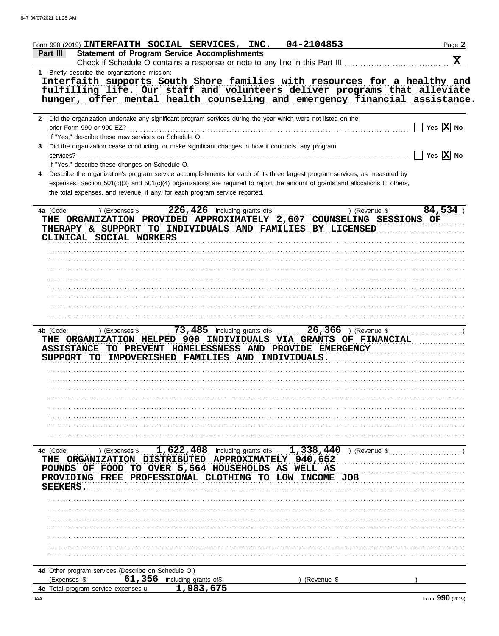| 04-2104853<br>Form 990 (2019) INTERFAITH SOCIAL SERVICES, INC.                                                                                                                                                                                               | Page 2                                                |
|--------------------------------------------------------------------------------------------------------------------------------------------------------------------------------------------------------------------------------------------------------------|-------------------------------------------------------|
| <b>Statement of Program Service Accomplishments</b><br>Part III                                                                                                                                                                                              |                                                       |
|                                                                                                                                                                                                                                                              | $\mathbf{X}$                                          |
| 1 Briefly describe the organization's mission:<br>Interfaith supports South Shore families with resources for a healthy and                                                                                                                                  |                                                       |
| fulfilling life. Our staff and volunteers deliver programs that alleviate                                                                                                                                                                                    |                                                       |
| hunger, offer mental health counseling and emergency financial assistance                                                                                                                                                                                    |                                                       |
|                                                                                                                                                                                                                                                              |                                                       |
| 2 Did the organization undertake any significant program services during the year which were not listed on the                                                                                                                                               | Yes $\overline{X}$ No                                 |
| If "Yes," describe these new services on Schedule O.                                                                                                                                                                                                         |                                                       |
| Did the organization cease conducting, or make significant changes in how it conducts, any program<br>3                                                                                                                                                      |                                                       |
|                                                                                                                                                                                                                                                              | $\overline{\phantom{a}}$ Yes $\overline{\text{X}}$ No |
| If "Yes," describe these changes on Schedule O.                                                                                                                                                                                                              |                                                       |
| Describe the organization's program service accomplishments for each of its three largest program services, as measured by<br>expenses. Section 501(c)(3) and 501(c)(4) organizations are required to report the amount of grants and allocations to others, |                                                       |
| the total expenses, and revenue, if any, for each program service reported.                                                                                                                                                                                  |                                                       |
|                                                                                                                                                                                                                                                              |                                                       |
| ) (Expenses \$ $226,426$ including grants of \$<br>) (Revenue \$<br>4a (Code:                                                                                                                                                                                | 84,534                                                |
| THE ORGANIZATION PROVIDED APPROXIMATELY 2,607 COUNSELING SESSIONS OF<br>THERAPY & SUPPORT TO INDIVIDUALS AND FAMILIES BY LICENSED                                                                                                                            |                                                       |
| CLINICAL SOCIAL WORKERS                                                                                                                                                                                                                                      |                                                       |
|                                                                                                                                                                                                                                                              |                                                       |
|                                                                                                                                                                                                                                                              |                                                       |
|                                                                                                                                                                                                                                                              |                                                       |
|                                                                                                                                                                                                                                                              |                                                       |
|                                                                                                                                                                                                                                                              |                                                       |
|                                                                                                                                                                                                                                                              |                                                       |
|                                                                                                                                                                                                                                                              |                                                       |
|                                                                                                                                                                                                                                                              |                                                       |
| 4b (Code:<br>THE ORGANIZATION HELPED 900 INDIVIDUALS VIA GRANTS OF FINANCIAL                                                                                                                                                                                 |                                                       |
| ASSISTANCE TO PREVENT HOMELESSNESS AND PROVIDE EMERGENCY                                                                                                                                                                                                     |                                                       |
| SUPPORT TO IMPOVERISHED FAMILIES AND INDIVIDUALS.                                                                                                                                                                                                            |                                                       |
|                                                                                                                                                                                                                                                              |                                                       |
|                                                                                                                                                                                                                                                              |                                                       |
|                                                                                                                                                                                                                                                              |                                                       |
|                                                                                                                                                                                                                                                              |                                                       |
|                                                                                                                                                                                                                                                              |                                                       |
|                                                                                                                                                                                                                                                              |                                                       |
|                                                                                                                                                                                                                                                              |                                                       |
| ) (Expenses \$ $1,622,408$ including grants of \$ $1,338,440$ ) (Revenue \$<br>4c (Code:                                                                                                                                                                     |                                                       |
| ORGANIZATION DISTRIBUTED APPROXIMATELY 940,652<br>THE                                                                                                                                                                                                        |                                                       |
| POUNDS OF FOOD TO OVER 5,564 HOUSEHOLDS AS WELL AS                                                                                                                                                                                                           |                                                       |
| PROVIDING FREE PROFESSIONAL CLOTHING<br>TO LOW INCOME JOB                                                                                                                                                                                                    |                                                       |
| <b>SEEKERS.</b>                                                                                                                                                                                                                                              |                                                       |
|                                                                                                                                                                                                                                                              |                                                       |
|                                                                                                                                                                                                                                                              |                                                       |
|                                                                                                                                                                                                                                                              |                                                       |
|                                                                                                                                                                                                                                                              |                                                       |
|                                                                                                                                                                                                                                                              |                                                       |
|                                                                                                                                                                                                                                                              |                                                       |
| 4d Other program services (Describe on Schedule O.)                                                                                                                                                                                                          |                                                       |
| 61,356<br>(Expenses \$<br>including grants of\$<br>(Revenue \$                                                                                                                                                                                               |                                                       |
| 1,983,675<br>4e Total program service expenses u                                                                                                                                                                                                             |                                                       |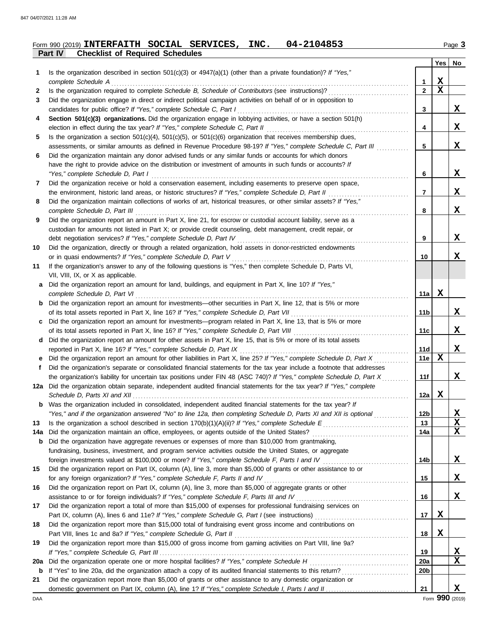|                | Form 990 (2019) INTERFAITH SOCIAL SERVICES, |  | INC. | 04-2104853 | Page $3$ |
|----------------|---------------------------------------------|--|------|------------|----------|
| <b>Part IV</b> | <b>Checklist of Required Schedules</b>      |  |      |            |          |

|     |                                                                                                                                               |                 | Yes         | No          |
|-----|-----------------------------------------------------------------------------------------------------------------------------------------------|-----------------|-------------|-------------|
|     | Is the organization described in section $501(c)(3)$ or $4947(a)(1)$ (other than a private foundation)? If "Yes,"                             |                 |             |             |
|     | complete Schedule A                                                                                                                           | 1               | X           |             |
| 2   | Is the organization required to complete Schedule B, Schedule of Contributors (see instructions)?                                             | $\mathbf{2}$    | $\mathbf X$ |             |
| 3   | Did the organization engage in direct or indirect political campaign activities on behalf of or in opposition to                              |                 |             |             |
|     | candidates for public office? If "Yes," complete Schedule C, Part I                                                                           | 3               |             | X           |
| 4   | Section 501(c)(3) organizations. Did the organization engage in lobbying activities, or have a section 501(h)                                 |                 |             |             |
|     |                                                                                                                                               | 4               |             | X           |
| 5   | Is the organization a section $501(c)(4)$ , $501(c)(5)$ , or $501(c)(6)$ organization that receives membership dues,                          |                 |             |             |
|     | assessments, or similar amounts as defined in Revenue Procedure 98-19? If "Yes," complete Schedule C, Part III                                | 5               |             | X           |
| 6   | Did the organization maintain any donor advised funds or any similar funds or accounts for which donors                                       |                 |             |             |
|     | have the right to provide advice on the distribution or investment of amounts in such funds or accounts? If                                   |                 |             |             |
|     | "Yes," complete Schedule D, Part I                                                                                                            | 6               |             | X           |
| 7   | Did the organization receive or hold a conservation easement, including easements to preserve open space,                                     |                 |             |             |
|     | the environment, historic land areas, or historic structures? If "Yes," complete Schedule D, Part II                                          | $\overline{7}$  |             | X           |
| 8   | Did the organization maintain collections of works of art, historical treasures, or other similar assets? If "Yes,"                           |                 |             |             |
|     | complete Schedule D, Part III                                                                                                                 | 8               |             | X           |
| 9   | Did the organization report an amount in Part X, line 21, for escrow or custodial account liability, serve as a                               |                 |             |             |
|     | custodian for amounts not listed in Part X; or provide credit counseling, debt management, credit repair, or                                  |                 |             |             |
|     | debt negotiation services? If "Yes," complete Schedule D, Part IV                                                                             | 9               |             | X           |
| 10  | Did the organization, directly or through a related organization, hold assets in donor-restricted endowments                                  |                 |             |             |
|     | or in quasi endowments? If "Yes," complete Schedule D, Part V                                                                                 | 10              |             | X           |
| 11  | If the organization's answer to any of the following questions is "Yes," then complete Schedule D, Parts VI,                                  |                 |             |             |
|     | VII, VIII, IX, or X as applicable.                                                                                                            |                 |             |             |
| a   | Did the organization report an amount for land, buildings, and equipment in Part X, line 10? If "Yes,"                                        | 11a             | X           |             |
| b   | complete Schedule D, Part VI<br>Did the organization report an amount for investments—other securities in Part X, line 12, that is 5% or more |                 |             |             |
|     |                                                                                                                                               | 11b             |             | X           |
| c   | Did the organization report an amount for investments—program related in Part X, line 13, that is 5% or more                                  |                 |             |             |
|     |                                                                                                                                               | 11c             |             | X           |
| d   | Did the organization report an amount for other assets in Part X, line 15, that is 5% or more of its total assets                             |                 |             |             |
|     | reported in Part X, line 16? If "Yes," complete Schedule D, Part IX                                                                           | 11d             |             | X           |
|     | Did the organization report an amount for other liabilities in Part X, line 25? If "Yes," complete Schedule D, Part X                         | <b>11e</b>      | X           |             |
| f   | Did the organization's separate or consolidated financial statements for the tax year include a footnote that addresses                       |                 |             |             |
|     | the organization's liability for uncertain tax positions under FIN 48 (ASC 740)? If "Yes," complete Schedule D, Part X                        | 11f             |             | X           |
|     | 12a Did the organization obtain separate, independent audited financial statements for the tax year? If "Yes," complete                       |                 |             |             |
|     |                                                                                                                                               | 12a             | X           |             |
|     | Was the organization included in consolidated, independent audited financial statements for the tax year? If                                  |                 |             |             |
|     | "Yes," and if the organization answered "No" to line 12a, then completing Schedule D, Parts XI and XII is optional                            | 12 <sub>b</sub> |             | X           |
| 13  |                                                                                                                                               | 13              |             | $\mathbf X$ |
| 14a | Did the organization maintain an office, employees, or agents outside of the United States?                                                   | 14a             |             | $\mathbf X$ |
| b   | Did the organization have aggregate revenues or expenses of more than \$10,000 from grantmaking,                                              |                 |             |             |
|     | fundraising, business, investment, and program service activities outside the United States, or aggregate                                     |                 |             |             |
|     |                                                                                                                                               | 14b             |             | X           |
| 15  | Did the organization report on Part IX, column (A), line 3, more than \$5,000 of grants or other assistance to or                             |                 |             |             |
|     | for any foreign organization? If "Yes," complete Schedule F, Parts II and IV                                                                  | 15              |             | X           |
| 16  | Did the organization report on Part IX, column (A), line 3, more than \$5,000 of aggregate grants or other                                    |                 |             |             |
|     |                                                                                                                                               | 16              |             | X           |
| 17  | Did the organization report a total of more than \$15,000 of expenses for professional fundraising services on                                |                 |             |             |
|     |                                                                                                                                               | 17              | X           |             |
| 18  | Did the organization report more than \$15,000 total of fundraising event gross income and contributions on                                   |                 |             |             |
|     | Part VIII, lines 1c and 8a? If "Yes," complete Schedule G, Part II                                                                            | 18              | X           |             |
| 19  | Did the organization report more than \$15,000 of gross income from gaming activities on Part VIII, line 9a?                                  |                 |             |             |
|     |                                                                                                                                               | 19              |             | X           |
| 20a | Did the organization operate one or more hospital facilities? If "Yes," complete Schedule H                                                   | 20a             |             | X           |
| b   |                                                                                                                                               | 20 <sub>b</sub> |             |             |
| 21  | Did the organization report more than \$5,000 of grants or other assistance to any domestic organization or                                   |                 |             |             |
|     |                                                                                                                                               | 21              |             | X           |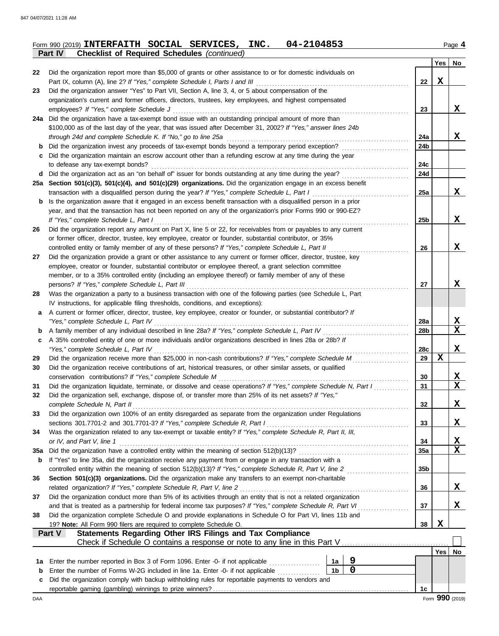|        | 04-2104853<br>Form 990 (2019) INTERFAITH SOCIAL SERVICES, INC.                                                                                                                                                             |                 |             | Page 4      |
|--------|----------------------------------------------------------------------------------------------------------------------------------------------------------------------------------------------------------------------------|-----------------|-------------|-------------|
|        | Part IV<br><b>Checklist of Required Schedules (continued)</b>                                                                                                                                                              |                 |             |             |
|        |                                                                                                                                                                                                                            |                 | Yes         | No          |
| 22     | Did the organization report more than \$5,000 of grants or other assistance to or for domestic individuals on<br>Part IX, column (A), line 2? If "Yes," complete Schedule I, Parts I and III                               | 22              | $\mathbf X$ |             |
| 23     | Did the organization answer "Yes" to Part VII, Section A, line 3, 4, or 5 about compensation of the                                                                                                                        |                 |             |             |
|        | organization's current and former officers, directors, trustees, key employees, and highest compensated                                                                                                                    |                 |             |             |
|        | employees? If "Yes," complete Schedule J                                                                                                                                                                                   | 23              |             | X           |
|        | 24a Did the organization have a tax-exempt bond issue with an outstanding principal amount of more than                                                                                                                    |                 |             |             |
|        | \$100,000 as of the last day of the year, that was issued after December 31, 2002? If "Yes," answer lines 24b                                                                                                              |                 |             |             |
|        | through 24d and complete Schedule K. If "No," go to line 25a                                                                                                                                                               | 24a             |             | X           |
| b      | Did the organization invest any proceeds of tax-exempt bonds beyond a temporary period exception?                                                                                                                          | 24b             |             |             |
| с      | Did the organization maintain an escrow account other than a refunding escrow at any time during the year                                                                                                                  |                 |             |             |
|        | to defease any tax-exempt bonds?                                                                                                                                                                                           | 24c             |             |             |
|        | d Did the organization act as an "on behalf of" issuer for bonds outstanding at any time during the year?                                                                                                                  | 24d             |             |             |
|        | 25a Section 501(c)(3), 501(c)(4), and 501(c)(29) organizations. Did the organization engage in an excess benefit                                                                                                           |                 |             |             |
|        | transaction with a disqualified person during the year? If "Yes," complete Schedule L, Part I                                                                                                                              | 25a             |             | X           |
| b      | Is the organization aware that it engaged in an excess benefit transaction with a disqualified person in a prior                                                                                                           |                 |             |             |
|        | year, and that the transaction has not been reported on any of the organization's prior Forms 990 or 990-EZ?                                                                                                               |                 |             |             |
|        | If "Yes," complete Schedule L, Part I                                                                                                                                                                                      | 25b             |             | X           |
| 26     | Did the organization report any amount on Part X, line 5 or 22, for receivables from or payables to any current<br>or former officer, director, trustee, key employee, creator or founder, substantial contributor, or 35% |                 |             |             |
|        | controlled entity or family member of any of these persons? If "Yes," complete Schedule L, Part II                                                                                                                         | 26              |             | X           |
| 27     | Did the organization provide a grant or other assistance to any current or former officer, director, trustee, key                                                                                                          |                 |             |             |
|        | employee, creator or founder, substantial contributor or employee thereof, a grant selection committee                                                                                                                     |                 |             |             |
|        | member, or to a 35% controlled entity (including an employee thereof) or family member of any of these                                                                                                                     |                 |             |             |
|        | persons? If "Yes," complete Schedule L, Part III                                                                                                                                                                           | 27              |             | X           |
| 28     | Was the organization a party to a business transaction with one of the following parties (see Schedule L, Part                                                                                                             |                 |             |             |
|        | IV instructions, for applicable filing thresholds, conditions, and exceptions):                                                                                                                                            |                 |             |             |
| a      | A current or former officer, director, trustee, key employee, creator or founder, or substantial contributor? If                                                                                                           |                 |             |             |
|        | "Yes," complete Schedule L, Part IV                                                                                                                                                                                        | 28a             |             | X           |
| b      | A family member of any individual described in line 28a? If "Yes," complete Schedule L, Part IV                                                                                                                            | 28b             |             | X           |
| c      | A 35% controlled entity of one or more individuals and/or organizations described in lines 28a or 28b? If                                                                                                                  |                 |             |             |
|        | "Yes," complete Schedule L, Part IV                                                                                                                                                                                        | 28c             |             | $\mathbf x$ |
| 29     | Did the organization receive more than \$25,000 in non-cash contributions? If "Yes," complete Schedule M                                                                                                                   | 29              | X           |             |
| 30     | Did the organization receive contributions of art, historical treasures, or other similar assets, or qualified                                                                                                             |                 |             |             |
|        | conservation contributions? If "Yes," complete Schedule M                                                                                                                                                                  | 30              |             | X           |
| 31     | Did the organization liquidate, terminate, or dissolve and cease operations? If "Yes," complete Schedule N, Part I                                                                                                         | 31              |             | X           |
| 32     | Did the organization sell, exchange, dispose of, or transfer more than 25% of its net assets? If "Yes,"                                                                                                                    |                 |             | X           |
| 33     | complete Schedule N, Part II<br>Did the organization own 100% of an entity disregarded as separate from the organization under Regulations                                                                                 | 32              |             |             |
|        | sections 301.7701-2 and 301.7701-3? If "Yes," complete Schedule R, Part I                                                                                                                                                  | 33              |             | X           |
| 34     | Was the organization related to any tax-exempt or taxable entity? If "Yes," complete Schedule R, Part II, III,                                                                                                             |                 |             |             |
|        | or IV, and Part V, line 1                                                                                                                                                                                                  | 34              |             | X           |
| 35a    | Did the organization have a controlled entity within the meaning of section 512(b)(13)?                                                                                                                                    | 35a             |             | X           |
| b      | If "Yes" to line 35a, did the organization receive any payment from or engage in any transaction with a                                                                                                                    |                 |             |             |
|        | controlled entity within the meaning of section 512(b)(13)? If "Yes," complete Schedule R, Part V, line 2                                                                                                                  | 35 <sub>b</sub> |             |             |
| 36     | Section 501(c)(3) organizations. Did the organization make any transfers to an exempt non-charitable                                                                                                                       |                 |             |             |
|        | related organization? If "Yes," complete Schedule R, Part V, line 2                                                                                                                                                        | 36              |             | X           |
| 37     | Did the organization conduct more than 5% of its activities through an entity that is not a related organization                                                                                                           |                 |             |             |
|        | and that is treated as a partnership for federal income tax purposes? If "Yes," complete Schedule R, Part VI                                                                                                               | 37              |             | X           |
| 38     | Did the organization complete Schedule O and provide explanations in Schedule O for Part VI, lines 11b and                                                                                                                 |                 |             |             |
|        | 19? Note: All Form 990 filers are required to complete Schedule O.                                                                                                                                                         | 38              | $\mathbf x$ |             |
|        | Statements Regarding Other IRS Filings and Tax Compliance<br>Part V                                                                                                                                                        |                 |             |             |
|        |                                                                                                                                                                                                                            |                 |             |             |
|        | 9                                                                                                                                                                                                                          |                 | Yes         | No          |
| 1a     | Enter the number reported in Box 3 of Form 1096. Enter -0- if not applicable <i>minimization</i><br>1a<br>$\mathbf 0$<br>1 <sub>b</sub><br>Enter the number of Forms W-2G included in line 1a. Enter -0- if not applicable |                 |             |             |
| b<br>c | Did the organization comply with backup withholding rules for reportable payments to vendors and                                                                                                                           |                 |             |             |
|        |                                                                                                                                                                                                                            | 1c              |             |             |
|        |                                                                                                                                                                                                                            |                 |             |             |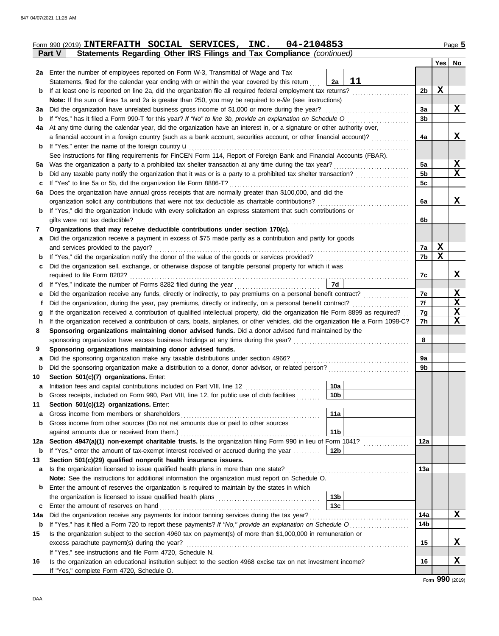|        | Form 990 (2019) $\textbf{INTERFAITH}$ SOCIAL SERVICES,<br>INC.<br>04-2104853                                                                                                                                                                          |                 |                |   | Page 5        |  |  |  |  |
|--------|-------------------------------------------------------------------------------------------------------------------------------------------------------------------------------------------------------------------------------------------------------|-----------------|----------------|---|---------------|--|--|--|--|
|        | Statements Regarding Other IRS Filings and Tax Compliance (continued)<br>Part V                                                                                                                                                                       |                 |                |   |               |  |  |  |  |
|        |                                                                                                                                                                                                                                                       |                 |                |   | $Yes \mid No$ |  |  |  |  |
|        | 2a Enter the number of employees reported on Form W-3, Transmittal of Wage and Tax                                                                                                                                                                    |                 |                |   |               |  |  |  |  |
|        | Statements, filed for the calendar year ending with or within the year covered by this return                                                                                                                                                         | 11<br>2a        |                | X |               |  |  |  |  |
| b      | If at least one is reported on line 2a, did the organization file all required federal employment tax returns?                                                                                                                                        |                 |                |   |               |  |  |  |  |
|        | Note: If the sum of lines 1a and 2a is greater than 250, you may be required to e-file (see instructions)                                                                                                                                             |                 |                |   |               |  |  |  |  |
| За     | Did the organization have unrelated business gross income of \$1,000 or more during the year?                                                                                                                                                         |                 | 3a             |   | X             |  |  |  |  |
| b      | If "Yes," has it filed a Form 990-T for this year? If "No" to line 3b, provide an explanation on Schedule O                                                                                                                                           |                 | 3 <sub>b</sub> |   |               |  |  |  |  |
| 4a     | At any time during the calendar year, did the organization have an interest in, or a signature or other authority over,                                                                                                                               |                 |                |   |               |  |  |  |  |
|        | a financial account in a foreign country (such as a bank account, securities account, or other financial account)?                                                                                                                                    |                 | 4a             |   | X             |  |  |  |  |
| b      | If "Yes," enter the name of the foreign country $\mathbf u$                                                                                                                                                                                           |                 |                |   |               |  |  |  |  |
|        | See instructions for filing requirements for FinCEN Form 114, Report of Foreign Bank and Financial Accounts (FBAR).                                                                                                                                   |                 |                |   |               |  |  |  |  |
| 5a     | Was the organization a party to a prohibited tax shelter transaction at any time during the tax year?                                                                                                                                                 |                 | 5a             |   | X             |  |  |  |  |
| b      | Did any taxable party notify the organization that it was or is a party to a prohibited tax shelter transaction?                                                                                                                                      |                 | 5b             |   | X             |  |  |  |  |
| c      | If "Yes" to line 5a or 5b, did the organization file Form 8886-T?                                                                                                                                                                                     |                 | 5c             |   |               |  |  |  |  |
| 6a     | Does the organization have annual gross receipts that are normally greater than \$100,000, and did the                                                                                                                                                |                 |                |   |               |  |  |  |  |
|        | organization solicit any contributions that were not tax deductible as charitable contributions?                                                                                                                                                      |                 | 6a             |   | X             |  |  |  |  |
| b      | If "Yes," did the organization include with every solicitation an express statement that such contributions or                                                                                                                                        |                 |                |   |               |  |  |  |  |
|        | gifts were not tax deductible?                                                                                                                                                                                                                        |                 | 6b             |   |               |  |  |  |  |
| 7      | Organizations that may receive deductible contributions under section 170(c).                                                                                                                                                                         |                 |                |   |               |  |  |  |  |
| a      | Did the organization receive a payment in excess of \$75 made partly as a contribution and partly for goods                                                                                                                                           |                 |                |   |               |  |  |  |  |
|        | and services provided to the payor?                                                                                                                                                                                                                   |                 | 7a             | X |               |  |  |  |  |
| b      | If "Yes," did the organization notify the donor of the value of the goods or services provided?                                                                                                                                                       |                 | 7b             | X |               |  |  |  |  |
| c      | Did the organization sell, exchange, or otherwise dispose of tangible personal property for which it was                                                                                                                                              |                 |                |   |               |  |  |  |  |
|        | required to file Form 8282?                                                                                                                                                                                                                           |                 | 7c             |   | X             |  |  |  |  |
| d      | If "Yes," indicate the number of Forms 8282 filed during the year                                                                                                                                                                                     | 7d              |                |   |               |  |  |  |  |
| е      | Did the organization receive any funds, directly or indirectly, to pay premiums on a personal benefit contract?                                                                                                                                       |                 | 7е<br>7f       |   | X<br>X        |  |  |  |  |
|        | Did the organization, during the year, pay premiums, directly or indirectly, on a personal benefit contract?<br>f<br>If the organization received a contribution of qualified intellectual property, did the organization file Form 8899 as required? |                 |                |   |               |  |  |  |  |
| g<br>h |                                                                                                                                                                                                                                                       |                 | 7g<br>7h       |   | X<br>X        |  |  |  |  |
| 8      | If the organization received a contribution of cars, boats, airplanes, or other vehicles, did the organization file a Form 1098-C?<br>Sponsoring organizations maintaining donor advised funds. Did a donor advised fund maintained by the            |                 |                |   |               |  |  |  |  |
|        | sponsoring organization have excess business holdings at any time during the year?                                                                                                                                                                    |                 | 8              |   |               |  |  |  |  |
| 9      | Sponsoring organizations maintaining donor advised funds.                                                                                                                                                                                             |                 |                |   |               |  |  |  |  |
| a      | Did the sponsoring organization make any taxable distributions under section 4966?                                                                                                                                                                    |                 | <b>9a</b>      |   |               |  |  |  |  |
| b      | Did the sponsoring organization make a distribution to a donor, donor advisor, or related person?                                                                                                                                                     |                 | 9b             |   |               |  |  |  |  |
| 10     | Section 501(c)(7) organizations. Enter:                                                                                                                                                                                                               |                 |                |   |               |  |  |  |  |
|        | Initiation fees and capital contributions included on Part VIII, line 12                                                                                                                                                                              | 10a             |                |   |               |  |  |  |  |
| b      | Gross receipts, included on Form 990, Part VIII, line 12, for public use of club facilities                                                                                                                                                           | 10 <sub>b</sub> |                |   |               |  |  |  |  |
| 11     | Section 501(c)(12) organizations. Enter:                                                                                                                                                                                                              |                 |                |   |               |  |  |  |  |
| a      | Gross income from members or shareholders                                                                                                                                                                                                             | 11a             |                |   |               |  |  |  |  |
| b      | Gross income from other sources (Do not net amounts due or paid to other sources                                                                                                                                                                      |                 |                |   |               |  |  |  |  |
|        | against amounts due or received from them.)                                                                                                                                                                                                           | 11 <sub>b</sub> |                |   |               |  |  |  |  |
| 12a    | Section 4947(a)(1) non-exempt charitable trusts. Is the organization filing Form 990 in lieu of Form 1041?                                                                                                                                            |                 | 12a            |   |               |  |  |  |  |
| b      | If "Yes," enter the amount of tax-exempt interest received or accrued during the year                                                                                                                                                                 | 12 <sub>b</sub> |                |   |               |  |  |  |  |
| 13     | Section 501(c)(29) qualified nonprofit health insurance issuers.                                                                                                                                                                                      |                 |                |   |               |  |  |  |  |
| a      | Is the organization licensed to issue qualified health plans in more than one state?                                                                                                                                                                  |                 | 13а            |   |               |  |  |  |  |
|        | Note: See the instructions for additional information the organization must report on Schedule O.                                                                                                                                                     |                 |                |   |               |  |  |  |  |
| b      | Enter the amount of reserves the organization is required to maintain by the states in which                                                                                                                                                          |                 |                |   |               |  |  |  |  |
|        |                                                                                                                                                                                                                                                       | 13 <sub>b</sub> |                |   |               |  |  |  |  |
| c      | Enter the amount of reserves on hand                                                                                                                                                                                                                  | 13 <sub>c</sub> |                |   |               |  |  |  |  |
| 14a    | Did the organization receive any payments for indoor tanning services during the tax year?                                                                                                                                                            |                 | 14a            |   | X             |  |  |  |  |
| b      | If "Yes," has it filed a Form 720 to report these payments? If "No," provide an explanation on Schedule O                                                                                                                                             |                 | 14b            |   |               |  |  |  |  |
| 15     | Is the organization subject to the section 4960 tax on payment(s) of more than \$1,000,000 in remuneration or                                                                                                                                         |                 |                |   |               |  |  |  |  |
|        | excess parachute payment(s) during the year?                                                                                                                                                                                                          |                 | 15             |   | X             |  |  |  |  |
|        | If "Yes," see instructions and file Form 4720, Schedule N.                                                                                                                                                                                            |                 |                |   |               |  |  |  |  |
| 16     | Is the organization an educational institution subject to the section 4968 excise tax on net investment income?                                                                                                                                       |                 | 16             |   | X             |  |  |  |  |
|        | If "Yes," complete Form 4720, Schedule O.                                                                                                                                                                                                             |                 |                |   |               |  |  |  |  |

Form **990** (2019)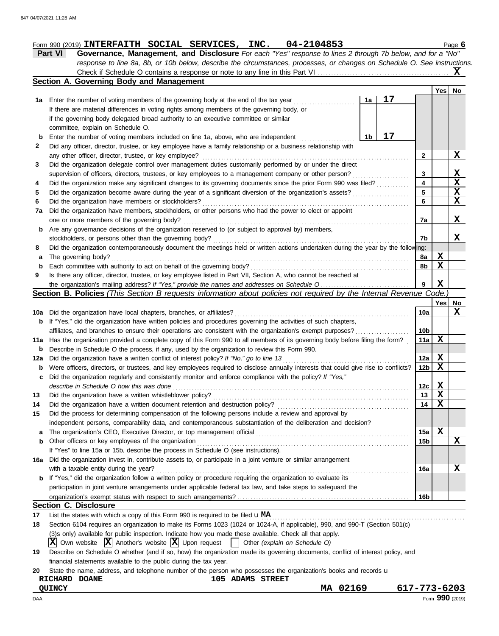$\overline{a}$ 

### **Form 990 (2019) INTERFAITH SOCIAL SERVICES, INC. 04-2104853** Page 6

| Part VI | <b>Governance, Management, and Disclosure</b> For each "Yes" response to lines 2 through 7b below, and for a "No"         |
|---------|---------------------------------------------------------------------------------------------------------------------------|
|         | response to line 8a, 8b, or 10b below, describe the circumstances, processes, or changes on Schedule O. See instructions. |
|         |                                                                                                                           |

|     |                                                                                                                                     |    |    |                 | Yes         | No                      |
|-----|-------------------------------------------------------------------------------------------------------------------------------------|----|----|-----------------|-------------|-------------------------|
| 1а  | Enter the number of voting members of the governing body at the end of the tax year                                                 | 1a | 17 |                 |             |                         |
|     | If there are material differences in voting rights among members of the governing body, or                                          |    |    |                 |             |                         |
|     | if the governing body delegated broad authority to an executive committee or similar                                                |    |    |                 |             |                         |
|     | committee, explain on Schedule O.                                                                                                   |    |    |                 |             |                         |
| b   | Enter the number of voting members included on line 1a, above, who are independent                                                  | 1b | 17 |                 |             |                         |
| 2   | Did any officer, director, trustee, or key employee have a family relationship or a business relationship with                      |    |    |                 |             |                         |
|     | any other officer, director, trustee, or key employee?                                                                              |    |    | 2               |             | X                       |
| 3   | Did the organization delegate control over management duties customarily performed by or under the direct                           |    |    |                 |             |                         |
|     | supervision of officers, directors, trustees, or key employees to a management company or other person?                             |    |    | 3               |             | X                       |
| 4   | Did the organization make any significant changes to its governing documents since the prior Form 990 was filed?                    |    |    | 4               |             | $\overline{\mathbf{x}}$ |
| 5   | Did the organization become aware during the year of a significant diversion of the organization's assets?                          |    |    | 5               |             | $\overline{\mathbf{X}}$ |
| 6   | Did the organization have members or stockholders?                                                                                  |    |    | 6               |             | $\overline{\mathbf{x}}$ |
| 7a  | Did the organization have members, stockholders, or other persons who had the power to elect or appoint                             |    |    |                 |             |                         |
|     | one or more members of the governing body?                                                                                          |    |    | 7a              |             | X                       |
| b   | Are any governance decisions of the organization reserved to (or subject to approval by) members,                                   |    |    |                 |             |                         |
|     | stockholders, or persons other than the governing body?                                                                             |    |    | 7b              |             | X                       |
| 8   | Did the organization contemporaneously document the meetings held or written actions undertaken during the year by the following:   |    |    |                 |             |                         |
| а   | The governing body?                                                                                                                 |    |    | 8a              | X           |                         |
| b   | Each committee with authority to act on behalf of the governing body?                                                               |    |    | 8b              | $\mathbf x$ |                         |
| 9   | Is there any officer, director, trustee, or key employee listed in Part VII, Section A, who cannot be reached at                    |    |    |                 |             |                         |
|     |                                                                                                                                     |    |    | 9               | X           |                         |
|     | Section B. Policies (This Section B requests information about policies not required by the Internal Revenue Code.)                 |    |    |                 |             |                         |
|     |                                                                                                                                     |    |    |                 | Yes         | No                      |
| 10a | Did the organization have local chapters, branches, or affiliates?                                                                  |    |    | 10a             |             | X                       |
| b   | If "Yes," did the organization have written policies and procedures governing the activities of such chapters,                      |    |    |                 |             |                         |
|     | affiliates, and branches to ensure their operations are consistent with the organization's exempt purposes?                         |    |    | 10 <sub>b</sub> |             |                         |
| 11a | Has the organization provided a complete copy of this Form 990 to all members of its governing body before filing the form?         |    |    | 11a             | X           |                         |
| b   | Describe in Schedule O the process, if any, used by the organization to review this Form 990.                                       |    |    |                 |             |                         |
| 12a | Did the organization have a written conflict of interest policy? If "No," go to line 13                                             |    |    | 12a             | $\mathbf x$ |                         |
| b   | Were officers, directors, or trustees, and key employees required to disclose annually interests that could give rise to conflicts? |    |    | 12 <sub>b</sub> | $\mathbf x$ |                         |
| c   | Did the organization regularly and consistently monitor and enforce compliance with the policy? If "Yes,"                           |    |    |                 |             |                         |
|     | describe in Schedule O how this was done                                                                                            |    |    | 12c             | X           |                         |
| 13  | Did the organization have a written whistleblower policy?                                                                           |    |    | 13              | $\mathbf x$ |                         |
| 14  | Did the organization have a written document retention and destruction policy?                                                      |    |    | 14              | X           |                         |
| 15  | Did the process for determining compensation of the following persons include a review and approval by                              |    |    |                 |             |                         |
|     | independent persons, comparability data, and contemporaneous substantiation of the deliberation and decision?                       |    |    |                 |             |                         |
| a   |                                                                                                                                     |    |    | 15a             | $\mathbf x$ |                         |
| b   | Other officers or key employees of the organization                                                                                 |    |    | 15 <sub>b</sub> |             | X                       |
|     | If "Yes" to line 15a or 15b, describe the process in Schedule O (see instructions).                                                 |    |    |                 |             |                         |
| 16а | Did the organization invest in, contribute assets to, or participate in a joint venture or similar arrangement                      |    |    |                 |             |                         |
|     | with a taxable entity during the year?                                                                                              |    |    | 16a             |             | X                       |
| b   | If "Yes," did the organization follow a written policy or procedure requiring the organization to evaluate its                      |    |    |                 |             |                         |
|     | participation in joint venture arrangements under applicable federal tax law, and take steps to safeguard the                       |    |    |                 |             |                         |
|     |                                                                                                                                     |    |    | 16b             |             |                         |
|     | <b>Section C. Disclosure</b>                                                                                                        |    |    |                 |             |                         |
| 17  | List the states with which a copy of this Form 990 is required to be filed $\mathbf{u} \mathbf{M}$ A                                |    |    |                 |             |                         |
| 18  | Section 6104 requires an organization to make its Forms 1023 (1024 or 1024-A, if applicable), 990, and 990-T (Section 501(c)        |    |    |                 |             |                         |
|     | (3)s only) available for public inspection. Indicate how you made these available. Check all that apply.                            |    |    |                 |             |                         |

| . And the second contract the second contract of the second contract of the second contract $\mathbb{P}^1$                                                             |  |  |  |  |  |  |
|------------------------------------------------------------------------------------------------------------------------------------------------------------------------|--|--|--|--|--|--|
| $\boxed{\mathbf{X}}$ Own website $\boxed{\mathbf{X}}$ Another's website $\boxed{\mathbf{X}}$ Upon request $\boxed{\phantom{\mathbf{X}}}$ Other (explain on Schedule O) |  |  |  |  |  |  |

**19** Describe on Schedule O whether (and if so, how) the organization made its governing documents, conflict of interest policy, and financial statements available to the public during the tax year.

|  | 20 State the name, address, and telephone number of the person who possesses the organization's books and records u |  |  |  |  |  |  |  |  |  |  |  |  |
|--|---------------------------------------------------------------------------------------------------------------------|--|--|--|--|--|--|--|--|--|--|--|--|
|--|---------------------------------------------------------------------------------------------------------------------|--|--|--|--|--|--|--|--|--|--|--|--|

| <b>RICHARD</b><br><b>DOANE</b> | 105 | <b>ADAMS STREET</b> |          |              |
|--------------------------------|-----|---------------------|----------|--------------|
| QUINCY                         |     |                     | MA 02169 | 617-773-6203 |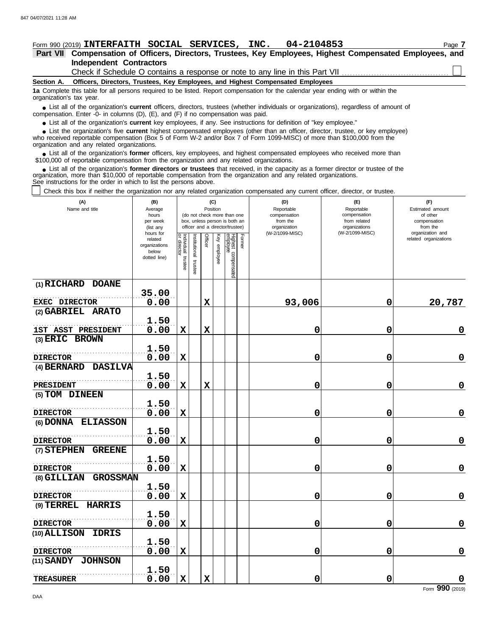### **Form 990 (2019) INTERFAITH SOCIAL SERVICES, INC. 04-2104853** Page 7

### **Independent Contractors Part VII Compensation of Officers, Directors, Trustees, Key Employees, Highest Compensated Employees, and**

Check if Schedule O contains a response or note to any line in this Part VII.

**Section A. Officers, Directors, Trustees, Key Employees, and Highest Compensated Employees**

**1a** Complete this table for all persons required to be listed. Report compensation for the calendar year ending with or within the organization's tax year.

■ List all of the organization's **current** officers, directors, trustees (whether individuals or organizations), regardless of amount of the organization Enter -0- in columns (D), (E), and (E) if no compensation was paid compensation. Enter -0- in columns (D), (E), and (F) if no compensation was paid.

● List all of the organization's **current** key employees, if any. See instructions for definition of "key employee."

who received reportable compensation (Box 5 of Form W-2 and/or Box 7 of Form 1099-MISC) of more than \$100,000 from the organization and any related organizations. ■ List the organization's five **current** highest compensated employees (other than an officer, director, trustee, or key employee)<br>
a received reportable compensation (Box 5 of Form W-2 and/or Box 7 of Form 1099-MISC) of

■ List all of the organization's **former** officers, key employees, and highest compensated employees who received more than<br>00,000 of reportable compensation from the organization and any related organizations \$100,000 of reportable compensation from the organization and any related organizations.

■ List all of the organization's **former directors or trustees** that received, in the capacity as a former director or trustee of the<br>enization, more than \$10,000 of reportable compensation from the organization and any r organization, more than \$10,000 of reportable compensation from the organization and any related organizations. See instructions for the order in which to list the persons above.

Check this box if neither the organization nor any related organization compensated any current officer, director, or trustee.

| (A)<br>Name and title              | (C)<br>(B)<br>Position<br>Average<br>(do not check more than one<br>hours<br>box, unless person is both an<br>per week<br>officer and a director/trustee)<br>(list any                                 |             |                 |                 | (D)<br>Reportable<br>compensation<br>from the<br>organization | (E)<br>Reportable<br>compensation<br>from related<br>organizations | (F)<br>Estimated amount<br>of other<br>compensation<br>from the |   |             |
|------------------------------------|--------------------------------------------------------------------------------------------------------------------------------------------------------------------------------------------------------|-------------|-----------------|-----------------|---------------------------------------------------------------|--------------------------------------------------------------------|-----------------------------------------------------------------|---|-------------|
|                                    | hours for<br>Former<br>Individual trustee<br>or director<br>Officer<br>Highest compensated<br>employee<br>Key employee<br>nstitutional<br>related<br>organizations<br>below<br>dotted line)<br>trustee |             | (W-2/1099-MISC) | (W-2/1099-MISC) | organization and<br>related organizations                     |                                                                    |                                                                 |   |             |
| (1) RICHARD DOANE                  |                                                                                                                                                                                                        |             |                 |                 |                                                               |                                                                    |                                                                 |   |             |
|                                    | 35.00                                                                                                                                                                                                  |             |                 |                 |                                                               |                                                                    |                                                                 |   |             |
| EXEC DIRECTOR<br>(2) GABRIEL ARATO | 0.00                                                                                                                                                                                                   |             |                 | $\mathbf x$     |                                                               |                                                                    | 93,006                                                          | 0 | 20,787      |
|                                    | 1.50                                                                                                                                                                                                   |             |                 |                 |                                                               |                                                                    |                                                                 |   |             |
| <b>1ST ASST PRESIDENT</b>          | 0.00                                                                                                                                                                                                   | $\mathbf X$ |                 | $\mathbf X$     |                                                               |                                                                    | 0                                                               | 0 | $\mathbf 0$ |
| (3) ERIC BROWN                     |                                                                                                                                                                                                        |             |                 |                 |                                                               |                                                                    |                                                                 |   |             |
|                                    | 1.50                                                                                                                                                                                                   |             |                 |                 |                                                               |                                                                    |                                                                 |   |             |
| <b>DIRECTOR</b>                    | 0.00                                                                                                                                                                                                   | $\mathbf x$ |                 |                 |                                                               |                                                                    | 0                                                               | 0 | $\mathbf 0$ |
| (4) BERNARD<br><b>DASILVA</b>      |                                                                                                                                                                                                        |             |                 |                 |                                                               |                                                                    |                                                                 |   |             |
|                                    | 1.50                                                                                                                                                                                                   |             |                 |                 |                                                               |                                                                    |                                                                 |   |             |
| <b>PRESIDENT</b>                   | 0.00                                                                                                                                                                                                   | $\mathbf x$ |                 | $\mathbf x$     |                                                               |                                                                    | 0                                                               | 0 | $\mathbf 0$ |
| (5) TOM DINEEN                     |                                                                                                                                                                                                        |             |                 |                 |                                                               |                                                                    |                                                                 |   |             |
| <b>DIRECTOR</b>                    | 1.50<br>0.00                                                                                                                                                                                           | $\mathbf x$ |                 |                 |                                                               |                                                                    | 0                                                               | 0 | $\mathbf 0$ |
| (6) DONNA ELIASSON                 |                                                                                                                                                                                                        |             |                 |                 |                                                               |                                                                    |                                                                 |   |             |
|                                    | 1.50                                                                                                                                                                                                   |             |                 |                 |                                                               |                                                                    |                                                                 |   |             |
| <b>DIRECTOR</b>                    | 0.00                                                                                                                                                                                                   | $\mathbf X$ |                 |                 |                                                               |                                                                    | 0                                                               | 0 | $\mathbf 0$ |
| (7) STEPHEN<br><b>GREENE</b>       |                                                                                                                                                                                                        |             |                 |                 |                                                               |                                                                    |                                                                 |   |             |
|                                    | 1.50                                                                                                                                                                                                   |             |                 |                 |                                                               |                                                                    |                                                                 |   |             |
| <b>DIRECTOR</b>                    | 0.00                                                                                                                                                                                                   | $\mathbf x$ |                 |                 |                                                               |                                                                    | 0                                                               | 0 | $\mathbf 0$ |
| (8) GILLIAN<br><b>GROSSMAN</b>     |                                                                                                                                                                                                        |             |                 |                 |                                                               |                                                                    |                                                                 |   |             |
|                                    | 1.50                                                                                                                                                                                                   |             |                 |                 |                                                               |                                                                    |                                                                 |   |             |
| <b>DIRECTOR</b>                    | 0.00                                                                                                                                                                                                   | $\mathbf x$ |                 |                 |                                                               |                                                                    | 0                                                               | 0 | $\mathbf 0$ |
| (9) TERREL HARRIS                  | 1.50                                                                                                                                                                                                   |             |                 |                 |                                                               |                                                                    |                                                                 |   |             |
| <b>DIRECTOR</b>                    | 0.00                                                                                                                                                                                                   | X           |                 |                 |                                                               |                                                                    | 0                                                               | 0 | $\mathbf 0$ |
| (10) ALLISON<br><b>IDRIS</b>       |                                                                                                                                                                                                        |             |                 |                 |                                                               |                                                                    |                                                                 |   |             |
|                                    | 1.50                                                                                                                                                                                                   |             |                 |                 |                                                               |                                                                    |                                                                 |   |             |
| <b>DIRECTOR</b>                    | 0.00                                                                                                                                                                                                   | $\mathbf x$ |                 |                 |                                                               |                                                                    | 0                                                               | 0 | $\mathbf 0$ |
| <b>JOHNSON</b><br>(11) SANDY       |                                                                                                                                                                                                        |             |                 |                 |                                                               |                                                                    |                                                                 |   |             |
|                                    | 1.50                                                                                                                                                                                                   |             |                 |                 |                                                               |                                                                    |                                                                 |   |             |
| <b>TREASURER</b>                   | 0.00                                                                                                                                                                                                   | $\mathbf x$ |                 | $\mathbf x$     |                                                               |                                                                    | 0                                                               | 0 | $\mathbf 0$ |

Form **990** (2019)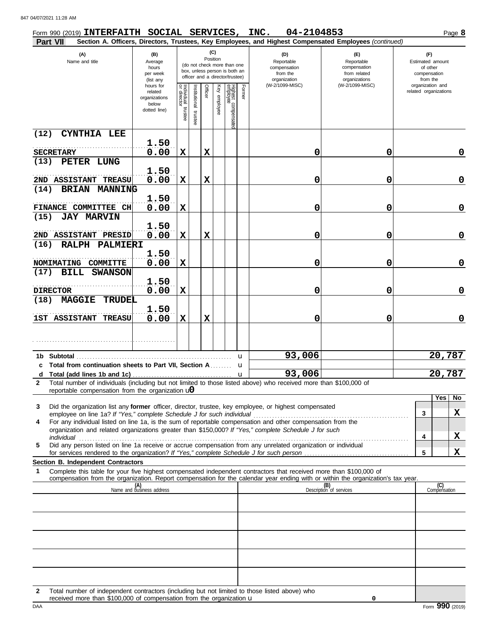| Form 990 (2019) INTERFAITH SOCIAL SERVICES, INC.                                                                                                                                                                          |                                                                |                                      |                         |             |              |                                                                                                 |        | 04-2104853                                                                                             |                                                                    | Page 8                                                          |             |
|---------------------------------------------------------------------------------------------------------------------------------------------------------------------------------------------------------------------------|----------------------------------------------------------------|--------------------------------------|-------------------------|-------------|--------------|-------------------------------------------------------------------------------------------------|--------|--------------------------------------------------------------------------------------------------------|--------------------------------------------------------------------|-----------------------------------------------------------------|-------------|
| Part VII                                                                                                                                                                                                                  |                                                                |                                      |                         |             |              |                                                                                                 |        | Section A. Officers, Directors, Trustees, Key Employees, and Highest Compensated Employees (continued) |                                                                    |                                                                 |             |
| (A)<br>Name and title                                                                                                                                                                                                     | (B)<br>Average<br>hours<br>per week<br>(list any               |                                      |                         | Position    | (C)          | (do not check more than one<br>box, unless person is both an<br>officer and a director/trustee) |        | (D)<br>Reportable<br>compensation<br>from the<br>organization                                          | (E)<br>Reportable<br>compensation<br>from related<br>organizations | (F)<br>Estimated amount<br>of other<br>compensation<br>from the |             |
|                                                                                                                                                                                                                           | hours for<br>related<br>organizations<br>below<br>dotted line) | Individual<br>or director<br>trustee | nstitutional<br>trustee | Officer     | Key employee | Highest compensatec<br>employee                                                                 | Former | (W-2/1099-MISC)                                                                                        | (W-2/1099-MISC)                                                    | organization and<br>related organizations                       |             |
| (12)<br><b>CYNTHIA LEE</b>                                                                                                                                                                                                |                                                                |                                      |                         |             |              |                                                                                                 |        |                                                                                                        |                                                                    |                                                                 |             |
| <b>SECRETARY</b>                                                                                                                                                                                                          | 1.50<br>0.00                                                   | $\mathbf x$                          |                         | х           |              |                                                                                                 |        | 0                                                                                                      | 0                                                                  |                                                                 | 0           |
| (13)<br>PETER LUNG                                                                                                                                                                                                        |                                                                |                                      |                         |             |              |                                                                                                 |        |                                                                                                        |                                                                    |                                                                 |             |
| 2ND ASSISTANT TREASU                                                                                                                                                                                                      | 1.50<br>0.00                                                   | $\mathbf X$                          |                         | X           |              |                                                                                                 |        | 0                                                                                                      | 0                                                                  |                                                                 | 0           |
| (14)<br>BRIAN MANNING                                                                                                                                                                                                     |                                                                |                                      |                         |             |              |                                                                                                 |        |                                                                                                        |                                                                    |                                                                 |             |
| FINANCE COMMITTEE CH                                                                                                                                                                                                      | 1.50<br>0.00                                                   | $\mathbf x$                          |                         |             |              |                                                                                                 |        | 0                                                                                                      | 0                                                                  |                                                                 | 0           |
| <b>JAY MARVIN</b><br>(15)                                                                                                                                                                                                 | 1.50                                                           |                                      |                         |             |              |                                                                                                 |        |                                                                                                        |                                                                    |                                                                 |             |
| 2ND ASSISTANT PRESID                                                                                                                                                                                                      | 0.00                                                           | $\mathbf x$                          |                         | X           |              |                                                                                                 |        | 0                                                                                                      | 0                                                                  |                                                                 | $\mathbf 0$ |
| RALPH PALMIERI<br>(16)                                                                                                                                                                                                    | 1.50                                                           |                                      |                         |             |              |                                                                                                 |        |                                                                                                        |                                                                    |                                                                 |             |
| NOMIMATING COMMITTE<br><b>BILL SWANSON</b><br>(17)                                                                                                                                                                        | 0.00                                                           | $\mathbf X$                          |                         |             |              |                                                                                                 |        | 0                                                                                                      | 0                                                                  |                                                                 | 0           |
|                                                                                                                                                                                                                           | 1.50                                                           |                                      |                         |             |              |                                                                                                 |        |                                                                                                        |                                                                    |                                                                 |             |
| <b>DIRECTOR</b>                                                                                                                                                                                                           | 0.00                                                           | $\mathbf x$                          |                         |             |              |                                                                                                 |        | 0                                                                                                      | 0                                                                  |                                                                 | 0           |
| <b>MAGGIE</b><br><b>TRUDEL</b><br>(18)                                                                                                                                                                                    | 1.50                                                           |                                      |                         |             |              |                                                                                                 |        |                                                                                                        |                                                                    |                                                                 |             |
| 1ST ASSISTANT TREASU                                                                                                                                                                                                      | 0.00                                                           | $\mathbf x$                          |                         | $\mathbf x$ |              |                                                                                                 |        | 0                                                                                                      | 0                                                                  |                                                                 | 0           |
|                                                                                                                                                                                                                           |                                                                |                                      |                         |             |              |                                                                                                 |        |                                                                                                        |                                                                    |                                                                 |             |
| 1b Subtotal and the state of the state of the state of the state of the state of the state of the state of the                                                                                                            |                                                                |                                      |                         |             |              |                                                                                                 | u      | 93,006                                                                                                 |                                                                    | 20,787                                                          |             |
| c Total from continuation sheets to Part VII, Section A                                                                                                                                                                   |                                                                |                                      |                         |             |              |                                                                                                 | u      | 93,006                                                                                                 |                                                                    | 20,787                                                          |             |
| Total number of individuals (including but not limited to those listed above) who received more than \$100,000 of<br>$\mathbf{2}$<br>reportable compensation from the organization $\mathbf{u}$                           |                                                                |                                      |                         |             |              |                                                                                                 |        |                                                                                                        |                                                                    |                                                                 |             |
|                                                                                                                                                                                                                           |                                                                |                                      |                         |             |              |                                                                                                 |        |                                                                                                        |                                                                    | Yes No                                                          |             |
| Did the organization list any former officer, director, trustee, key employee, or highest compensated<br>3                                                                                                                |                                                                |                                      |                         |             |              |                                                                                                 |        |                                                                                                        |                                                                    | 3                                                               | X           |
| For any individual listed on line 1a, is the sum of reportable compensation and other compensation from the<br>4<br>organization and related organizations greater than \$150,000? If "Yes," complete Schedule J for such |                                                                |                                      |                         |             |              |                                                                                                 |        |                                                                                                        |                                                                    |                                                                 |             |
| Did any person listed on line 1a receive or accrue compensation from any unrelated organization or individual<br>5                                                                                                        |                                                                |                                      |                         |             |              |                                                                                                 |        |                                                                                                        |                                                                    | 4                                                               | X           |
|                                                                                                                                                                                                                           |                                                                |                                      |                         |             |              |                                                                                                 |        |                                                                                                        |                                                                    | 5                                                               | X           |
| Section B. Independent Contractors<br>Complete this table for your five highest compensated independent contractors that received more than \$100,000 of<br>1                                                             |                                                                |                                      |                         |             |              |                                                                                                 |        |                                                                                                        |                                                                    |                                                                 |             |
| compensation from the organization. Report compensation for the calendar year ending with or within the organization's tax year.                                                                                          |                                                                |                                      |                         |             |              |                                                                                                 |        |                                                                                                        |                                                                    |                                                                 |             |
|                                                                                                                                                                                                                           | (A)<br>Name and business address                               |                                      |                         |             |              |                                                                                                 |        |                                                                                                        | (B)<br>Description of services                                     | (C)<br>Compensation                                             |             |
|                                                                                                                                                                                                                           |                                                                |                                      |                         |             |              |                                                                                                 |        |                                                                                                        |                                                                    |                                                                 |             |
|                                                                                                                                                                                                                           |                                                                |                                      |                         |             |              |                                                                                                 |        |                                                                                                        |                                                                    |                                                                 |             |
|                                                                                                                                                                                                                           |                                                                |                                      |                         |             |              |                                                                                                 |        |                                                                                                        |                                                                    |                                                                 |             |
|                                                                                                                                                                                                                           |                                                                |                                      |                         |             |              |                                                                                                 |        |                                                                                                        |                                                                    |                                                                 |             |
|                                                                                                                                                                                                                           |                                                                |                                      |                         |             |              |                                                                                                 |        |                                                                                                        |                                                                    |                                                                 |             |
|                                                                                                                                                                                                                           |                                                                |                                      |                         |             |              |                                                                                                 |        |                                                                                                        |                                                                    |                                                                 |             |

**2** Total number of independent contractors (including but not limited to those listed above) who received more than \$100,000 of compensation from the organization u

**0**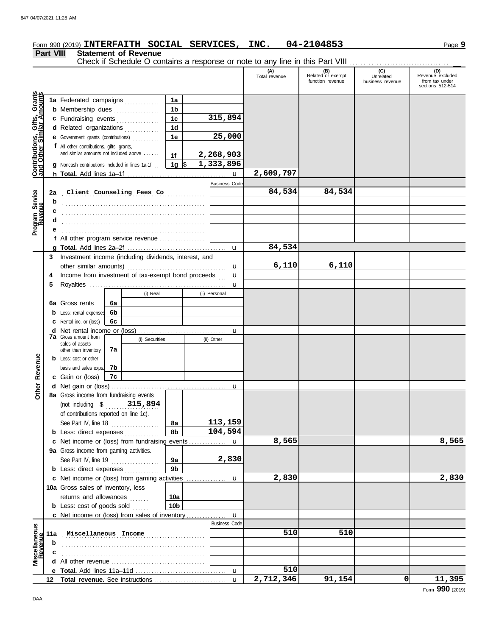#### **Form 990 (2019) INTERFAITH SOCIAL SERVICES, INC. 04-2104853** Page 9 **Part VIII Statement of Revenue** Check if Schedule O contains a response or note to any line in this Part VIII ... **(B) (C) (D) Related** or exempt **Unrelated Revenue excluded** (A) (B) (C)<br>Total revenue Related or exempt Unrelated tunction revenue business revenue function revenue business revenue from tax under<br>sections 512-514 Contributions, Gifts, Grants<br>and Other Similar Amounts **Contributions, Gifts, Grants and Other Similar Amounts 1a 1a** Federated campaigns . . . . . . . . . . . **1b b** Membership dues . . . . . . . . . . . . . . . **315,894 1c c** Fundraising events . . . . . . . . . . . . . **1d d** Related organizations . . . . . . . . . . . **25,000 1e e** Government grants (contributions) . . . . . . . . . . **f** All other contributions, gifts, grants, and similar amounts not included above . . . . . . **1f 2,268,903 1g** \$ . . . . . . . . . . . . . . . . . . . . **1,333,896 g** Noncash contributions included in lines 1a-1f . . **2,609,797** u **h Total.** Add lines 1a–1f . . . . . . . . . . . . . . . . . . . . . . . . . . . . . . . . . . . . . Business Code Program Service<br>Revenue **Program Service** . . . . . . . . . . . . . . . . . . . . . . . . . . . . . . . . . . . . . . . . . . . . . . . . . . . . . **2a Client Counseling Fees Co 84,534 84,534 b** . . . . . . . . . . . . . . . . . . . . . . . . . . . . . . . . . . . . . . . . . . . . . . . . . . . . . **c** . . . . . . . . . . . . . . . . . . . . . . . . . . . . . . . . . . . . . . . . . . . . . . . . . . . . . **d** . . . . . . . . . . . . . . . . . . . . . . . . . . . . . . . . . . . . . . . . . . . . . . . . . . . . . **e f** All other program service revenue . . . . . . . . . . . . . . . . . **84,534 g Total.** Add lines 2a–2f . . . . . . . . . . . . . . . . . . . . . . . . . . . . . . . . . . . . . u **3** Investment income (including dividends, interest, and **6,110 6,110** u other similar amounts) . . . . . . . . . . . . . . . . . . . . . . . . . . . . . . . . . . . . . u **4** Income from investment of tax-exempt bond proceeds . . . **5** Royalties . . . . . . . . . . . . . . . . . . . . . . . . . . . . . . . . . . . . . . . . . . . . . . . . . . . u (i) Real (ii) Personal **6a 6a** Gross rents **6b b** Less: rental expenses **6c c** Rental inc. or (loss) **d** Net rental income or (loss) . . . . . . . . . . . . . . . . . . . . . . . . . . . . . . . . . u **7a** Gross amount from (i) Securities (ii) Other sales of assets **7a** other than inventory Revenue **Other Revenue b** Less: cost or other **7b** basis and sales exps. **7c c** Gain or (loss) Other | **d** u Net gain or (loss) . . . . . . . . . . . . . . . . . . . . . . . . . . . . . . . . . . . . . . . . . . . **8a** Gross income from fundraising events (not including \$ . . . . . . . . . . . . . . . . . . . . **315,894** of contributions reported on line 1c). **8a 113,159** See Part IV, line 18 . . . . . . . . . . . . . . . . . . **8b 104,594 b** Less: direct expenses . . . . . . . . . . . . **8,565 8,565 c** Net income or (loss) from fundraising events . . . . . . . . . . . . . . u **9a** Gross income from gaming activities. See Part IV, line 19 . . . . . . . . . . . . . . . . . . **9a 2,830 9b b** Less: direct expenses ............. **2,830 2,830** Net income or (loss) from gaming activities . . . . . . . . . . . . . . . **c** u 10a Gross sales of inventory, less returns and allowances ....... **10a 10b b** Less:  $\cosh$  of goods  $\sinh$ Net income or (loss) from sales of inventory . . . . . . . . . . . . . . . **c** u Business Code **Revenue Miscellaneous** 11a Miscellaneous Income **12 12 510 510 510 b c** . . . . . . . . . . . . . . . . . . . . . . . . . . . . . . . . . . . . . . . . . . . . . . . . . . . . . **d** All other revenue . . . . . . . . . . . . . . . . . . . . . . . . . . . . . . . . . . . **510** u **e Total.** Add lines 11a–11d . . . . . . . . . . . . . . . . . . . . . . . . . . . . . . . . . . **2,712,346 91,154 0 11,395** u **Total revenue.** See instructions . . . . . . . . . . . . . . . . . . . . . . . . . . . **12**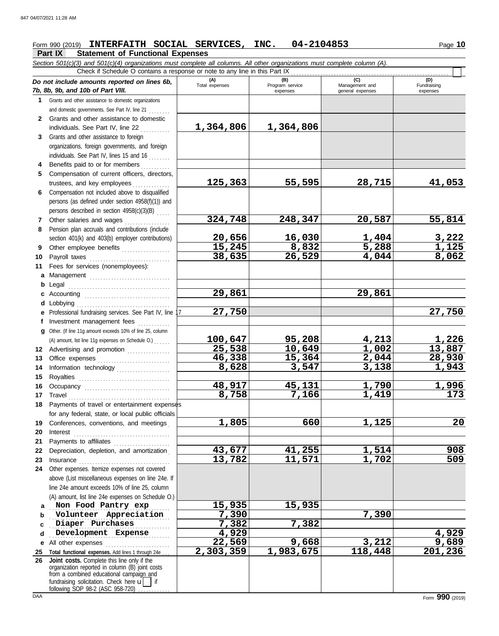## **Form 990 (2019) INTERFAITH SOCIAL SERVICES, INC. 04-2104853** Page 10

**Part IX Statement of Functional Expenses**

*Section 501(c)(3) and 501(c)(4) organizations must complete all columns. All other organizations must complete column (A).*

|              | $D$ codon oo $D$ o $D$ ona oo $D$ o $D$ ahaa oo gaankadono maar compicto ah colamno. Ah carei organizadono maar compicto colamn $D$<br>Check if Schedule O contains a response or note to any line in this Part IX                  |                       |                                    |                                           |                                |  |  |  |  |  |  |  |
|--------------|-------------------------------------------------------------------------------------------------------------------------------------------------------------------------------------------------------------------------------------|-----------------------|------------------------------------|-------------------------------------------|--------------------------------|--|--|--|--|--|--|--|
|              | Do not include amounts reported on lines 6b,<br>7b, 8b, 9b, and 10b of Part VIII.                                                                                                                                                   | (A)<br>Total expenses | (B)<br>Program service<br>expenses | (C)<br>Management and<br>general expenses | (D)<br>Fundraising<br>expenses |  |  |  |  |  |  |  |
| 1            | Grants and other assistance to domestic organizations                                                                                                                                                                               |                       |                                    |                                           |                                |  |  |  |  |  |  |  |
|              | and domestic governments. See Part IV, line 21                                                                                                                                                                                      |                       |                                    |                                           |                                |  |  |  |  |  |  |  |
| $\mathbf{2}$ | Grants and other assistance to domestic                                                                                                                                                                                             |                       |                                    |                                           |                                |  |  |  |  |  |  |  |
|              | individuals. See Part IV, line 22                                                                                                                                                                                                   | 1,364,806             | 1,364,806                          |                                           |                                |  |  |  |  |  |  |  |
| 3            | Grants and other assistance to foreign                                                                                                                                                                                              |                       |                                    |                                           |                                |  |  |  |  |  |  |  |
|              | organizations, foreign governments, and foreign                                                                                                                                                                                     |                       |                                    |                                           |                                |  |  |  |  |  |  |  |
|              | individuals. See Part IV, lines 15 and 16                                                                                                                                                                                           |                       |                                    |                                           |                                |  |  |  |  |  |  |  |
| 4            | Benefits paid to or for members                                                                                                                                                                                                     |                       |                                    |                                           |                                |  |  |  |  |  |  |  |
| 5            | Compensation of current officers, directors,                                                                                                                                                                                        |                       |                                    |                                           |                                |  |  |  |  |  |  |  |
|              |                                                                                                                                                                                                                                     | 125,363               | 55,595                             | 28,715                                    | 41,053                         |  |  |  |  |  |  |  |
|              | trustees, and key employees                                                                                                                                                                                                         |                       |                                    |                                           |                                |  |  |  |  |  |  |  |
| 6            | Compensation not included above to disqualified                                                                                                                                                                                     |                       |                                    |                                           |                                |  |  |  |  |  |  |  |
|              | persons (as defined under section 4958(f)(1)) and                                                                                                                                                                                   |                       |                                    |                                           |                                |  |  |  |  |  |  |  |
|              | persons described in section 4958(c)(3)(B)                                                                                                                                                                                          |                       |                                    |                                           |                                |  |  |  |  |  |  |  |
| 7            | Other salaries and wages<br>.                                                                                                                                                                                                       | 324,748               | 248,347                            | 20,587                                    | 55,814                         |  |  |  |  |  |  |  |
| 8            | Pension plan accruals and contributions (include                                                                                                                                                                                    |                       |                                    |                                           |                                |  |  |  |  |  |  |  |
|              | section 401(k) and 403(b) employer contributions)                                                                                                                                                                                   | 20,656                | 16,030                             | $\frac{1,404}{5,288}$                     |                                |  |  |  |  |  |  |  |
| 9            | Other employee benefits                                                                                                                                                                                                             | 15,245                | 8,832                              |                                           | $\frac{3,222}{1,125}$<br>8,062 |  |  |  |  |  |  |  |
| 10           |                                                                                                                                                                                                                                     | 38,635                | 26,529                             | 4,044                                     |                                |  |  |  |  |  |  |  |
| 11           | Fees for services (nonemployees):                                                                                                                                                                                                   |                       |                                    |                                           |                                |  |  |  |  |  |  |  |
| a            | Management                                                                                                                                                                                                                          |                       |                                    |                                           |                                |  |  |  |  |  |  |  |
| b            | Legal                                                                                                                                                                                                                               |                       |                                    |                                           |                                |  |  |  |  |  |  |  |
| c            |                                                                                                                                                                                                                                     | 29,861                |                                    | 29,861                                    |                                |  |  |  |  |  |  |  |
| d            | Lobbying                                                                                                                                                                                                                            |                       |                                    |                                           |                                |  |  |  |  |  |  |  |
| е            | Professional fundraising services. See Part IV, line 17                                                                                                                                                                             | 27,750                |                                    |                                           | 27,750                         |  |  |  |  |  |  |  |
| f            | Investment management fees                                                                                                                                                                                                          |                       |                                    |                                           |                                |  |  |  |  |  |  |  |
| a            | Other. (If line 11g amount exceeds 10% of line 25, column                                                                                                                                                                           |                       |                                    |                                           |                                |  |  |  |  |  |  |  |
|              | (A) amount, list line 11g expenses on Schedule O.)                                                                                                                                                                                  | 100,647               | 95,208                             | 4,213                                     | 1,226                          |  |  |  |  |  |  |  |
|              | 12 Advertising and promotion                                                                                                                                                                                                        | 25,538                | 10,649                             | 1,002                                     | 13,887                         |  |  |  |  |  |  |  |
| 13           |                                                                                                                                                                                                                                     | 46,338                | 15,364                             | 2,044                                     | <u>28,930</u>                  |  |  |  |  |  |  |  |
| 14           | Information technology                                                                                                                                                                                                              | 8,628                 | 3,547                              | 3,138                                     | 1,943                          |  |  |  |  |  |  |  |
| 15           |                                                                                                                                                                                                                                     |                       |                                    |                                           |                                |  |  |  |  |  |  |  |
| 16           |                                                                                                                                                                                                                                     | 48,917                | 45,131                             | 1,790                                     | <u>1,996</u>                   |  |  |  |  |  |  |  |
| 17           |                                                                                                                                                                                                                                     | 8,758                 | 7,166                              | 1,419                                     | 173                            |  |  |  |  |  |  |  |
| 18           | Payments of travel or entertainment expenses                                                                                                                                                                                        |                       |                                    |                                           |                                |  |  |  |  |  |  |  |
|              | for any federal, state, or local public officials                                                                                                                                                                                   |                       |                                    |                                           |                                |  |  |  |  |  |  |  |
| 19           | Conferences, conventions, and meetings                                                                                                                                                                                              | 1,805                 | 660                                | 1,125                                     | 20                             |  |  |  |  |  |  |  |
| 20           | Interest                                                                                                                                                                                                                            |                       |                                    |                                           |                                |  |  |  |  |  |  |  |
| 21           | Payments to affiliates [11] production of the symmetry and production of Payments and Payments and P                                                                                                                                |                       |                                    |                                           |                                |  |  |  |  |  |  |  |
| 22           | Depreciation, depletion, and amortization                                                                                                                                                                                           | 43,677                | 41,255                             | 1,514                                     | 908                            |  |  |  |  |  |  |  |
| 23           | Insurance <b>continuous</b> contains a series of the series of the series of the series of the series of the series of the series of the series of the series of the series of the series of the series of the series of the series | 13,782                | 11,571                             | 1,702                                     | 509                            |  |  |  |  |  |  |  |
| 24           | Other expenses. Itemize expenses not covered                                                                                                                                                                                        |                       |                                    |                                           |                                |  |  |  |  |  |  |  |
|              | above (List miscellaneous expenses on line 24e. If                                                                                                                                                                                  |                       |                                    |                                           |                                |  |  |  |  |  |  |  |
|              | line 24e amount exceeds 10% of line 25, column                                                                                                                                                                                      |                       |                                    |                                           |                                |  |  |  |  |  |  |  |
|              | (A) amount, list line 24e expenses on Schedule O.)                                                                                                                                                                                  |                       |                                    |                                           |                                |  |  |  |  |  |  |  |
| a            | Non Food Pantry exp                                                                                                                                                                                                                 | 15,935                | 15,935                             |                                           |                                |  |  |  |  |  |  |  |
| b            | Volunteer Appreciation                                                                                                                                                                                                              | 7,390                 |                                    | 7,390                                     |                                |  |  |  |  |  |  |  |
| C            | Diaper Purchases                                                                                                                                                                                                                    | 7,382                 | 7,382                              |                                           |                                |  |  |  |  |  |  |  |
| d            | Development Expense                                                                                                                                                                                                                 | 4,929                 |                                    |                                           | <u>4,929</u>                   |  |  |  |  |  |  |  |
| е            | All other expenses                                                                                                                                                                                                                  | 22,569                | 9,668                              | 3,212                                     | 9,689                          |  |  |  |  |  |  |  |
| 25           | Total functional expenses. Add lines 1 through 24e                                                                                                                                                                                  | 2,303,359             | 1,983,675                          | 118,448                                   | 201,236                        |  |  |  |  |  |  |  |
| 26           | Joint costs. Complete this line only if the                                                                                                                                                                                         |                       |                                    |                                           |                                |  |  |  |  |  |  |  |
|              | organization reported in column (B) joint costs                                                                                                                                                                                     |                       |                                    |                                           |                                |  |  |  |  |  |  |  |
|              | from a combined educational campaign and<br>fundraising solicitation. Check here $\mathbf{u}$                                                                                                                                       |                       |                                    |                                           |                                |  |  |  |  |  |  |  |
|              | following SOP 98-2 (ASC 958-720).                                                                                                                                                                                                   |                       |                                    |                                           |                                |  |  |  |  |  |  |  |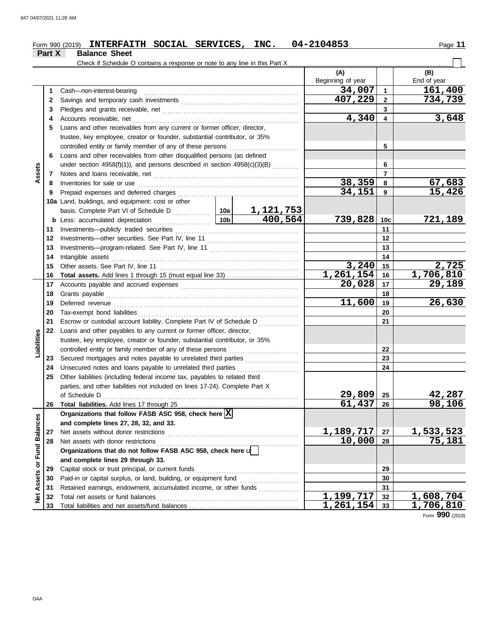#### $F$ orm 990 (2019) INTERFAITH SOCIAL SERVICES, INC.  $04-2104853$  Page 11 **INTERFAITH SOCIAL SERVICES, INC. 04-2104853**

|                      | Part X | <b>Balance Sheet</b>                                                                                                                               |                 |                      |                          |                         |                            |
|----------------------|--------|----------------------------------------------------------------------------------------------------------------------------------------------------|-----------------|----------------------|--------------------------|-------------------------|----------------------------|
|                      |        | Check if Schedule O contains a response or note to any line in this Part X                                                                         |                 |                      |                          |                         |                            |
|                      |        |                                                                                                                                                    |                 |                      | (A)<br>Beginning of year |                         | (B)<br>End of year         |
|                      | 1      | Cash-non-interest-bearing                                                                                                                          |                 |                      | 34,007                   | $\mathbf{1}$            | 161,400                    |
|                      | 2      |                                                                                                                                                    |                 |                      | 407,229                  | $\mathbf 2$             | 734,739                    |
|                      | 3      |                                                                                                                                                    |                 |                      |                          | 3                       |                            |
|                      | 4      |                                                                                                                                                    |                 |                      | 4,340                    | $\overline{\mathbf{4}}$ | 3,648                      |
|                      | 5      | Loans and other receivables from any current or former officer, director,                                                                          |                 |                      |                          |                         |                            |
|                      |        | trustee, key employee, creator or founder, substantial contributor, or 35%                                                                         |                 |                      |                          |                         |                            |
|                      |        | controlled entity or family member of any of these persons                                                                                         |                 |                      |                          | 5                       |                            |
|                      | 6      | Loans and other receivables from other disqualified persons (as defined                                                                            |                 |                      |                          |                         |                            |
|                      |        | under section $4958(f)(1)$ ), and persons described in section $4958(c)(3)(B)$                                                                     |                 |                      | 6                        |                         |                            |
| Assets               | 7      |                                                                                                                                                    |                 |                      | $\overline{7}$           |                         |                            |
|                      | 8      | Inventories for sale or use                                                                                                                        |                 |                      | 38,359                   | 8                       | 67,683                     |
|                      | 9      |                                                                                                                                                    |                 |                      | 34,151                   | 9                       | 15,426                     |
|                      |        | 10a Land, buildings, and equipment: cost or other                                                                                                  |                 |                      |                          |                         |                            |
|                      |        |                                                                                                                                                    |                 | 1,121,753<br>400,564 |                          |                         |                            |
|                      |        | <b>b</b> Less: accumulated depreciation                                                                                                            | 10 <sub>b</sub> |                      | 739,828                  | 10c                     | 721,189                    |
|                      | 11     | Investments-publicly traded securities                                                                                                             |                 |                      | 11                       |                         |                            |
|                      | 12     |                                                                                                                                                    |                 |                      | 12                       |                         |                            |
|                      | 13     |                                                                                                                                                    |                 |                      |                          | 13                      |                            |
|                      | 14     | Intangible assets                                                                                                                                  |                 |                      |                          | 14                      |                            |
|                      | 15     |                                                                                                                                                    |                 |                      | 3,240                    | 15                      | 2,725                      |
|                      | 16     |                                                                                                                                                    |                 |                      | 1,261,154                | 16                      | 1,706,810                  |
|                      | 17     |                                                                                                                                                    |                 |                      | 20,028                   | 17                      | 29,189                     |
|                      | 18     |                                                                                                                                                    |                 | 18                   |                          |                         |                            |
|                      | 19     | Deferred revenue                                                                                                                                   |                 |                      | 11,600                   | 19                      | 26,630                     |
|                      | 20     |                                                                                                                                                    |                 |                      |                          | 20                      |                            |
|                      | 21     | Escrow or custodial account liability. Complete Part IV of Schedule D                                                                              |                 |                      |                          | 21                      |                            |
| Liabilities          | 22     | Loans and other payables to any current or former officer, director,<br>trustee, key employee, creator or founder, substantial contributor, or 35% |                 |                      |                          |                         |                            |
|                      |        | controlled entity or family member of any of these persons                                                                                         |                 |                      |                          | 22                      |                            |
|                      | 23     | Secured mortgages and notes payable to unrelated third parties                                                                                     |                 |                      |                          | 23                      |                            |
|                      | 24     | Unsecured notes and loans payable to unrelated third parties                                                                                       |                 |                      |                          | 24                      |                            |
|                      | 25     | Other liabilities (including federal income tax, payables to related third                                                                         |                 |                      |                          |                         |                            |
|                      |        | parties, and other liabilities not included on lines 17-24). Complete Part X                                                                       |                 |                      |                          |                         |                            |
|                      |        | of Schedule D                                                                                                                                      |                 |                      | 29,809                   | 25                      | 42,287                     |
|                      | 26     |                                                                                                                                                    |                 |                      | 61,437                   | 26                      | 98,106                     |
|                      |        | Organizations that follow FASB ASC 958, check here $\vert \overline{X} \vert$                                                                      |                 |                      |                          |                         |                            |
| <b>Fund Balances</b> |        | and complete lines 27, 28, 32, and 33.                                                                                                             |                 |                      |                          |                         |                            |
|                      | 27     | Net assets without donor restrictions                                                                                                              |                 |                      | <u>1,189,717</u>         | 27                      |                            |
|                      | 28     | Net assets with donor restrictions                                                                                                                 |                 |                      | 10,000                   | 28                      | <u>1,533,523</u><br>75,181 |
|                      |        | Organizations that do not follow FASB ASC 958, check here u                                                                                        |                 |                      |                          |                         |                            |
|                      |        | and complete lines 29 through 33.                                                                                                                  |                 |                      |                          |                         |                            |
|                      | 29     | Capital stock or trust principal, or current funds                                                                                                 |                 |                      |                          | 29                      |                            |
|                      | 30     |                                                                                                                                                    |                 |                      |                          | 30                      |                            |
|                      | 31     | Retained earnings, endowment, accumulated income, or other funds                                                                                   |                 |                      |                          | 31                      |                            |
| Net Assets or        | 32     |                                                                                                                                                    |                 |                      | 1,199,717                | 32                      | <u>1,608,704</u>           |
|                      | 33     |                                                                                                                                                    |                 |                      | 1,261,154                | 33                      | <u>1,706,810</u>           |

Form **990** (2019)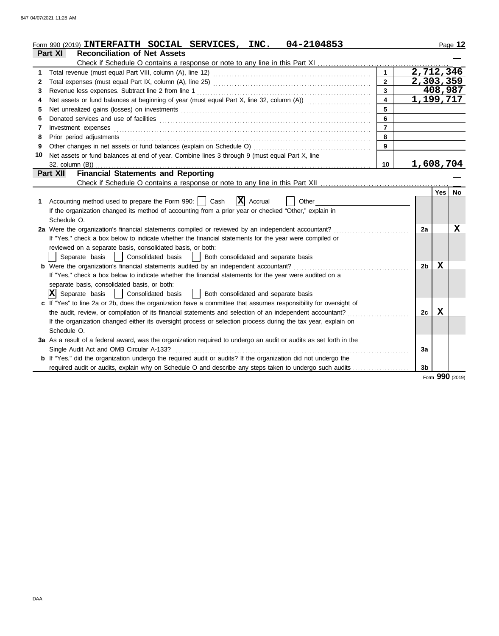| Part XI<br><b>Reconciliation of Net Assets</b><br>Check if Schedule O contains a response or note to any line in this Part XI<br>1<br>$\mathbf{2}$<br>2<br>3<br>Net assets or fund balances at beginning of year (must equal Part X, line 32, column (A))<br>4<br>4<br>5                                                                                                                                                                                                                                       |                | 2,712,346<br>2,303,359<br>408,987<br>1,199,717 |
|----------------------------------------------------------------------------------------------------------------------------------------------------------------------------------------------------------------------------------------------------------------------------------------------------------------------------------------------------------------------------------------------------------------------------------------------------------------------------------------------------------------|----------------|------------------------------------------------|
|                                                                                                                                                                                                                                                                                                                                                                                                                                                                                                                |                |                                                |
|                                                                                                                                                                                                                                                                                                                                                                                                                                                                                                                |                |                                                |
|                                                                                                                                                                                                                                                                                                                                                                                                                                                                                                                |                |                                                |
|                                                                                                                                                                                                                                                                                                                                                                                                                                                                                                                |                |                                                |
|                                                                                                                                                                                                                                                                                                                                                                                                                                                                                                                |                |                                                |
|                                                                                                                                                                                                                                                                                                                                                                                                                                                                                                                |                |                                                |
| Net unrealized gains (losses) on investments [11] matter contracts and the state of the state of the state of the state of the state of the state of the state of the state of the state of the state of the state of the stat<br>5                                                                                                                                                                                                                                                                            |                |                                                |
| 6<br>6                                                                                                                                                                                                                                                                                                                                                                                                                                                                                                         |                |                                                |
| $\overline{7}$<br>$Investment \textit{ expenses} \textit{________} \label{ex:ex:ex:1} \begin{minipage}[c]{0.9\linewidth} \textit{Investment} \textit{expenses} \end{minipage} \begin{minipage}[c]{0.9\linewidth} \textit{ex:1} & \textit{if} \textit{if} \textit{if} \textit{if} \textit{if} \textit{if} \textit{if} \textit{if} \textit{if} \textit{if} \textit{if} \textit{if} \textit{if} \textit{if} \textit{if} \textit{if} \textit{if} \textit{if} \textit{if} \textit{if} \textit{if} \textit{if}$<br>7 |                |                                                |
| Prior period adjustments<br>8<br>8                                                                                                                                                                                                                                                                                                                                                                                                                                                                             |                |                                                |
| Other changes in net assets or fund balances (explain on Schedule O)<br>9<br>9                                                                                                                                                                                                                                                                                                                                                                                                                                 |                |                                                |
| 10<br>Net assets or fund balances at end of year. Combine lines 3 through 9 (must equal Part X, line                                                                                                                                                                                                                                                                                                                                                                                                           |                |                                                |
| 10                                                                                                                                                                                                                                                                                                                                                                                                                                                                                                             |                | 1,608,704                                      |
| <b>Financial Statements and Reporting</b><br>Part XII                                                                                                                                                                                                                                                                                                                                                                                                                                                          |                |                                                |
|                                                                                                                                                                                                                                                                                                                                                                                                                                                                                                                |                |                                                |
|                                                                                                                                                                                                                                                                                                                                                                                                                                                                                                                |                | Yes<br>No                                      |
| $ \mathbf{X} $ Accrual<br>1 Accounting method used to prepare the Form 990:     Cash<br>Other                                                                                                                                                                                                                                                                                                                                                                                                                  |                |                                                |
| If the organization changed its method of accounting from a prior year or checked "Other," explain in                                                                                                                                                                                                                                                                                                                                                                                                          |                |                                                |
| Schedule O.                                                                                                                                                                                                                                                                                                                                                                                                                                                                                                    |                |                                                |
| 2a Were the organization's financial statements compiled or reviewed by an independent accountant?                                                                                                                                                                                                                                                                                                                                                                                                             | 2a             | X                                              |
| If "Yes," check a box below to indicate whether the financial statements for the year were compiled or                                                                                                                                                                                                                                                                                                                                                                                                         |                |                                                |
| reviewed on a separate basis, consolidated basis, or both:                                                                                                                                                                                                                                                                                                                                                                                                                                                     |                |                                                |
| Separate basis<br>  Consolidated basis<br>Both consolidated and separate basis<br>$\mathbf{I}$                                                                                                                                                                                                                                                                                                                                                                                                                 |                |                                                |
| <b>b</b> Were the organization's financial statements audited by an independent accountant?                                                                                                                                                                                                                                                                                                                                                                                                                    | 2 <sub>b</sub> | X                                              |
| If "Yes," check a box below to indicate whether the financial statements for the year were audited on a                                                                                                                                                                                                                                                                                                                                                                                                        |                |                                                |
| separate basis, consolidated basis, or both:                                                                                                                                                                                                                                                                                                                                                                                                                                                                   |                |                                                |
| $ \mathbf{X} $ Separate basis<br>  Consolidated basis<br>Both consolidated and separate basis                                                                                                                                                                                                                                                                                                                                                                                                                  |                |                                                |
| c If "Yes" to line 2a or 2b, does the organization have a committee that assumes responsibility for oversight of                                                                                                                                                                                                                                                                                                                                                                                               |                |                                                |
| the audit, review, or compilation of its financial statements and selection of an independent accountant?                                                                                                                                                                                                                                                                                                                                                                                                      | 2с             | X                                              |
| If the organization changed either its oversight process or selection process during the tax year, explain on                                                                                                                                                                                                                                                                                                                                                                                                  |                |                                                |
| Schedule O.                                                                                                                                                                                                                                                                                                                                                                                                                                                                                                    |                |                                                |
| 3a As a result of a federal award, was the organization required to undergo an audit or audits as set forth in the                                                                                                                                                                                                                                                                                                                                                                                             |                |                                                |
| Single Audit Act and OMB Circular A-133?                                                                                                                                                                                                                                                                                                                                                                                                                                                                       | 3a             |                                                |
| <b>b</b> If "Yes," did the organization undergo the required audit or audits? If the organization did not undergo the                                                                                                                                                                                                                                                                                                                                                                                          |                |                                                |
| required audit or audits, explain why on Schedule O and describe any steps taken to undergo such audits                                                                                                                                                                                                                                                                                                                                                                                                        | 3 <sub>b</sub> |                                                |

Form **990** (2019)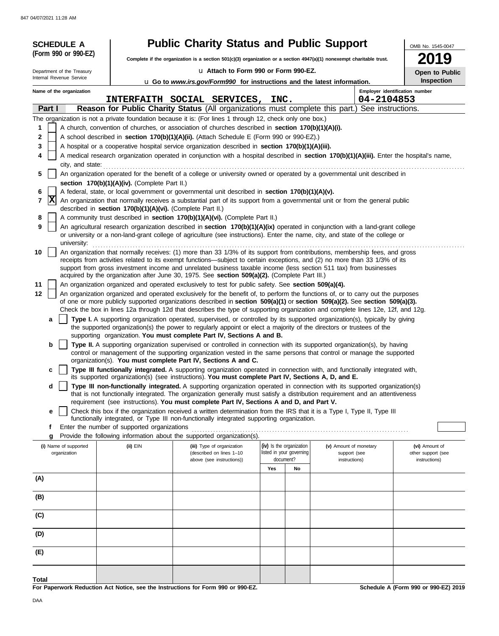|                     | <b>SCHEDULE A</b>                                                                                                                                                                                                                      |                                                            |  | <b>Public Charity Status and Public Support</b>                                                                                                                                                                                                                 |     |                                       |                               |            | OMB No. 1545-0047                    |  |
|---------------------|----------------------------------------------------------------------------------------------------------------------------------------------------------------------------------------------------------------------------------------|------------------------------------------------------------|--|-----------------------------------------------------------------------------------------------------------------------------------------------------------------------------------------------------------------------------------------------------------------|-----|---------------------------------------|-------------------------------|------------|--------------------------------------|--|
|                     | (Form 990 or 990-EZ)                                                                                                                                                                                                                   |                                                            |  | Complete if the organization is a section $501(c)(3)$ organization or a section $4947(a)(1)$ nonexempt charitable trust.                                                                                                                                        |     |                                       |                               |            | 19                                   |  |
|                     | Department of the Treasury                                                                                                                                                                                                             |                                                            |  | La Attach to Form 990 or Form 990-EZ.                                                                                                                                                                                                                           |     |                                       |                               |            | Open to Public                       |  |
|                     | Internal Revenue Service                                                                                                                                                                                                               |                                                            |  | u Go to www.irs.gov/Form990 for instructions and the latest information.                                                                                                                                                                                        |     |                                       |                               |            | Inspection                           |  |
|                     | Name of the organization                                                                                                                                                                                                               |                                                            |  | INTERFAITH SOCIAL SERVICES, INC.                                                                                                                                                                                                                                |     |                                       |                               | 04-2104853 | Employer identification number       |  |
|                     | Part I                                                                                                                                                                                                                                 |                                                            |  | Reason for Public Charity Status (All organizations must complete this part.) See instructions.                                                                                                                                                                 |     |                                       |                               |            |                                      |  |
|                     |                                                                                                                                                                                                                                        |                                                            |  | The organization is not a private foundation because it is: (For lines 1 through 12, check only one box.)                                                                                                                                                       |     |                                       |                               |            |                                      |  |
| 1                   |                                                                                                                                                                                                                                        |                                                            |  | A church, convention of churches, or association of churches described in section 170(b)(1)(A)(i).                                                                                                                                                              |     |                                       |                               |            |                                      |  |
| 2                   |                                                                                                                                                                                                                                        |                                                            |  | A school described in section 170(b)(1)(A)(ii). (Attach Schedule E (Form 990 or 990-EZ).)                                                                                                                                                                       |     |                                       |                               |            |                                      |  |
| 3                   |                                                                                                                                                                                                                                        |                                                            |  | A hospital or a cooperative hospital service organization described in section 170(b)(1)(A)(iii).                                                                                                                                                               |     |                                       |                               |            |                                      |  |
|                     | A medical research organization operated in conjunction with a hospital described in section 170(b)(1)(A)(iii). Enter the hospital's name,<br>city, and state:                                                                         |                                                            |  |                                                                                                                                                                                                                                                                 |     |                                       |                               |            |                                      |  |
| 5                   | An organization operated for the benefit of a college or university owned or operated by a governmental unit described in                                                                                                              |                                                            |  |                                                                                                                                                                                                                                                                 |     |                                       |                               |            |                                      |  |
|                     | section $170(b)(1)(A)(iv)$ . (Complete Part II.)                                                                                                                                                                                       |                                                            |  |                                                                                                                                                                                                                                                                 |     |                                       |                               |            |                                      |  |
| 6<br>$\overline{7}$ | A federal, state, or local government or governmental unit described in section 170(b)(1)(A)(v).<br> X<br>An organization that normally receives a substantial part of its support from a governmental unit or from the general public |                                                            |  |                                                                                                                                                                                                                                                                 |     |                                       |                               |            |                                      |  |
|                     |                                                                                                                                                                                                                                        | described in section 170(b)(1)(A)(vi). (Complete Part II.) |  |                                                                                                                                                                                                                                                                 |     |                                       |                               |            |                                      |  |
| 8                   |                                                                                                                                                                                                                                        |                                                            |  | A community trust described in section 170(b)(1)(A)(vi). (Complete Part II.)                                                                                                                                                                                    |     |                                       |                               |            |                                      |  |
| 9                   | university:                                                                                                                                                                                                                            |                                                            |  | An agricultural research organization described in section 170(b)(1)(A)(ix) operated in conjunction with a land-grant college<br>or university or a non-land-grant college of agriculture (see instructions). Enter the name, city, and state of the college or |     |                                       |                               |            |                                      |  |
| 10                  |                                                                                                                                                                                                                                        |                                                            |  | An organization that normally receives: (1) more than 33 1/3% of its support from contributions, membership fees, and gross                                                                                                                                     |     |                                       |                               |            |                                      |  |
|                     |                                                                                                                                                                                                                                        |                                                            |  | receipts from activities related to its exempt functions—subject to certain exceptions, and (2) no more than 33 1/3% of its                                                                                                                                     |     |                                       |                               |            |                                      |  |
|                     |                                                                                                                                                                                                                                        |                                                            |  | support from gross investment income and unrelated business taxable income (less section 511 tax) from businesses<br>acquired by the organization after June 30, 1975. See section 509(a)(2). (Complete Part III.)                                              |     |                                       |                               |            |                                      |  |
| 11                  |                                                                                                                                                                                                                                        |                                                            |  | An organization organized and operated exclusively to test for public safety. See section 509(a)(4).                                                                                                                                                            |     |                                       |                               |            |                                      |  |
| 12                  |                                                                                                                                                                                                                                        |                                                            |  | An organization organized and operated exclusively for the benefit of, to perform the functions of, or to carry out the purposes<br>of one or more publicly supported organizations described in section 509(a)(1) or section 509(a)(2). See section 509(a)(3). |     |                                       |                               |            |                                      |  |
|                     |                                                                                                                                                                                                                                        |                                                            |  | Check the box in lines 12a through 12d that describes the type of supporting organization and complete lines 12e, 12f, and 12g.                                                                                                                                 |     |                                       |                               |            |                                      |  |
|                     | a                                                                                                                                                                                                                                      |                                                            |  | Type I. A supporting organization operated, supervised, or controlled by its supported organization(s), typically by giving                                                                                                                                     |     |                                       |                               |            |                                      |  |
|                     |                                                                                                                                                                                                                                        |                                                            |  | the supported organization(s) the power to regularly appoint or elect a majority of the directors or trustees of the<br>supporting organization. You must complete Part IV, Sections A and B.                                                                   |     |                                       |                               |            |                                      |  |
|                     | b                                                                                                                                                                                                                                      |                                                            |  | Type II. A supporting organization supervised or controlled in connection with its supported organization(s), by having                                                                                                                                         |     |                                       |                               |            |                                      |  |
|                     |                                                                                                                                                                                                                                        |                                                            |  | control or management of the supporting organization vested in the same persons that control or manage the supported                                                                                                                                            |     |                                       |                               |            |                                      |  |
|                     |                                                                                                                                                                                                                                        |                                                            |  | organization(s). You must complete Part IV, Sections A and C.<br>Type III functionally integrated. A supporting organization operated in connection with, and functionally integrated with,                                                                     |     |                                       |                               |            |                                      |  |
|                     | c                                                                                                                                                                                                                                      |                                                            |  | its supported organization(s) (see instructions). You must complete Part IV, Sections A, D, and E.                                                                                                                                                              |     |                                       |                               |            |                                      |  |
|                     | d                                                                                                                                                                                                                                      |                                                            |  | Type III non-functionally integrated. A supporting organization operated in connection with its supported organization(s)                                                                                                                                       |     |                                       |                               |            |                                      |  |
|                     |                                                                                                                                                                                                                                        |                                                            |  | that is not functionally integrated. The organization generally must satisfy a distribution requirement and an attentiveness<br>requirement (see instructions). You must complete Part IV, Sections A and D, and Part V.                                        |     |                                       |                               |            |                                      |  |
|                     | е                                                                                                                                                                                                                                      |                                                            |  | Check this box if the organization received a written determination from the IRS that it is a Type I, Type II, Type III                                                                                                                                         |     |                                       |                               |            |                                      |  |
|                     |                                                                                                                                                                                                                                        | Enter the number of supported organizations                |  | functionally integrated, or Type III non-functionally integrated supporting organization.                                                                                                                                                                       |     |                                       |                               |            |                                      |  |
|                     | f<br>g                                                                                                                                                                                                                                 |                                                            |  | Provide the following information about the supported organization(s).                                                                                                                                                                                          |     |                                       |                               |            |                                      |  |
|                     | (i) Name of supported                                                                                                                                                                                                                  | (ii) EIN                                                   |  | (iii) Type of organization                                                                                                                                                                                                                                      |     | (iv) Is the organization              | (v) Amount of monetary        |            | (vi) Amount of                       |  |
|                     | organization                                                                                                                                                                                                                           |                                                            |  | (described on lines 1-10<br>above (see instructions))                                                                                                                                                                                                           |     | listed in your governing<br>document? | support (see<br>instructions) |            | other support (see<br>instructions)  |  |
|                     |                                                                                                                                                                                                                                        |                                                            |  |                                                                                                                                                                                                                                                                 | Yes | No                                    |                               |            |                                      |  |
| (A)                 |                                                                                                                                                                                                                                        |                                                            |  |                                                                                                                                                                                                                                                                 |     |                                       |                               |            |                                      |  |
|                     |                                                                                                                                                                                                                                        |                                                            |  |                                                                                                                                                                                                                                                                 |     |                                       |                               |            |                                      |  |
| (B)                 |                                                                                                                                                                                                                                        |                                                            |  |                                                                                                                                                                                                                                                                 |     |                                       |                               |            |                                      |  |
| (C)                 |                                                                                                                                                                                                                                        |                                                            |  |                                                                                                                                                                                                                                                                 |     |                                       |                               |            |                                      |  |
| (D)                 |                                                                                                                                                                                                                                        |                                                            |  |                                                                                                                                                                                                                                                                 |     |                                       |                               |            |                                      |  |
| (E)                 |                                                                                                                                                                                                                                        |                                                            |  |                                                                                                                                                                                                                                                                 |     |                                       |                               |            |                                      |  |
|                     |                                                                                                                                                                                                                                        |                                                            |  |                                                                                                                                                                                                                                                                 |     |                                       |                               |            |                                      |  |
| Total               |                                                                                                                                                                                                                                        |                                                            |  | For Paperwork Reduction Act Notice, see the Instructions for Form 990 or 990-F7                                                                                                                                                                                 |     |                                       |                               |            | Schodule A (Form 990 or 990-F7) 2019 |  |

**For Paperwork Reduction Act Notice, see the Instructions for Form 990 or 990-EZ.**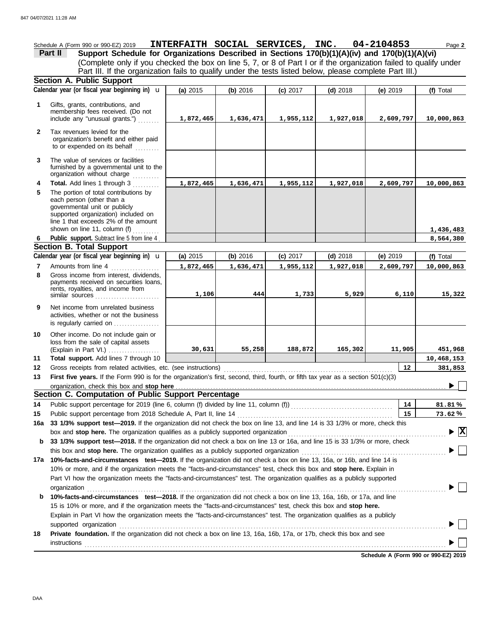(Explain in Part VI.) . . . . . . . . . . . . . . . . . . . governmental unit or publicly **Section A. Public Support Total support.** Add lines 7 through 10 loss from the sale of capital assets Other income. Do not include gain or is regularly carried on . . . . . . . . . . . . . . . activities, whether or not the business Net income from unrelated business rents, royalties, and income from payments received on securities loans, Gross income from interest, dividends, line 1 that exceeds 2% of the amount supported organization) included on each person (other than a The portion of total contributions by **Total.** Add lines 1 through 3 .......... The value of services or facilities to or expended on its behalf ......... organization's benefit and either paid Tax revenues levied for the First five years. If the Form 990 is for the organization's first, second, third, fourth, or fifth tax year as a section 501(c)(3) Gross receipts from related activities, etc. (see instructions) . . . . . . . . . . . . . . . . . . . . . . . . . . . . . . . . . . . . . . . . . . . . . . . . . . . . . . . . . . . . . . . Amounts from line 4 Public support. Subtract line 5 from line 4 include any "unusual grants.") . . . . . . . . membership fees received. (Do not Gifts, grants, contributions, and Schedule A (Form 990 or 990-EZ) 2019 **INTERFAITH SOCIAL SERVICES, INC. 04-2104853** Page 2 **13 12 11 9 8 6 4 3 2 1 (a)** 2015 **(b)** 2016 **(c)** 2017 **(d)** 2018 **(e)** 2019 (Complete only if you checked the box on line 5, 7, or 8 of Part I or if the organization failed to qualify under **Part II Support Schedule for Organizations Described in Sections 170(b)(1)(A)(iv) and 170(b)(1)(A)(vi)** Calendar year (or fiscal year beginning in) **\u** | (a) 2015 | (b) 2016 | (c) 2017 | (d) 2018 | (e) 2019 | (f) Total furnished by a governmental unit to the organization without charge **5 Section B. Total Support 7** similar sources **10** organization, check this box and stop here **Section C. Computation of Public Support Percentage 12 14** Public support percentage for 2019 (line 6, column (f) divided by line 11, column (f)) . . . . . . . . . . . . . . . . . . . . . . . . . . . . . . . . . . . . . . Public support percentage from 2018 Schedule A, Part II, line 14 . . . . . . . . . . . . . . . . . . . . . . . . . . . . . . . . . . . . . . . . . . . . . . . . . . . . . . . . . . **15 16a 33 1/3% support test—2019.** If the organization did not check the box on line 13, and line 14 is 33 1/3% or more, check this box and stop here. The organization qualifies as a publicly supported organization .............. **b 33 1/3% support test—2018.** If the organization did not check a box on line 13 or 16a, and line 15 is 33 1/3% or more, check this box and stop here. The organization qualifies as a publicly supported organization ......................... **17a 10%-facts-and-circumstances test—2019.** If the organization did not check a box on line 13, 16a, or 16b, and line 14 is 10% or more, and if the organization meets the "facts-and-circumstances" test, check this box and **stop here.** Explain in Part VI how the organization meets the "facts-and-circumstances" test. The organization qualifies as a publicly supported **b 10%-facts-and-circumstances test—2018.** If the organization did not check a box on line 13, 16a, 16b, or 17a, and line Explain in Part VI how the organization meets the "facts-and-circumstances" test. The organization qualifies as a publicly 15 is 10% or more, and if the organization meets the "facts-and-circumstances" test, check this box and **stop here. 18 Private foundation.** If the organization did not check a box on line 13, 16a, 16b, 17a, or 17b, check this box and see **14 15 % 81.81 % 73.62** Calendar year (or fiscal year beginning in)  $\mathbf{u}$  (a) 2015 (b) 2016 (c) 2017 (d) 2018 (e) 2019 (f) Total Part III. If the organization fails to qualify under the tests listed below, please complete Part III.) **(a)** 2015 shown on line 11, column (f)  $\ldots$ organization . . . . . . . . . . . . . . . . . . . . . . . . . . . . . . . . . . . . . . . . . . . . . . . . . . . . . . . . . . . . . . . . . . . . . . . . . . . . . . . . . . . . . . . . . . . . . . . . . . . . . . . . . . . . . . . . . . . . . . . . . . . . . . . . . . . . . . supported organization . . . . . . . . . . . . . . . . . . . . . . . . . . . . . . . . . . . . . . . . . . . . . . . . . . . . . . . . . . . . . . . . . . . . . . . . . . . . . . . . . . . . . . . . . . . . . . . . . . . . . . . . . . . . . . . . . . . . . . . . . . instructions . . . . . . . . . . . . . . . . . . . . . . . . . . . . . . . . . . . . . . . . . . . . . . . . . . . . . . . . . . . . . . . . . . . . . . . . . . . . . . . . . . . . . . . . . . . . . . . . . . . . . . . . . . . . . . . . . . . . . . . . . . . . . . . . . . . . . . . u **(b)** 2016 **(c)** 2017 **(d)** 2018 **(e)** 2019 **1,872,465 1,636,471 1,955,112 1,927,018 2,609,797 10,000,863 1,872,465 1,636,471 1,955,112 1,927,018 2,609,797 10,000,863 1,436,483 8,564,380 1,872,465 1,636,471 1,955,112 1,927,018 2,609,797 10,000,863 1,106 444 1,733 5,929 6,110 15,322 30,631 55,258 188,872 165,302 11,905 451,968 10,468,153 381,853 X**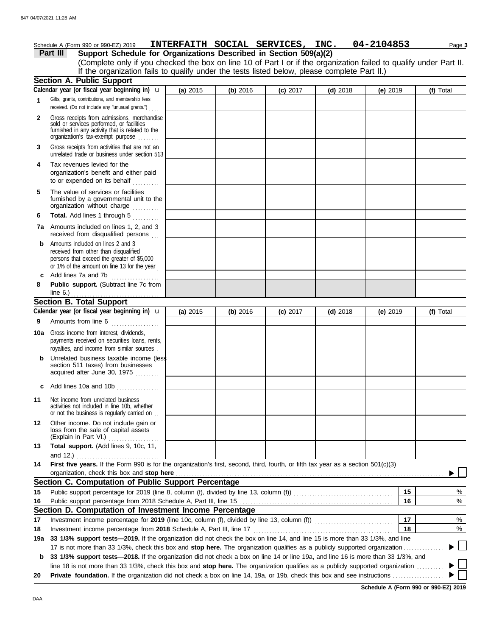|     | Schedule A (Form 990 or 990-EZ) 2019                                                                                                                                                                                                                                 |            |          | INTERFAITH SOCIAL SERVICES, INC. |            | 04-2104853 | Page 3    |
|-----|----------------------------------------------------------------------------------------------------------------------------------------------------------------------------------------------------------------------------------------------------------------------|------------|----------|----------------------------------|------------|------------|-----------|
|     | Support Schedule for Organizations Described in Section 509(a)(2)<br>Part III                                                                                                                                                                                        |            |          |                                  |            |            |           |
|     | (Complete only if you checked the box on line 10 of Part I or if the organization failed to qualify under Part II.                                                                                                                                                   |            |          |                                  |            |            |           |
|     | If the organization fails to qualify under the tests listed below, please complete Part II.)                                                                                                                                                                         |            |          |                                  |            |            |           |
|     | <b>Section A. Public Support</b>                                                                                                                                                                                                                                     |            |          |                                  |            |            |           |
|     | Calendar year (or fiscal year beginning in) $\mathbf u$                                                                                                                                                                                                              | (a) 2015   | (b) 2016 | $(c)$ 2017                       | $(d)$ 2018 | (e) $2019$ | (f) Total |
| 1   | Gifts, grants, contributions, and membership fees<br>received. (Do not include any "unusual grants.")                                                                                                                                                                |            |          |                                  |            |            |           |
| 2   | Gross receipts from admissions, merchandise<br>sold or services performed, or facilities<br>furnished in any activity that is related to the<br>organization's tax-exempt purpose                                                                                    |            |          |                                  |            |            |           |
| 3   | Gross receipts from activities that are not an<br>unrelated trade or business under section 513                                                                                                                                                                      |            |          |                                  |            |            |           |
| 4   | Tax revenues levied for the<br>organization's benefit and either paid<br>to or expended on its behalf                                                                                                                                                                |            |          |                                  |            |            |           |
| 5   | The value of services or facilities<br>furnished by a governmental unit to the<br>organization without charge                                                                                                                                                        |            |          |                                  |            |            |           |
| 6   | Total. Add lines 1 through 5                                                                                                                                                                                                                                         |            |          |                                  |            |            |           |
|     | 7a Amounts included on lines 1, 2, and 3<br>received from disqualified persons                                                                                                                                                                                       |            |          |                                  |            |            |           |
| b   | Amounts included on lines 2 and 3<br>received from other than disqualified<br>persons that exceed the greater of \$5,000<br>or 1% of the amount on line 13 for the year                                                                                              |            |          |                                  |            |            |           |
| C   | Add lines 7a and 7b<br>.                                                                                                                                                                                                                                             |            |          |                                  |            |            |           |
| 8   | Public support. (Subtract line 7c from                                                                                                                                                                                                                               |            |          |                                  |            |            |           |
|     | <b>Section B. Total Support</b>                                                                                                                                                                                                                                      |            |          |                                  |            |            |           |
|     | Calendar year (or fiscal year beginning in) $\mathbf u$                                                                                                                                                                                                              | (a) $2015$ | (b) 2016 | $(c)$ 2017                       | $(d)$ 2018 | (e) $2019$ | (f) Total |
| 9   | Amounts from line 6                                                                                                                                                                                                                                                  |            |          |                                  |            |            |           |
| 10a | Gross income from interest, dividends,<br>payments received on securities loans, rents,<br>royalties, and income from similar sources.                                                                                                                               |            |          |                                  |            |            |           |
|     | Unrelated business taxable income (less<br>section 511 taxes) from businesses<br>acquired after June 30, 1975                                                                                                                                                        |            |          |                                  |            |            |           |
|     | c Add lines 10a and 10b                                                                                                                                                                                                                                              |            |          |                                  |            |            |           |
| 11  | Net income from unrelated business<br>activities not included in line 10b, whether<br>or not the business is regularly carried on                                                                                                                                    |            |          |                                  |            |            |           |
| 12  | Other income. Do not include gain or<br>loss from the sale of capital assets<br>(Explain in Part VI.)                                                                                                                                                                |            |          |                                  |            |            |           |
| 13  | Total support. (Add lines 9, 10c, 11,<br>and 12.)                                                                                                                                                                                                                    |            |          |                                  |            |            |           |
| 14  | First five years. If the Form 990 is for the organization's first, second, third, fourth, or fifth tax year as a section 501(c)(3)<br>organization, check this box and stop here                                                                                     |            |          |                                  |            |            |           |
|     | Section C. Computation of Public Support Percentage                                                                                                                                                                                                                  |            |          |                                  |            |            |           |
| 15  |                                                                                                                                                                                                                                                                      |            |          |                                  |            |            | 15<br>%   |
| 16  |                                                                                                                                                                                                                                                                      |            |          |                                  |            |            | %<br>16   |
|     | Section D. Computation of Investment Income Percentage                                                                                                                                                                                                               |            |          |                                  |            |            |           |
| 17  |                                                                                                                                                                                                                                                                      |            |          |                                  |            | 17         | %         |
| 18  |                                                                                                                                                                                                                                                                      |            |          |                                  |            |            | %<br>18   |
| 19a | 33 1/3% support tests—2019. If the organization did not check the box on line 14, and line 15 is more than 33 1/3%, and line                                                                                                                                         |            |          |                                  |            |            |           |
|     | 17 is not more than 33 1/3%, check this box and stop here. The organization qualifies as a publicly supported organization.                                                                                                                                          |            |          |                                  |            |            |           |
| b   | 33 1/3% support tests—2018. If the organization did not check a box on line 14 or line 19a, and line 16 is more than 33 1/3%, and<br>line 18 is not more than 33 1/3%, check this box and stop here. The organization qualifies as a publicly supported organization |            |          |                                  |            |            |           |
| 20  | Private foundation. If the organization did not check a box on line 14, 19a, or 19b, check this box and see instructions                                                                                                                                             |            |          |                                  |            |            |           |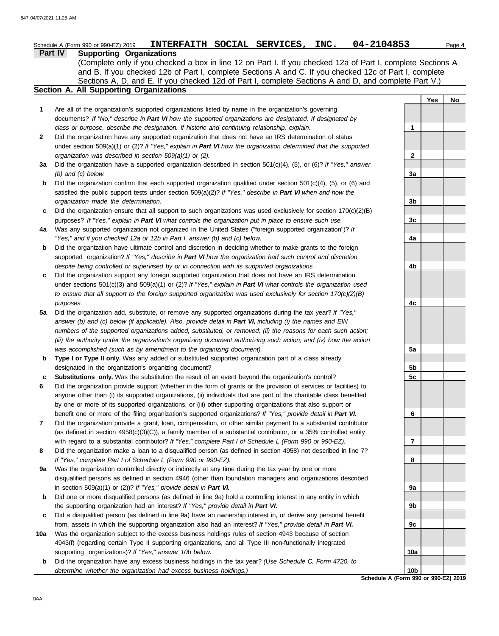|              | INTERFAITH SOCIAL SERVICES, INC. 04-2104853<br>Schedule A (Form 990 or 990-EZ) 2019                                 |                 | Page 4           |
|--------------|---------------------------------------------------------------------------------------------------------------------|-----------------|------------------|
|              | Part IV<br><b>Supporting Organizations</b>                                                                          |                 |                  |
|              | (Complete only if you checked a box in line 12 on Part I. If you checked 12a of Part I, complete Sections A         |                 |                  |
|              | and B. If you checked 12b of Part I, complete Sections A and C. If you checked 12c of Part I, complete              |                 |                  |
|              | Sections A, D, and E. If you checked 12d of Part I, complete Sections A and D, and complete Part V.)                |                 |                  |
|              | <b>Section A. All Supporting Organizations</b>                                                                      |                 |                  |
|              |                                                                                                                     |                 | <b>Yes</b><br>No |
| 1            | Are all of the organization's supported organizations listed by name in the organization's governing                |                 |                  |
|              | documents? If "No," describe in Part VI how the supported organizations are designated. If designated by            |                 |                  |
|              | class or purpose, describe the designation. If historic and continuing relationship, explain.                       | 1               |                  |
| $\mathbf{2}$ | Did the organization have any supported organization that does not have an IRS determination of status              |                 |                  |
|              | under section 509(a)(1) or (2)? If "Yes," explain in Part VI how the organization determined that the supported     |                 |                  |
|              | organization was described in section 509(a)(1) or (2).                                                             | $\mathbf{2}$    |                  |
| За           | Did the organization have a supported organization described in section 501(c)(4), (5), or (6)? If "Yes," answer    |                 |                  |
|              | $(b)$ and $(c)$ below.                                                                                              | 3a              |                  |
| b            | Did the organization confirm that each supported organization qualified under section $501(c)(4)$ , (5), or (6) and |                 |                  |
|              | satisfied the public support tests under section 509(a)(2)? If "Yes," describe in Part VI when and how the          |                 |                  |
|              | organization made the determination.                                                                                | 3b              |                  |
| c            | Did the organization ensure that all support to such organizations was used exclusively for section $170(c)(2)(B)$  |                 |                  |
|              | purposes? If "Yes," explain in Part VI what controls the organization put in place to ensure such use.              | 3c              |                  |
| 4a           | Was any supported organization not organized in the United States ("foreign supported organization")? If            |                 |                  |
|              | "Yes," and if you checked 12a or 12b in Part I, answer (b) and (c) below.                                           | 4a              |                  |
| b            | Did the organization have ultimate control and discretion in deciding whether to make grants to the foreign         |                 |                  |
|              | supported organization? If "Yes," describe in Part VI how the organization had such control and discretion          |                 |                  |
|              | despite being controlled or supervised by or in connection with its supported organizations.                        | 4b              |                  |
| c            | Did the organization support any foreign supported organization that does not have an IRS determination             |                 |                  |
|              | under sections $501(c)(3)$ and $509(a)(1)$ or (2)? If "Yes," explain in Part VI what controls the organization used |                 |                  |
|              | to ensure that all support to the foreign supported organization was used exclusively for section $170(c)(2)(B)$    |                 |                  |
|              | purposes.                                                                                                           | 4c              |                  |
| 5a           | Did the organization add, substitute, or remove any supported organizations during the tax year? If "Yes,"          |                 |                  |
|              | answer (b) and (c) below (if applicable). Also, provide detail in Part VI, including (i) the names and EIN          |                 |                  |
|              | numbers of the supported organizations added, substituted, or removed; (ii) the reasons for each such action;       |                 |                  |
|              | (iii) the authority under the organization's organizing document authorizing such action; and (iv) how the action   |                 |                  |
|              | was accomplished (such as by amendment to the organizing document).                                                 | 5a              |                  |
| b            | Type I or Type II only. Was any added or substituted supported organization part of a class already                 |                 |                  |
|              | designated in the organization's organizing document?                                                               | 5b              |                  |
| c            | Substitutions only. Was the substitution the result of an event beyond the organization's control?                  | 5c              |                  |
| 6            | Did the organization provide support (whether in the form of grants or the provision of services or facilities) to  |                 |                  |
|              | anyone other than (i) its supported organizations, (ii) individuals that are part of the charitable class benefited |                 |                  |
|              | by one or more of its supported organizations, or (iii) other supporting organizations that also support or         |                 |                  |
|              | benefit one or more of the filing organization's supported organizations? If "Yes," provide detail in Part VI.      | 6               |                  |
| 7            | Did the organization provide a grant, loan, compensation, or other similar payment to a substantial contributor     |                 |                  |
|              | (as defined in section $4958(c)(3)(C)$ ), a family member of a substantial contributor, or a 35% controlled entity  |                 |                  |
|              | with regard to a substantial contributor? If "Yes," complete Part I of Schedule L (Form 990 or 990-EZ).             | 7               |                  |
| 8            | Did the organization make a loan to a disqualified person (as defined in section 4958) not described in line 7?     |                 |                  |
|              | If "Yes," complete Part I of Schedule L (Form 990 or 990-EZ).                                                       | 8               |                  |
| 9a           | Was the organization controlled directly or indirectly at any time during the tax year by one or more               |                 |                  |
|              | disqualified persons as defined in section 4946 (other than foundation managers and organizations described         |                 |                  |
|              | in section $509(a)(1)$ or $(2)$ ? If "Yes," provide detail in Part VI.                                              | 9а              |                  |
| b            | Did one or more disqualified persons (as defined in line 9a) hold a controlling interest in any entity in which     |                 |                  |
|              | the supporting organization had an interest? If "Yes," provide detail in Part VI.                                   | 9b              |                  |
| c            | Did a disqualified person (as defined in line 9a) have an ownership interest in, or derive any personal benefit     |                 |                  |
|              | from, assets in which the supporting organization also had an interest? If "Yes," provide detail in Part VI.        | 9с              |                  |
| 10a          | Was the organization subject to the excess business holdings rules of section 4943 because of section               |                 |                  |
|              | 4943(f) (regarding certain Type II supporting organizations, and all Type III non-functionally integrated           |                 |                  |
|              | supporting organizations)? If "Yes," answer 10b below.                                                              | 10a             |                  |
| b            | Did the organization have any excess business holdings in the tax year? (Use Schedule C, Form 4720, to              |                 |                  |
|              | determine whether the organization had excess business holdings.)                                                   | 10 <sub>b</sub> |                  |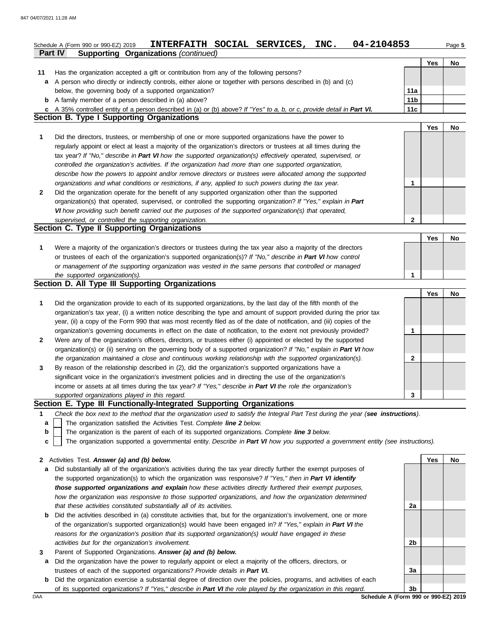|              | 04-2104853<br>INTERFAITH SOCIAL SERVICES,<br>INC.<br>Schedule A (Form 990 or 990-EZ) 2019                                                                                                                                        |                        |     | Page 5 |
|--------------|----------------------------------------------------------------------------------------------------------------------------------------------------------------------------------------------------------------------------------|------------------------|-----|--------|
|              | <b>Supporting Organizations (continued)</b><br>Part IV                                                                                                                                                                           |                        |     |        |
|              |                                                                                                                                                                                                                                  |                        | Yes | No     |
| 11           | Has the organization accepted a gift or contribution from any of the following persons?                                                                                                                                          |                        |     |        |
| a            | A person who directly or indirectly controls, either alone or together with persons described in (b) and (c)                                                                                                                     |                        |     |        |
|              | below, the governing body of a supported organization?                                                                                                                                                                           | 11a<br>11 <sub>b</sub> |     |        |
|              | <b>b</b> A family member of a person described in (a) above?                                                                                                                                                                     | 11c                    |     |        |
|              | c A 35% controlled entity of a person described in (a) or (b) above? If "Yes" to a, b, or c, provide detail in Part VI.<br>Section B. Type I Supporting Organizations                                                            |                        |     |        |
|              |                                                                                                                                                                                                                                  |                        | Yes | No     |
| 1            | Did the directors, trustees, or membership of one or more supported organizations have the power to                                                                                                                              |                        |     |        |
|              | regularly appoint or elect at least a majority of the organization's directors or trustees at all times during the                                                                                                               |                        |     |        |
|              | tax year? If "No," describe in Part VI how the supported organization(s) effectively operated, supervised, or                                                                                                                    |                        |     |        |
|              | controlled the organization's activities. If the organization had more than one supported organization,                                                                                                                          |                        |     |        |
|              | describe how the powers to appoint and/or remove directors or trustees were allocated among the supported                                                                                                                        |                        |     |        |
|              | organizations and what conditions or restrictions, if any, applied to such powers during the tax year.                                                                                                                           | 1                      |     |        |
| $\mathbf{2}$ | Did the organization operate for the benefit of any supported organization other than the supported                                                                                                                              |                        |     |        |
|              | organization(s) that operated, supervised, or controlled the supporting organization? If "Yes," explain in Part                                                                                                                  |                        |     |        |
|              | VI how providing such benefit carried out the purposes of the supported organization(s) that operated,                                                                                                                           |                        |     |        |
|              | supervised, or controlled the supporting organization.                                                                                                                                                                           | 2                      |     |        |
|              | Section C. Type II Supporting Organizations                                                                                                                                                                                      |                        |     |        |
|              |                                                                                                                                                                                                                                  |                        | Yes | No     |
| 1            | Were a majority of the organization's directors or trustees during the tax year also a majority of the directors                                                                                                                 |                        |     |        |
|              | or trustees of each of the organization's supported organization(s)? If "No," describe in Part VI how control                                                                                                                    |                        |     |        |
|              | or management of the supporting organization was vested in the same persons that controlled or managed                                                                                                                           |                        |     |        |
|              | the supported organization(s).                                                                                                                                                                                                   | 1                      |     |        |
|              | Section D. All Type III Supporting Organizations                                                                                                                                                                                 |                        |     |        |
|              |                                                                                                                                                                                                                                  |                        | Yes | No.    |
| 1            | Did the organization provide to each of its supported organizations, by the last day of the fifth month of the                                                                                                                   |                        |     |        |
|              |                                                                                                                                                                                                                                  |                        |     |        |
|              |                                                                                                                                                                                                                                  |                        |     |        |
|              | organization's tax year, (i) a written notice describing the type and amount of support provided during the prior tax                                                                                                            |                        |     |        |
|              | year, (ii) a copy of the Form 990 that was most recently filed as of the date of notification, and (iii) copies of the                                                                                                           |                        |     |        |
|              | organization's governing documents in effect on the date of notification, to the extent not previously provided?                                                                                                                 | 1                      |     |        |
| 2            | Were any of the organization's officers, directors, or trustees either (i) appointed or elected by the supported                                                                                                                 |                        |     |        |
|              | organization(s) or (ii) serving on the governing body of a supported organization? If "No," explain in Part VI how                                                                                                               |                        |     |        |
|              | the organization maintained a close and continuous working relationship with the supported organization(s).                                                                                                                      | 2                      |     |        |
| 3            | By reason of the relationship described in (2), did the organization's supported organizations have a                                                                                                                            |                        |     |        |
|              | significant voice in the organization's investment policies and in directing the use of the organization's                                                                                                                       |                        |     |        |
|              | income or assets at all times during the tax year? If "Yes," describe in Part VI the role the organization's                                                                                                                     |                        |     |        |
|              | supported organizations played in this regard.                                                                                                                                                                                   | 3                      |     |        |
|              | Section E. Type III Functionally-Integrated Supporting Organizations                                                                                                                                                             |                        |     |        |
| 1            | Check the box next to the method that the organization used to satisfy the Integral Part Test during the year (see instructions).                                                                                                |                        |     |        |
| a            | The organization satisfied the Activities Test. Complete line 2 below.                                                                                                                                                           |                        |     |        |
| b<br>c       | The organization is the parent of each of its supported organizations. Complete line 3 below.                                                                                                                                    |                        |     |        |
|              | The organization supported a governmental entity. Describe in Part VI how you supported a government entity (see instructions).                                                                                                  |                        |     |        |
| $\mathbf{2}$ | Activities Test. Answer (a) and (b) below.                                                                                                                                                                                       |                        | Yes | No     |
| а            |                                                                                                                                                                                                                                  |                        |     |        |
|              | Did substantially all of the organization's activities during the tax year directly further the exempt purposes of<br>the supported organization(s) to which the organization was responsive? If "Yes," then in Part VI identify |                        |     |        |
|              | those supported organizations and explain how these activities directly furthered their exempt purposes,                                                                                                                         |                        |     |        |
|              | how the organization was responsive to those supported organizations, and how the organization determined                                                                                                                        |                        |     |        |
|              | that these activities constituted substantially all of its activities.                                                                                                                                                           | 2a                     |     |        |
| b            | Did the activities described in (a) constitute activities that, but for the organization's involvement, one or more                                                                                                              |                        |     |        |
|              | of the organization's supported organization(s) would have been engaged in? If "Yes," explain in Part VI the                                                                                                                     |                        |     |        |

*activities but for the organization's involvement.*

- **3** Parent of Supported Organizations. *Answer (a) and (b) below.*
	- **a** Did the organization have the power to regularly appoint or elect a majority of the officers, directors, or trustees of each of the supported organizations? *Provide details in Part VI.*
- **b** Did the organization exercise a substantial degree of direction over the policies, programs, and activities of each of its supported organizations? *If "Yes," describe in Part VI the role played by the organization in this regard.*

**2b 3a 3b**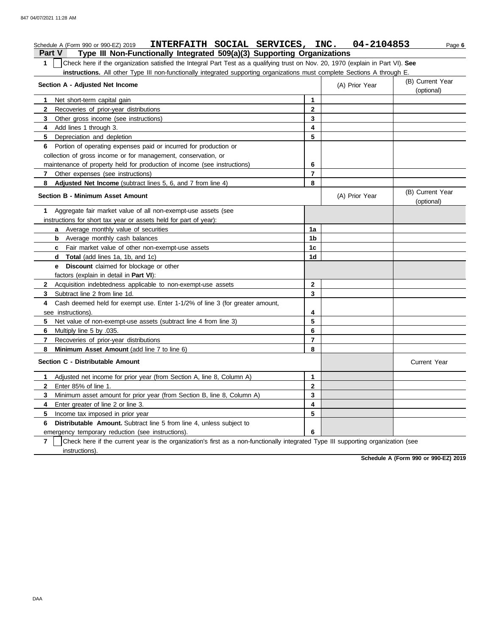| INTERFAITH SOCIAL SERVICES, INC.<br>Schedule A (Form 990 or 990-EZ) 2019                                                                            |                          | 04-2104853     | Page 6                         |
|-----------------------------------------------------------------------------------------------------------------------------------------------------|--------------------------|----------------|--------------------------------|
| Type III Non-Functionally Integrated 509(a)(3) Supporting Organizations<br><b>Part V</b>                                                            |                          |                |                                |
| 1<br>Check here if the organization satisfied the Integral Part Test as a qualifying trust on Nov. 20, 1970 (explain in Part VI). See               |                          |                |                                |
| instructions. All other Type III non-functionally integrated supporting organizations must complete Sections A through E.                           |                          |                |                                |
| Section A - Adjusted Net Income                                                                                                                     |                          | (A) Prior Year | (B) Current Year<br>(optional) |
| Net short-term capital gain<br>1                                                                                                                    | 1                        |                |                                |
| $\mathbf{2}$<br>Recoveries of prior-year distributions                                                                                              | $\mathbf{2}$             |                |                                |
| 3<br>Other gross income (see instructions)                                                                                                          | 3                        |                |                                |
| Add lines 1 through 3.<br>4                                                                                                                         | 4                        |                |                                |
| 5<br>Depreciation and depletion                                                                                                                     | 5                        |                |                                |
| Portion of operating expenses paid or incurred for production or<br>6                                                                               |                          |                |                                |
| collection of gross income or for management, conservation, or                                                                                      |                          |                |                                |
| maintenance of property held for production of income (see instructions)                                                                            | 6                        |                |                                |
| Other expenses (see instructions)<br>7                                                                                                              | $\overline{\phantom{a}}$ |                |                                |
| Adjusted Net Income (subtract lines 5, 6, and 7 from line 4)<br>8                                                                                   | 8                        |                |                                |
| Section B - Minimum Asset Amount                                                                                                                    |                          | (A) Prior Year | (B) Current Year<br>(optional) |
| Aggregate fair market value of all non-exempt-use assets (see<br>1                                                                                  |                          |                |                                |
| instructions for short tax year or assets held for part of year):                                                                                   |                          |                |                                |
| a Average monthly value of securities                                                                                                               | 1a                       |                |                                |
| <b>b</b> Average monthly cash balances                                                                                                              | 1b                       |                |                                |
| c Fair market value of other non-exempt-use assets                                                                                                  | 1c                       |                |                                |
| Total (add lines 1a, 1b, and 1c)<br>d                                                                                                               | 1d                       |                |                                |
| Discount claimed for blockage or other<br>е                                                                                                         |                          |                |                                |
| factors (explain in detail in Part VI):                                                                                                             |                          |                |                                |
| Acquisition indebtedness applicable to non-exempt-use assets<br>$\mathbf{2}$                                                                        | $\mathbf{2}$             |                |                                |
| Subtract line 2 from line 1d.<br>3                                                                                                                  | 3                        |                |                                |
| Cash deemed held for exempt use. Enter 1-1/2% of line 3 (for greater amount,<br>4                                                                   |                          |                |                                |
| see instructions)                                                                                                                                   | 4                        |                |                                |
| 5<br>Net value of non-exempt-use assets (subtract line 4 from line 3)                                                                               | 5                        |                |                                |
| Multiply line 5 by .035.<br>6                                                                                                                       | 6                        |                |                                |
| 7<br>Recoveries of prior-year distributions                                                                                                         | 7                        |                |                                |
| Minimum Asset Amount (add line 7 to line 6)<br>8                                                                                                    | 8                        |                |                                |
| Section C - Distributable Amount                                                                                                                    |                          |                | <b>Current Year</b>            |
| 1 Adjusted net income for prior year (from Section A, line 8, Column A)                                                                             | 1                        |                |                                |
| Enter 85% of line 1.<br>$\mathbf{z}$                                                                                                                | 2                        |                |                                |
| Minimum asset amount for prior year (from Section B, line 8, Column A)<br>3                                                                         | 3                        |                |                                |
| Enter greater of line 2 or line 3.<br>4                                                                                                             | 4                        |                |                                |
| 5<br>Income tax imposed in prior year                                                                                                               | 5                        |                |                                |
| Distributable Amount. Subtract line 5 from line 4, unless subject to<br>6                                                                           |                          |                |                                |
| emergency temporary reduction (see instructions).                                                                                                   | 6                        |                |                                |
| $\overline{7}$<br>Check here if the current year is the organization's first as a non-functionally integrated Type III supporting organization (see |                          |                |                                |
| instructions).                                                                                                                                      |                          |                |                                |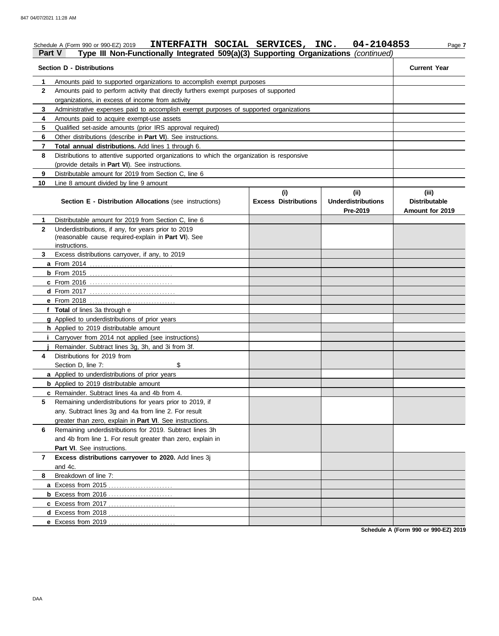| <b>Part V</b> | INTERFAITH SOCIAL SERVICES, INC.<br>Schedule A (Form 990 or 990-EZ) 2019<br>Type III Non-Functionally Integrated 509(a)(3) Supporting Organizations (continued) |                             | 04-2104853                            | Page 7                                  |
|---------------|-----------------------------------------------------------------------------------------------------------------------------------------------------------------|-----------------------------|---------------------------------------|-----------------------------------------|
|               | <b>Section D - Distributions</b>                                                                                                                                |                             |                                       | <b>Current Year</b>                     |
| 1             | Amounts paid to supported organizations to accomplish exempt purposes                                                                                           |                             |                                       |                                         |
| $\mathbf{2}$  | Amounts paid to perform activity that directly furthers exempt purposes of supported<br>organizations, in excess of income from activity                        |                             |                                       |                                         |
| 3             | Administrative expenses paid to accomplish exempt purposes of supported organizations                                                                           |                             |                                       |                                         |
| 4             | Amounts paid to acquire exempt-use assets                                                                                                                       |                             |                                       |                                         |
| 5             | Qualified set-aside amounts (prior IRS approval required)                                                                                                       |                             |                                       |                                         |
| 6             | Other distributions (describe in Part VI). See instructions.                                                                                                    |                             |                                       |                                         |
| 7             | Total annual distributions. Add lines 1 through 6.                                                                                                              |                             |                                       |                                         |
| 8             | Distributions to attentive supported organizations to which the organization is responsive                                                                      |                             |                                       |                                         |
|               | (provide details in Part VI). See instructions.                                                                                                                 |                             |                                       |                                         |
| 9             | Distributable amount for 2019 from Section C, line 6                                                                                                            |                             |                                       |                                         |
| 10            | Line 8 amount divided by line 9 amount                                                                                                                          |                             |                                       |                                         |
|               |                                                                                                                                                                 | (i)                         | (ii)                                  | (iii)                                   |
|               | <b>Section E - Distribution Allocations (see instructions)</b>                                                                                                  | <b>Excess Distributions</b> | <b>Underdistributions</b><br>Pre-2019 | <b>Distributable</b><br>Amount for 2019 |
| 1             | Distributable amount for 2019 from Section C, line 6                                                                                                            |                             |                                       |                                         |
| $\mathbf{2}$  | Underdistributions, if any, for years prior to 2019                                                                                                             |                             |                                       |                                         |
|               | (reasonable cause required-explain in Part VI). See                                                                                                             |                             |                                       |                                         |
|               | instructions.                                                                                                                                                   |                             |                                       |                                         |
| 3             | Excess distributions carryover, if any, to 2019                                                                                                                 |                             |                                       |                                         |
|               |                                                                                                                                                                 |                             |                                       |                                         |
|               |                                                                                                                                                                 |                             |                                       |                                         |
|               |                                                                                                                                                                 |                             |                                       |                                         |
|               | e From 2018                                                                                                                                                     |                             |                                       |                                         |
|               | f Total of lines 3a through e                                                                                                                                   |                             |                                       |                                         |
|               | g Applied to underdistributions of prior years                                                                                                                  |                             |                                       |                                         |
|               | h Applied to 2019 distributable amount                                                                                                                          |                             |                                       |                                         |
|               | <i>i</i> Carryover from 2014 not applied (see instructions)                                                                                                     |                             |                                       |                                         |
|               | Remainder. Subtract lines 3g, 3h, and 3i from 3f.                                                                                                               |                             |                                       |                                         |
| 4             | Distributions for 2019 from                                                                                                                                     |                             |                                       |                                         |
|               | Section D, line 7:<br>\$                                                                                                                                        |                             |                                       |                                         |
|               | a Applied to underdistributions of prior years                                                                                                                  |                             |                                       |                                         |
|               | <b>b</b> Applied to 2019 distributable amount                                                                                                                   |                             |                                       |                                         |
|               | c Remainder. Subtract lines 4a and 4b from 4.                                                                                                                   |                             |                                       |                                         |
| 5             | Remaining underdistributions for years prior to 2019, if                                                                                                        |                             |                                       |                                         |
|               | any. Subtract lines 3g and 4a from line 2. For result                                                                                                           |                             |                                       |                                         |
|               | greater than zero, explain in <b>Part VI</b> . See instructions.                                                                                                |                             |                                       |                                         |
| 6             | Remaining underdistributions for 2019. Subtract lines 3h                                                                                                        |                             |                                       |                                         |
|               | and 4b from line 1. For result greater than zero, explain in                                                                                                    |                             |                                       |                                         |
|               | <b>Part VI.</b> See instructions.                                                                                                                               |                             |                                       |                                         |
| 7             | Excess distributions carryover to 2020. Add lines 3j                                                                                                            |                             |                                       |                                         |
|               | and 4c.                                                                                                                                                         |                             |                                       |                                         |
| 8             | Breakdown of line 7:                                                                                                                                            |                             |                                       |                                         |
|               | a Excess from 2015                                                                                                                                              |                             |                                       |                                         |
|               | <b>b</b> Excess from 2016                                                                                                                                       |                             |                                       |                                         |
|               | <b>c</b> Excess from 2017                                                                                                                                       |                             |                                       |                                         |
|               | d Excess from 2018.<br>.                                                                                                                                        |                             |                                       |                                         |
|               | e Excess from 2019.                                                                                                                                             |                             |                                       |                                         |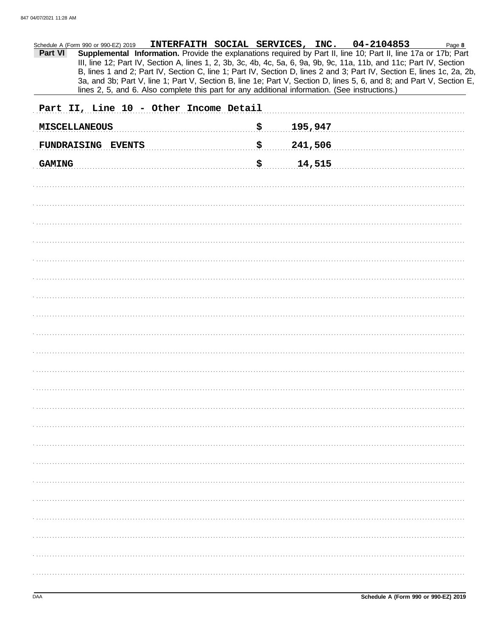| Part VI       | INTERFAITH SOCIAL SERVICES, INC. 04-2104853<br>Schedule A (Form 990 or 990-EZ) 2019<br>Supplemental Information. Provide the explanations required by Part II, line 10; Part II, line 17a or 17b; Part<br>III, line 12; Part IV, Section A, lines 1, 2, 3b, 3c, 4b, 4c, 5a, 6, 9a, 9b, 9c, 11a, 11b, and 11c; Part IV, Section<br>B, lines 1 and 2; Part IV, Section C, line 1; Part IV, Section D, lines 2 and 3; Part IV, Section E, lines 1c, 2a, 2b,<br>3a, and 3b; Part V, line 1; Part V, Section B, line 1e; Part V, Section D, lines 5, 6, and 8; and Part V, Section E,<br>lines 2, 5, and 6. Also complete this part for any additional information. (See instructions.) |               |  | Page 8 |
|---------------|------------------------------------------------------------------------------------------------------------------------------------------------------------------------------------------------------------------------------------------------------------------------------------------------------------------------------------------------------------------------------------------------------------------------------------------------------------------------------------------------------------------------------------------------------------------------------------------------------------------------------------------------------------------------------------|---------------|--|--------|
|               | Part II, Line 10 - Other Income Detail                                                                                                                                                                                                                                                                                                                                                                                                                                                                                                                                                                                                                                             |               |  |        |
|               | <b>MISCELLANEOUS</b>                                                                                                                                                                                                                                                                                                                                                                                                                                                                                                                                                                                                                                                               | \$<br>195,947 |  |        |
|               | FUNDRAISING EVENTS                                                                                                                                                                                                                                                                                                                                                                                                                                                                                                                                                                                                                                                                 | \$<br>241,506 |  |        |
| <b>GAMING</b> |                                                                                                                                                                                                                                                                                                                                                                                                                                                                                                                                                                                                                                                                                    | \$<br>14,515  |  |        |
|               |                                                                                                                                                                                                                                                                                                                                                                                                                                                                                                                                                                                                                                                                                    |               |  |        |
|               |                                                                                                                                                                                                                                                                                                                                                                                                                                                                                                                                                                                                                                                                                    |               |  |        |
|               |                                                                                                                                                                                                                                                                                                                                                                                                                                                                                                                                                                                                                                                                                    |               |  |        |
|               |                                                                                                                                                                                                                                                                                                                                                                                                                                                                                                                                                                                                                                                                                    |               |  |        |
|               |                                                                                                                                                                                                                                                                                                                                                                                                                                                                                                                                                                                                                                                                                    |               |  |        |
|               |                                                                                                                                                                                                                                                                                                                                                                                                                                                                                                                                                                                                                                                                                    |               |  |        |
|               |                                                                                                                                                                                                                                                                                                                                                                                                                                                                                                                                                                                                                                                                                    |               |  |        |
|               |                                                                                                                                                                                                                                                                                                                                                                                                                                                                                                                                                                                                                                                                                    |               |  |        |
|               |                                                                                                                                                                                                                                                                                                                                                                                                                                                                                                                                                                                                                                                                                    |               |  |        |
|               |                                                                                                                                                                                                                                                                                                                                                                                                                                                                                                                                                                                                                                                                                    |               |  |        |
|               |                                                                                                                                                                                                                                                                                                                                                                                                                                                                                                                                                                                                                                                                                    |               |  |        |
|               |                                                                                                                                                                                                                                                                                                                                                                                                                                                                                                                                                                                                                                                                                    |               |  |        |
|               |                                                                                                                                                                                                                                                                                                                                                                                                                                                                                                                                                                                                                                                                                    |               |  |        |
|               |                                                                                                                                                                                                                                                                                                                                                                                                                                                                                                                                                                                                                                                                                    |               |  |        |
|               |                                                                                                                                                                                                                                                                                                                                                                                                                                                                                                                                                                                                                                                                                    |               |  |        |
|               |                                                                                                                                                                                                                                                                                                                                                                                                                                                                                                                                                                                                                                                                                    |               |  |        |
|               |                                                                                                                                                                                                                                                                                                                                                                                                                                                                                                                                                                                                                                                                                    |               |  |        |
|               |                                                                                                                                                                                                                                                                                                                                                                                                                                                                                                                                                                                                                                                                                    |               |  |        |
|               |                                                                                                                                                                                                                                                                                                                                                                                                                                                                                                                                                                                                                                                                                    |               |  |        |
|               |                                                                                                                                                                                                                                                                                                                                                                                                                                                                                                                                                                                                                                                                                    |               |  |        |
|               |                                                                                                                                                                                                                                                                                                                                                                                                                                                                                                                                                                                                                                                                                    |               |  |        |
|               |                                                                                                                                                                                                                                                                                                                                                                                                                                                                                                                                                                                                                                                                                    |               |  |        |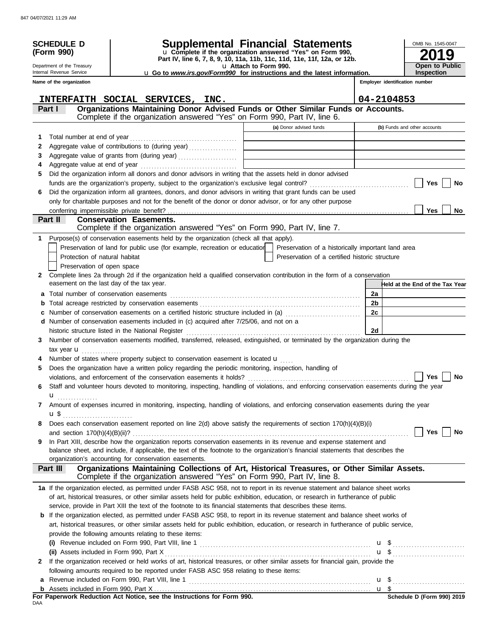| u Complete if the organization answered "Yes" on Form 990,<br>(Form 990)<br>9<br>Part IV, line 6, 7, 8, 9, 10, 11a, 11b, 11c, 11d, 11e, 11f, 12a, or 12b.<br><b>Open to Public</b><br>Department of the Treasury<br>u Attach to Form 990.<br><b>Inspection</b><br>Internal Revenue Service<br><b>u</b> Go to <i>www.irs.gov/Form990</i> for instructions and the latest information.<br>Name of the organization<br>Employer identification number<br>04-2104853<br>INTERFAITH SOCIAL SERVICES, INC.<br>Organizations Maintaining Donor Advised Funds or Other Similar Funds or Accounts.<br>Part I<br>Complete if the organization answered "Yes" on Form 990, Part IV, line 6.<br>(a) Donor advised funds<br>(b) Funds and other accounts<br>Total number at end of year<br>1<br>Aggregate value of contributions to (during year)<br>2<br>Aggregate value of grants from (during year)<br>3<br>the control of the control of the control of the control of the control of<br>4<br>Did the organization inform all donors and donor advisors in writing that the assets held in donor advised<br>5<br>Yes<br>No<br>Did the organization inform all grantees, donors, and donor advisors in writing that grant funds can be used<br>6<br>only for charitable purposes and not for the benefit of the donor or donor advisor, or for any other purpose<br>Yes<br>No<br>Part II<br><b>Conservation Easements.</b><br>Complete if the organization answered "Yes" on Form 990, Part IV, line 7.<br>Purpose(s) of conservation easements held by the organization (check all that apply).<br>1<br>Preservation of land for public use (for example, recreation or education<br>Preservation of a historically important land area<br>Protection of natural habitat<br>Preservation of a certified historic structure<br>Preservation of open space<br>Complete lines 2a through 2d if the organization held a qualified conservation contribution in the form of a conservation<br>2<br>easement on the last day of the tax year.<br>Held at the End of the Tax Year<br>a Total number of conservation easements<br>2a<br>2b<br>b<br>Number of conservation easements on a certified historic structure included in (a)<br>2с<br>c<br>d Number of conservation easements included in (c) acquired after 7/25/06, and not on a<br>2d<br>Number of conservation easements modified, transferred, released, extinguished, or terminated by the organization during the<br>3<br>tax year $\mathbf{u}$<br>Number of states where property subject to conservation easement is located u<br>Does the organization have a written policy regarding the periodic monitoring, inspection, handling of<br>5<br>$Yes \mid$<br>No<br>Staff and volunteer hours devoted to monitoring, inspecting, handling of violations, and enforcing conservation easements during the year<br>6<br>u <sub></sub> .<br>Amount of expenses incurred in monitoring, inspecting, handling of violations, and enforcing conservation easements during the year<br>7<br><b>u</b> \$<br>Does each conservation easement reported on line 2(d) above satisfy the requirements of section 170(h)(4)(B)(i)<br>8<br>Yes<br>No<br>In Part XIII, describe how the organization reports conservation easements in its revenue and expense statement and<br>9<br>balance sheet, and include, if applicable, the text of the footnote to the organization's financial statements that describes the<br>organization's accounting for conservation easements.<br>Organizations Maintaining Collections of Art, Historical Treasures, or Other Similar Assets.<br>Part III<br>Complete if the organization answered "Yes" on Form 990, Part IV, line 8.<br>1a If the organization elected, as permitted under FASB ASC 958, not to report in its revenue statement and balance sheet works<br>of art, historical treasures, or other similar assets held for public exhibition, education, or research in furtherance of public<br>service, provide in Part XIII the text of the footnote to its financial statements that describes these items.<br><b>b</b> If the organization elected, as permitted under FASB ASC 958, to report in its revenue statement and balance sheet works of<br>art, historical treasures, or other similar assets held for public exhibition, education, or research in furtherance of public service,<br>provide the following amounts relating to these items:<br>$\mathbf{u}$ \$<br>$u \$<br>If the organization received or held works of art, historical treasures, or other similar assets for financial gain, provide the<br>2<br>following amounts required to be reported under FASB ASC 958 relating to these items:<br>a<br>b<br>For Paperwork Reduction Act Notice, see the Instructions for Form 990.<br>Schedule D (Form 990) 2019 | <b>SCHEDULE D</b> | Supplemental Financial Statements |  | OMB No. 1545-0047 |
|-----------------------------------------------------------------------------------------------------------------------------------------------------------------------------------------------------------------------------------------------------------------------------------------------------------------------------------------------------------------------------------------------------------------------------------------------------------------------------------------------------------------------------------------------------------------------------------------------------------------------------------------------------------------------------------------------------------------------------------------------------------------------------------------------------------------------------------------------------------------------------------------------------------------------------------------------------------------------------------------------------------------------------------------------------------------------------------------------------------------------------------------------------------------------------------------------------------------------------------------------------------------------------------------------------------------------------------------------------------------------------------------------------------------------------------------------------------------------------------------------------------------------------------------------------------------------------------------------------------------------------------------------------------------------------------------------------------------------------------------------------------------------------------------------------------------------------------------------------------------------------------------------------------------------------------------------------------------------------------------------------------------------------------------------------------------------------------------------------------------------------------------------------------------------------------------------------------------------------------------------------------------------------------------------------------------------------------------------------------------------------------------------------------------------------------------------------------------------------------------------------------------------------------------------------------------------------------------------------------------------------------------------------------------------------------------------------------------------------------------------------------------------------------------------------------------------------------------------------------------------------------------------------------------------------------------------------------------------------------------------------------------------------------------------------------------------------------------------------------------------------------------------------------------------------------------------------------------------------------------------------------------------------------------------------------------------------------------------------------------------------------------------------------------------------------------------------------------------------------------------------------------------------------------------------------------------------------------------------------------------------------------------------------------------------------------------------------------------------------------------------------------------------------------------------------------------------------------------------------------------------------------------------------------------------------------------------------------------------------------------------------------------------------------------------------------------------------------------------------------------------------------------------------------------------------------------------------------------------------------------------------------------------------------------------------------------------------------------------------------------------------------------------------------------------------------------------------------------------------------------------------------------------------------------------------------------------------------------------------------------------------------------------------------------------------------------------------------------------------------------------------------------------------------------------------------------------------|-------------------|-----------------------------------|--|-------------------|
|                                                                                                                                                                                                                                                                                                                                                                                                                                                                                                                                                                                                                                                                                                                                                                                                                                                                                                                                                                                                                                                                                                                                                                                                                                                                                                                                                                                                                                                                                                                                                                                                                                                                                                                                                                                                                                                                                                                                                                                                                                                                                                                                                                                                                                                                                                                                                                                                                                                                                                                                                                                                                                                                                                                                                                                                                                                                                                                                                                                                                                                                                                                                                                                                                                                                                                                                                                                                                                                                                                                                                                                                                                                                                                                                                                                                                                                                                                                                                                                                                                                                                                                                                                                                                                                                                                                                                                                                                                                                                                                                                                                                                                                                                                                                                                                                                                   |                   |                                   |  |                   |
|                                                                                                                                                                                                                                                                                                                                                                                                                                                                                                                                                                                                                                                                                                                                                                                                                                                                                                                                                                                                                                                                                                                                                                                                                                                                                                                                                                                                                                                                                                                                                                                                                                                                                                                                                                                                                                                                                                                                                                                                                                                                                                                                                                                                                                                                                                                                                                                                                                                                                                                                                                                                                                                                                                                                                                                                                                                                                                                                                                                                                                                                                                                                                                                                                                                                                                                                                                                                                                                                                                                                                                                                                                                                                                                                                                                                                                                                                                                                                                                                                                                                                                                                                                                                                                                                                                                                                                                                                                                                                                                                                                                                                                                                                                                                                                                                                                   |                   |                                   |  |                   |
|                                                                                                                                                                                                                                                                                                                                                                                                                                                                                                                                                                                                                                                                                                                                                                                                                                                                                                                                                                                                                                                                                                                                                                                                                                                                                                                                                                                                                                                                                                                                                                                                                                                                                                                                                                                                                                                                                                                                                                                                                                                                                                                                                                                                                                                                                                                                                                                                                                                                                                                                                                                                                                                                                                                                                                                                                                                                                                                                                                                                                                                                                                                                                                                                                                                                                                                                                                                                                                                                                                                                                                                                                                                                                                                                                                                                                                                                                                                                                                                                                                                                                                                                                                                                                                                                                                                                                                                                                                                                                                                                                                                                                                                                                                                                                                                                                                   |                   |                                   |  |                   |
|                                                                                                                                                                                                                                                                                                                                                                                                                                                                                                                                                                                                                                                                                                                                                                                                                                                                                                                                                                                                                                                                                                                                                                                                                                                                                                                                                                                                                                                                                                                                                                                                                                                                                                                                                                                                                                                                                                                                                                                                                                                                                                                                                                                                                                                                                                                                                                                                                                                                                                                                                                                                                                                                                                                                                                                                                                                                                                                                                                                                                                                                                                                                                                                                                                                                                                                                                                                                                                                                                                                                                                                                                                                                                                                                                                                                                                                                                                                                                                                                                                                                                                                                                                                                                                                                                                                                                                                                                                                                                                                                                                                                                                                                                                                                                                                                                                   |                   |                                   |  |                   |
|                                                                                                                                                                                                                                                                                                                                                                                                                                                                                                                                                                                                                                                                                                                                                                                                                                                                                                                                                                                                                                                                                                                                                                                                                                                                                                                                                                                                                                                                                                                                                                                                                                                                                                                                                                                                                                                                                                                                                                                                                                                                                                                                                                                                                                                                                                                                                                                                                                                                                                                                                                                                                                                                                                                                                                                                                                                                                                                                                                                                                                                                                                                                                                                                                                                                                                                                                                                                                                                                                                                                                                                                                                                                                                                                                                                                                                                                                                                                                                                                                                                                                                                                                                                                                                                                                                                                                                                                                                                                                                                                                                                                                                                                                                                                                                                                                                   |                   |                                   |  |                   |
|                                                                                                                                                                                                                                                                                                                                                                                                                                                                                                                                                                                                                                                                                                                                                                                                                                                                                                                                                                                                                                                                                                                                                                                                                                                                                                                                                                                                                                                                                                                                                                                                                                                                                                                                                                                                                                                                                                                                                                                                                                                                                                                                                                                                                                                                                                                                                                                                                                                                                                                                                                                                                                                                                                                                                                                                                                                                                                                                                                                                                                                                                                                                                                                                                                                                                                                                                                                                                                                                                                                                                                                                                                                                                                                                                                                                                                                                                                                                                                                                                                                                                                                                                                                                                                                                                                                                                                                                                                                                                                                                                                                                                                                                                                                                                                                                                                   |                   |                                   |  |                   |
|                                                                                                                                                                                                                                                                                                                                                                                                                                                                                                                                                                                                                                                                                                                                                                                                                                                                                                                                                                                                                                                                                                                                                                                                                                                                                                                                                                                                                                                                                                                                                                                                                                                                                                                                                                                                                                                                                                                                                                                                                                                                                                                                                                                                                                                                                                                                                                                                                                                                                                                                                                                                                                                                                                                                                                                                                                                                                                                                                                                                                                                                                                                                                                                                                                                                                                                                                                                                                                                                                                                                                                                                                                                                                                                                                                                                                                                                                                                                                                                                                                                                                                                                                                                                                                                                                                                                                                                                                                                                                                                                                                                                                                                                                                                                                                                                                                   |                   |                                   |  |                   |
|                                                                                                                                                                                                                                                                                                                                                                                                                                                                                                                                                                                                                                                                                                                                                                                                                                                                                                                                                                                                                                                                                                                                                                                                                                                                                                                                                                                                                                                                                                                                                                                                                                                                                                                                                                                                                                                                                                                                                                                                                                                                                                                                                                                                                                                                                                                                                                                                                                                                                                                                                                                                                                                                                                                                                                                                                                                                                                                                                                                                                                                                                                                                                                                                                                                                                                                                                                                                                                                                                                                                                                                                                                                                                                                                                                                                                                                                                                                                                                                                                                                                                                                                                                                                                                                                                                                                                                                                                                                                                                                                                                                                                                                                                                                                                                                                                                   |                   |                                   |  |                   |
|                                                                                                                                                                                                                                                                                                                                                                                                                                                                                                                                                                                                                                                                                                                                                                                                                                                                                                                                                                                                                                                                                                                                                                                                                                                                                                                                                                                                                                                                                                                                                                                                                                                                                                                                                                                                                                                                                                                                                                                                                                                                                                                                                                                                                                                                                                                                                                                                                                                                                                                                                                                                                                                                                                                                                                                                                                                                                                                                                                                                                                                                                                                                                                                                                                                                                                                                                                                                                                                                                                                                                                                                                                                                                                                                                                                                                                                                                                                                                                                                                                                                                                                                                                                                                                                                                                                                                                                                                                                                                                                                                                                                                                                                                                                                                                                                                                   |                   |                                   |  |                   |
|                                                                                                                                                                                                                                                                                                                                                                                                                                                                                                                                                                                                                                                                                                                                                                                                                                                                                                                                                                                                                                                                                                                                                                                                                                                                                                                                                                                                                                                                                                                                                                                                                                                                                                                                                                                                                                                                                                                                                                                                                                                                                                                                                                                                                                                                                                                                                                                                                                                                                                                                                                                                                                                                                                                                                                                                                                                                                                                                                                                                                                                                                                                                                                                                                                                                                                                                                                                                                                                                                                                                                                                                                                                                                                                                                                                                                                                                                                                                                                                                                                                                                                                                                                                                                                                                                                                                                                                                                                                                                                                                                                                                                                                                                                                                                                                                                                   |                   |                                   |  |                   |
|                                                                                                                                                                                                                                                                                                                                                                                                                                                                                                                                                                                                                                                                                                                                                                                                                                                                                                                                                                                                                                                                                                                                                                                                                                                                                                                                                                                                                                                                                                                                                                                                                                                                                                                                                                                                                                                                                                                                                                                                                                                                                                                                                                                                                                                                                                                                                                                                                                                                                                                                                                                                                                                                                                                                                                                                                                                                                                                                                                                                                                                                                                                                                                                                                                                                                                                                                                                                                                                                                                                                                                                                                                                                                                                                                                                                                                                                                                                                                                                                                                                                                                                                                                                                                                                                                                                                                                                                                                                                                                                                                                                                                                                                                                                                                                                                                                   |                   |                                   |  |                   |
|                                                                                                                                                                                                                                                                                                                                                                                                                                                                                                                                                                                                                                                                                                                                                                                                                                                                                                                                                                                                                                                                                                                                                                                                                                                                                                                                                                                                                                                                                                                                                                                                                                                                                                                                                                                                                                                                                                                                                                                                                                                                                                                                                                                                                                                                                                                                                                                                                                                                                                                                                                                                                                                                                                                                                                                                                                                                                                                                                                                                                                                                                                                                                                                                                                                                                                                                                                                                                                                                                                                                                                                                                                                                                                                                                                                                                                                                                                                                                                                                                                                                                                                                                                                                                                                                                                                                                                                                                                                                                                                                                                                                                                                                                                                                                                                                                                   |                   |                                   |  |                   |
|                                                                                                                                                                                                                                                                                                                                                                                                                                                                                                                                                                                                                                                                                                                                                                                                                                                                                                                                                                                                                                                                                                                                                                                                                                                                                                                                                                                                                                                                                                                                                                                                                                                                                                                                                                                                                                                                                                                                                                                                                                                                                                                                                                                                                                                                                                                                                                                                                                                                                                                                                                                                                                                                                                                                                                                                                                                                                                                                                                                                                                                                                                                                                                                                                                                                                                                                                                                                                                                                                                                                                                                                                                                                                                                                                                                                                                                                                                                                                                                                                                                                                                                                                                                                                                                                                                                                                                                                                                                                                                                                                                                                                                                                                                                                                                                                                                   |                   |                                   |  |                   |
|                                                                                                                                                                                                                                                                                                                                                                                                                                                                                                                                                                                                                                                                                                                                                                                                                                                                                                                                                                                                                                                                                                                                                                                                                                                                                                                                                                                                                                                                                                                                                                                                                                                                                                                                                                                                                                                                                                                                                                                                                                                                                                                                                                                                                                                                                                                                                                                                                                                                                                                                                                                                                                                                                                                                                                                                                                                                                                                                                                                                                                                                                                                                                                                                                                                                                                                                                                                                                                                                                                                                                                                                                                                                                                                                                                                                                                                                                                                                                                                                                                                                                                                                                                                                                                                                                                                                                                                                                                                                                                                                                                                                                                                                                                                                                                                                                                   |                   |                                   |  |                   |
|                                                                                                                                                                                                                                                                                                                                                                                                                                                                                                                                                                                                                                                                                                                                                                                                                                                                                                                                                                                                                                                                                                                                                                                                                                                                                                                                                                                                                                                                                                                                                                                                                                                                                                                                                                                                                                                                                                                                                                                                                                                                                                                                                                                                                                                                                                                                                                                                                                                                                                                                                                                                                                                                                                                                                                                                                                                                                                                                                                                                                                                                                                                                                                                                                                                                                                                                                                                                                                                                                                                                                                                                                                                                                                                                                                                                                                                                                                                                                                                                                                                                                                                                                                                                                                                                                                                                                                                                                                                                                                                                                                                                                                                                                                                                                                                                                                   |                   |                                   |  |                   |
|                                                                                                                                                                                                                                                                                                                                                                                                                                                                                                                                                                                                                                                                                                                                                                                                                                                                                                                                                                                                                                                                                                                                                                                                                                                                                                                                                                                                                                                                                                                                                                                                                                                                                                                                                                                                                                                                                                                                                                                                                                                                                                                                                                                                                                                                                                                                                                                                                                                                                                                                                                                                                                                                                                                                                                                                                                                                                                                                                                                                                                                                                                                                                                                                                                                                                                                                                                                                                                                                                                                                                                                                                                                                                                                                                                                                                                                                                                                                                                                                                                                                                                                                                                                                                                                                                                                                                                                                                                                                                                                                                                                                                                                                                                                                                                                                                                   |                   |                                   |  |                   |
|                                                                                                                                                                                                                                                                                                                                                                                                                                                                                                                                                                                                                                                                                                                                                                                                                                                                                                                                                                                                                                                                                                                                                                                                                                                                                                                                                                                                                                                                                                                                                                                                                                                                                                                                                                                                                                                                                                                                                                                                                                                                                                                                                                                                                                                                                                                                                                                                                                                                                                                                                                                                                                                                                                                                                                                                                                                                                                                                                                                                                                                                                                                                                                                                                                                                                                                                                                                                                                                                                                                                                                                                                                                                                                                                                                                                                                                                                                                                                                                                                                                                                                                                                                                                                                                                                                                                                                                                                                                                                                                                                                                                                                                                                                                                                                                                                                   |                   |                                   |  |                   |
|                                                                                                                                                                                                                                                                                                                                                                                                                                                                                                                                                                                                                                                                                                                                                                                                                                                                                                                                                                                                                                                                                                                                                                                                                                                                                                                                                                                                                                                                                                                                                                                                                                                                                                                                                                                                                                                                                                                                                                                                                                                                                                                                                                                                                                                                                                                                                                                                                                                                                                                                                                                                                                                                                                                                                                                                                                                                                                                                                                                                                                                                                                                                                                                                                                                                                                                                                                                                                                                                                                                                                                                                                                                                                                                                                                                                                                                                                                                                                                                                                                                                                                                                                                                                                                                                                                                                                                                                                                                                                                                                                                                                                                                                                                                                                                                                                                   |                   |                                   |  |                   |
|                                                                                                                                                                                                                                                                                                                                                                                                                                                                                                                                                                                                                                                                                                                                                                                                                                                                                                                                                                                                                                                                                                                                                                                                                                                                                                                                                                                                                                                                                                                                                                                                                                                                                                                                                                                                                                                                                                                                                                                                                                                                                                                                                                                                                                                                                                                                                                                                                                                                                                                                                                                                                                                                                                                                                                                                                                                                                                                                                                                                                                                                                                                                                                                                                                                                                                                                                                                                                                                                                                                                                                                                                                                                                                                                                                                                                                                                                                                                                                                                                                                                                                                                                                                                                                                                                                                                                                                                                                                                                                                                                                                                                                                                                                                                                                                                                                   |                   |                                   |  |                   |
|                                                                                                                                                                                                                                                                                                                                                                                                                                                                                                                                                                                                                                                                                                                                                                                                                                                                                                                                                                                                                                                                                                                                                                                                                                                                                                                                                                                                                                                                                                                                                                                                                                                                                                                                                                                                                                                                                                                                                                                                                                                                                                                                                                                                                                                                                                                                                                                                                                                                                                                                                                                                                                                                                                                                                                                                                                                                                                                                                                                                                                                                                                                                                                                                                                                                                                                                                                                                                                                                                                                                                                                                                                                                                                                                                                                                                                                                                                                                                                                                                                                                                                                                                                                                                                                                                                                                                                                                                                                                                                                                                                                                                                                                                                                                                                                                                                   |                   |                                   |  |                   |
|                                                                                                                                                                                                                                                                                                                                                                                                                                                                                                                                                                                                                                                                                                                                                                                                                                                                                                                                                                                                                                                                                                                                                                                                                                                                                                                                                                                                                                                                                                                                                                                                                                                                                                                                                                                                                                                                                                                                                                                                                                                                                                                                                                                                                                                                                                                                                                                                                                                                                                                                                                                                                                                                                                                                                                                                                                                                                                                                                                                                                                                                                                                                                                                                                                                                                                                                                                                                                                                                                                                                                                                                                                                                                                                                                                                                                                                                                                                                                                                                                                                                                                                                                                                                                                                                                                                                                                                                                                                                                                                                                                                                                                                                                                                                                                                                                                   |                   |                                   |  |                   |
|                                                                                                                                                                                                                                                                                                                                                                                                                                                                                                                                                                                                                                                                                                                                                                                                                                                                                                                                                                                                                                                                                                                                                                                                                                                                                                                                                                                                                                                                                                                                                                                                                                                                                                                                                                                                                                                                                                                                                                                                                                                                                                                                                                                                                                                                                                                                                                                                                                                                                                                                                                                                                                                                                                                                                                                                                                                                                                                                                                                                                                                                                                                                                                                                                                                                                                                                                                                                                                                                                                                                                                                                                                                                                                                                                                                                                                                                                                                                                                                                                                                                                                                                                                                                                                                                                                                                                                                                                                                                                                                                                                                                                                                                                                                                                                                                                                   |                   |                                   |  |                   |
|                                                                                                                                                                                                                                                                                                                                                                                                                                                                                                                                                                                                                                                                                                                                                                                                                                                                                                                                                                                                                                                                                                                                                                                                                                                                                                                                                                                                                                                                                                                                                                                                                                                                                                                                                                                                                                                                                                                                                                                                                                                                                                                                                                                                                                                                                                                                                                                                                                                                                                                                                                                                                                                                                                                                                                                                                                                                                                                                                                                                                                                                                                                                                                                                                                                                                                                                                                                                                                                                                                                                                                                                                                                                                                                                                                                                                                                                                                                                                                                                                                                                                                                                                                                                                                                                                                                                                                                                                                                                                                                                                                                                                                                                                                                                                                                                                                   |                   |                                   |  |                   |
|                                                                                                                                                                                                                                                                                                                                                                                                                                                                                                                                                                                                                                                                                                                                                                                                                                                                                                                                                                                                                                                                                                                                                                                                                                                                                                                                                                                                                                                                                                                                                                                                                                                                                                                                                                                                                                                                                                                                                                                                                                                                                                                                                                                                                                                                                                                                                                                                                                                                                                                                                                                                                                                                                                                                                                                                                                                                                                                                                                                                                                                                                                                                                                                                                                                                                                                                                                                                                                                                                                                                                                                                                                                                                                                                                                                                                                                                                                                                                                                                                                                                                                                                                                                                                                                                                                                                                                                                                                                                                                                                                                                                                                                                                                                                                                                                                                   |                   |                                   |  |                   |
|                                                                                                                                                                                                                                                                                                                                                                                                                                                                                                                                                                                                                                                                                                                                                                                                                                                                                                                                                                                                                                                                                                                                                                                                                                                                                                                                                                                                                                                                                                                                                                                                                                                                                                                                                                                                                                                                                                                                                                                                                                                                                                                                                                                                                                                                                                                                                                                                                                                                                                                                                                                                                                                                                                                                                                                                                                                                                                                                                                                                                                                                                                                                                                                                                                                                                                                                                                                                                                                                                                                                                                                                                                                                                                                                                                                                                                                                                                                                                                                                                                                                                                                                                                                                                                                                                                                                                                                                                                                                                                                                                                                                                                                                                                                                                                                                                                   |                   |                                   |  |                   |
|                                                                                                                                                                                                                                                                                                                                                                                                                                                                                                                                                                                                                                                                                                                                                                                                                                                                                                                                                                                                                                                                                                                                                                                                                                                                                                                                                                                                                                                                                                                                                                                                                                                                                                                                                                                                                                                                                                                                                                                                                                                                                                                                                                                                                                                                                                                                                                                                                                                                                                                                                                                                                                                                                                                                                                                                                                                                                                                                                                                                                                                                                                                                                                                                                                                                                                                                                                                                                                                                                                                                                                                                                                                                                                                                                                                                                                                                                                                                                                                                                                                                                                                                                                                                                                                                                                                                                                                                                                                                                                                                                                                                                                                                                                                                                                                                                                   |                   |                                   |  |                   |
|                                                                                                                                                                                                                                                                                                                                                                                                                                                                                                                                                                                                                                                                                                                                                                                                                                                                                                                                                                                                                                                                                                                                                                                                                                                                                                                                                                                                                                                                                                                                                                                                                                                                                                                                                                                                                                                                                                                                                                                                                                                                                                                                                                                                                                                                                                                                                                                                                                                                                                                                                                                                                                                                                                                                                                                                                                                                                                                                                                                                                                                                                                                                                                                                                                                                                                                                                                                                                                                                                                                                                                                                                                                                                                                                                                                                                                                                                                                                                                                                                                                                                                                                                                                                                                                                                                                                                                                                                                                                                                                                                                                                                                                                                                                                                                                                                                   |                   |                                   |  |                   |
|                                                                                                                                                                                                                                                                                                                                                                                                                                                                                                                                                                                                                                                                                                                                                                                                                                                                                                                                                                                                                                                                                                                                                                                                                                                                                                                                                                                                                                                                                                                                                                                                                                                                                                                                                                                                                                                                                                                                                                                                                                                                                                                                                                                                                                                                                                                                                                                                                                                                                                                                                                                                                                                                                                                                                                                                                                                                                                                                                                                                                                                                                                                                                                                                                                                                                                                                                                                                                                                                                                                                                                                                                                                                                                                                                                                                                                                                                                                                                                                                                                                                                                                                                                                                                                                                                                                                                                                                                                                                                                                                                                                                                                                                                                                                                                                                                                   |                   |                                   |  |                   |
|                                                                                                                                                                                                                                                                                                                                                                                                                                                                                                                                                                                                                                                                                                                                                                                                                                                                                                                                                                                                                                                                                                                                                                                                                                                                                                                                                                                                                                                                                                                                                                                                                                                                                                                                                                                                                                                                                                                                                                                                                                                                                                                                                                                                                                                                                                                                                                                                                                                                                                                                                                                                                                                                                                                                                                                                                                                                                                                                                                                                                                                                                                                                                                                                                                                                                                                                                                                                                                                                                                                                                                                                                                                                                                                                                                                                                                                                                                                                                                                                                                                                                                                                                                                                                                                                                                                                                                                                                                                                                                                                                                                                                                                                                                                                                                                                                                   |                   |                                   |  |                   |
|                                                                                                                                                                                                                                                                                                                                                                                                                                                                                                                                                                                                                                                                                                                                                                                                                                                                                                                                                                                                                                                                                                                                                                                                                                                                                                                                                                                                                                                                                                                                                                                                                                                                                                                                                                                                                                                                                                                                                                                                                                                                                                                                                                                                                                                                                                                                                                                                                                                                                                                                                                                                                                                                                                                                                                                                                                                                                                                                                                                                                                                                                                                                                                                                                                                                                                                                                                                                                                                                                                                                                                                                                                                                                                                                                                                                                                                                                                                                                                                                                                                                                                                                                                                                                                                                                                                                                                                                                                                                                                                                                                                                                                                                                                                                                                                                                                   |                   |                                   |  |                   |
|                                                                                                                                                                                                                                                                                                                                                                                                                                                                                                                                                                                                                                                                                                                                                                                                                                                                                                                                                                                                                                                                                                                                                                                                                                                                                                                                                                                                                                                                                                                                                                                                                                                                                                                                                                                                                                                                                                                                                                                                                                                                                                                                                                                                                                                                                                                                                                                                                                                                                                                                                                                                                                                                                                                                                                                                                                                                                                                                                                                                                                                                                                                                                                                                                                                                                                                                                                                                                                                                                                                                                                                                                                                                                                                                                                                                                                                                                                                                                                                                                                                                                                                                                                                                                                                                                                                                                                                                                                                                                                                                                                                                                                                                                                                                                                                                                                   |                   |                                   |  |                   |
|                                                                                                                                                                                                                                                                                                                                                                                                                                                                                                                                                                                                                                                                                                                                                                                                                                                                                                                                                                                                                                                                                                                                                                                                                                                                                                                                                                                                                                                                                                                                                                                                                                                                                                                                                                                                                                                                                                                                                                                                                                                                                                                                                                                                                                                                                                                                                                                                                                                                                                                                                                                                                                                                                                                                                                                                                                                                                                                                                                                                                                                                                                                                                                                                                                                                                                                                                                                                                                                                                                                                                                                                                                                                                                                                                                                                                                                                                                                                                                                                                                                                                                                                                                                                                                                                                                                                                                                                                                                                                                                                                                                                                                                                                                                                                                                                                                   |                   |                                   |  |                   |
|                                                                                                                                                                                                                                                                                                                                                                                                                                                                                                                                                                                                                                                                                                                                                                                                                                                                                                                                                                                                                                                                                                                                                                                                                                                                                                                                                                                                                                                                                                                                                                                                                                                                                                                                                                                                                                                                                                                                                                                                                                                                                                                                                                                                                                                                                                                                                                                                                                                                                                                                                                                                                                                                                                                                                                                                                                                                                                                                                                                                                                                                                                                                                                                                                                                                                                                                                                                                                                                                                                                                                                                                                                                                                                                                                                                                                                                                                                                                                                                                                                                                                                                                                                                                                                                                                                                                                                                                                                                                                                                                                                                                                                                                                                                                                                                                                                   |                   |                                   |  |                   |
|                                                                                                                                                                                                                                                                                                                                                                                                                                                                                                                                                                                                                                                                                                                                                                                                                                                                                                                                                                                                                                                                                                                                                                                                                                                                                                                                                                                                                                                                                                                                                                                                                                                                                                                                                                                                                                                                                                                                                                                                                                                                                                                                                                                                                                                                                                                                                                                                                                                                                                                                                                                                                                                                                                                                                                                                                                                                                                                                                                                                                                                                                                                                                                                                                                                                                                                                                                                                                                                                                                                                                                                                                                                                                                                                                                                                                                                                                                                                                                                                                                                                                                                                                                                                                                                                                                                                                                                                                                                                                                                                                                                                                                                                                                                                                                                                                                   |                   |                                   |  |                   |
|                                                                                                                                                                                                                                                                                                                                                                                                                                                                                                                                                                                                                                                                                                                                                                                                                                                                                                                                                                                                                                                                                                                                                                                                                                                                                                                                                                                                                                                                                                                                                                                                                                                                                                                                                                                                                                                                                                                                                                                                                                                                                                                                                                                                                                                                                                                                                                                                                                                                                                                                                                                                                                                                                                                                                                                                                                                                                                                                                                                                                                                                                                                                                                                                                                                                                                                                                                                                                                                                                                                                                                                                                                                                                                                                                                                                                                                                                                                                                                                                                                                                                                                                                                                                                                                                                                                                                                                                                                                                                                                                                                                                                                                                                                                                                                                                                                   |                   |                                   |  |                   |
|                                                                                                                                                                                                                                                                                                                                                                                                                                                                                                                                                                                                                                                                                                                                                                                                                                                                                                                                                                                                                                                                                                                                                                                                                                                                                                                                                                                                                                                                                                                                                                                                                                                                                                                                                                                                                                                                                                                                                                                                                                                                                                                                                                                                                                                                                                                                                                                                                                                                                                                                                                                                                                                                                                                                                                                                                                                                                                                                                                                                                                                                                                                                                                                                                                                                                                                                                                                                                                                                                                                                                                                                                                                                                                                                                                                                                                                                                                                                                                                                                                                                                                                                                                                                                                                                                                                                                                                                                                                                                                                                                                                                                                                                                                                                                                                                                                   |                   |                                   |  |                   |
|                                                                                                                                                                                                                                                                                                                                                                                                                                                                                                                                                                                                                                                                                                                                                                                                                                                                                                                                                                                                                                                                                                                                                                                                                                                                                                                                                                                                                                                                                                                                                                                                                                                                                                                                                                                                                                                                                                                                                                                                                                                                                                                                                                                                                                                                                                                                                                                                                                                                                                                                                                                                                                                                                                                                                                                                                                                                                                                                                                                                                                                                                                                                                                                                                                                                                                                                                                                                                                                                                                                                                                                                                                                                                                                                                                                                                                                                                                                                                                                                                                                                                                                                                                                                                                                                                                                                                                                                                                                                                                                                                                                                                                                                                                                                                                                                                                   |                   |                                   |  |                   |
|                                                                                                                                                                                                                                                                                                                                                                                                                                                                                                                                                                                                                                                                                                                                                                                                                                                                                                                                                                                                                                                                                                                                                                                                                                                                                                                                                                                                                                                                                                                                                                                                                                                                                                                                                                                                                                                                                                                                                                                                                                                                                                                                                                                                                                                                                                                                                                                                                                                                                                                                                                                                                                                                                                                                                                                                                                                                                                                                                                                                                                                                                                                                                                                                                                                                                                                                                                                                                                                                                                                                                                                                                                                                                                                                                                                                                                                                                                                                                                                                                                                                                                                                                                                                                                                                                                                                                                                                                                                                                                                                                                                                                                                                                                                                                                                                                                   |                   |                                   |  |                   |
|                                                                                                                                                                                                                                                                                                                                                                                                                                                                                                                                                                                                                                                                                                                                                                                                                                                                                                                                                                                                                                                                                                                                                                                                                                                                                                                                                                                                                                                                                                                                                                                                                                                                                                                                                                                                                                                                                                                                                                                                                                                                                                                                                                                                                                                                                                                                                                                                                                                                                                                                                                                                                                                                                                                                                                                                                                                                                                                                                                                                                                                                                                                                                                                                                                                                                                                                                                                                                                                                                                                                                                                                                                                                                                                                                                                                                                                                                                                                                                                                                                                                                                                                                                                                                                                                                                                                                                                                                                                                                                                                                                                                                                                                                                                                                                                                                                   |                   |                                   |  |                   |
|                                                                                                                                                                                                                                                                                                                                                                                                                                                                                                                                                                                                                                                                                                                                                                                                                                                                                                                                                                                                                                                                                                                                                                                                                                                                                                                                                                                                                                                                                                                                                                                                                                                                                                                                                                                                                                                                                                                                                                                                                                                                                                                                                                                                                                                                                                                                                                                                                                                                                                                                                                                                                                                                                                                                                                                                                                                                                                                                                                                                                                                                                                                                                                                                                                                                                                                                                                                                                                                                                                                                                                                                                                                                                                                                                                                                                                                                                                                                                                                                                                                                                                                                                                                                                                                                                                                                                                                                                                                                                                                                                                                                                                                                                                                                                                                                                                   |                   |                                   |  |                   |
|                                                                                                                                                                                                                                                                                                                                                                                                                                                                                                                                                                                                                                                                                                                                                                                                                                                                                                                                                                                                                                                                                                                                                                                                                                                                                                                                                                                                                                                                                                                                                                                                                                                                                                                                                                                                                                                                                                                                                                                                                                                                                                                                                                                                                                                                                                                                                                                                                                                                                                                                                                                                                                                                                                                                                                                                                                                                                                                                                                                                                                                                                                                                                                                                                                                                                                                                                                                                                                                                                                                                                                                                                                                                                                                                                                                                                                                                                                                                                                                                                                                                                                                                                                                                                                                                                                                                                                                                                                                                                                                                                                                                                                                                                                                                                                                                                                   |                   |                                   |  |                   |
|                                                                                                                                                                                                                                                                                                                                                                                                                                                                                                                                                                                                                                                                                                                                                                                                                                                                                                                                                                                                                                                                                                                                                                                                                                                                                                                                                                                                                                                                                                                                                                                                                                                                                                                                                                                                                                                                                                                                                                                                                                                                                                                                                                                                                                                                                                                                                                                                                                                                                                                                                                                                                                                                                                                                                                                                                                                                                                                                                                                                                                                                                                                                                                                                                                                                                                                                                                                                                                                                                                                                                                                                                                                                                                                                                                                                                                                                                                                                                                                                                                                                                                                                                                                                                                                                                                                                                                                                                                                                                                                                                                                                                                                                                                                                                                                                                                   |                   |                                   |  |                   |
|                                                                                                                                                                                                                                                                                                                                                                                                                                                                                                                                                                                                                                                                                                                                                                                                                                                                                                                                                                                                                                                                                                                                                                                                                                                                                                                                                                                                                                                                                                                                                                                                                                                                                                                                                                                                                                                                                                                                                                                                                                                                                                                                                                                                                                                                                                                                                                                                                                                                                                                                                                                                                                                                                                                                                                                                                                                                                                                                                                                                                                                                                                                                                                                                                                                                                                                                                                                                                                                                                                                                                                                                                                                                                                                                                                                                                                                                                                                                                                                                                                                                                                                                                                                                                                                                                                                                                                                                                                                                                                                                                                                                                                                                                                                                                                                                                                   |                   |                                   |  |                   |
|                                                                                                                                                                                                                                                                                                                                                                                                                                                                                                                                                                                                                                                                                                                                                                                                                                                                                                                                                                                                                                                                                                                                                                                                                                                                                                                                                                                                                                                                                                                                                                                                                                                                                                                                                                                                                                                                                                                                                                                                                                                                                                                                                                                                                                                                                                                                                                                                                                                                                                                                                                                                                                                                                                                                                                                                                                                                                                                                                                                                                                                                                                                                                                                                                                                                                                                                                                                                                                                                                                                                                                                                                                                                                                                                                                                                                                                                                                                                                                                                                                                                                                                                                                                                                                                                                                                                                                                                                                                                                                                                                                                                                                                                                                                                                                                                                                   |                   |                                   |  |                   |
|                                                                                                                                                                                                                                                                                                                                                                                                                                                                                                                                                                                                                                                                                                                                                                                                                                                                                                                                                                                                                                                                                                                                                                                                                                                                                                                                                                                                                                                                                                                                                                                                                                                                                                                                                                                                                                                                                                                                                                                                                                                                                                                                                                                                                                                                                                                                                                                                                                                                                                                                                                                                                                                                                                                                                                                                                                                                                                                                                                                                                                                                                                                                                                                                                                                                                                                                                                                                                                                                                                                                                                                                                                                                                                                                                                                                                                                                                                                                                                                                                                                                                                                                                                                                                                                                                                                                                                                                                                                                                                                                                                                                                                                                                                                                                                                                                                   |                   |                                   |  |                   |
|                                                                                                                                                                                                                                                                                                                                                                                                                                                                                                                                                                                                                                                                                                                                                                                                                                                                                                                                                                                                                                                                                                                                                                                                                                                                                                                                                                                                                                                                                                                                                                                                                                                                                                                                                                                                                                                                                                                                                                                                                                                                                                                                                                                                                                                                                                                                                                                                                                                                                                                                                                                                                                                                                                                                                                                                                                                                                                                                                                                                                                                                                                                                                                                                                                                                                                                                                                                                                                                                                                                                                                                                                                                                                                                                                                                                                                                                                                                                                                                                                                                                                                                                                                                                                                                                                                                                                                                                                                                                                                                                                                                                                                                                                                                                                                                                                                   |                   |                                   |  |                   |
|                                                                                                                                                                                                                                                                                                                                                                                                                                                                                                                                                                                                                                                                                                                                                                                                                                                                                                                                                                                                                                                                                                                                                                                                                                                                                                                                                                                                                                                                                                                                                                                                                                                                                                                                                                                                                                                                                                                                                                                                                                                                                                                                                                                                                                                                                                                                                                                                                                                                                                                                                                                                                                                                                                                                                                                                                                                                                                                                                                                                                                                                                                                                                                                                                                                                                                                                                                                                                                                                                                                                                                                                                                                                                                                                                                                                                                                                                                                                                                                                                                                                                                                                                                                                                                                                                                                                                                                                                                                                                                                                                                                                                                                                                                                                                                                                                                   |                   |                                   |  |                   |
|                                                                                                                                                                                                                                                                                                                                                                                                                                                                                                                                                                                                                                                                                                                                                                                                                                                                                                                                                                                                                                                                                                                                                                                                                                                                                                                                                                                                                                                                                                                                                                                                                                                                                                                                                                                                                                                                                                                                                                                                                                                                                                                                                                                                                                                                                                                                                                                                                                                                                                                                                                                                                                                                                                                                                                                                                                                                                                                                                                                                                                                                                                                                                                                                                                                                                                                                                                                                                                                                                                                                                                                                                                                                                                                                                                                                                                                                                                                                                                                                                                                                                                                                                                                                                                                                                                                                                                                                                                                                                                                                                                                                                                                                                                                                                                                                                                   |                   |                                   |  |                   |
|                                                                                                                                                                                                                                                                                                                                                                                                                                                                                                                                                                                                                                                                                                                                                                                                                                                                                                                                                                                                                                                                                                                                                                                                                                                                                                                                                                                                                                                                                                                                                                                                                                                                                                                                                                                                                                                                                                                                                                                                                                                                                                                                                                                                                                                                                                                                                                                                                                                                                                                                                                                                                                                                                                                                                                                                                                                                                                                                                                                                                                                                                                                                                                                                                                                                                                                                                                                                                                                                                                                                                                                                                                                                                                                                                                                                                                                                                                                                                                                                                                                                                                                                                                                                                                                                                                                                                                                                                                                                                                                                                                                                                                                                                                                                                                                                                                   |                   |                                   |  |                   |
|                                                                                                                                                                                                                                                                                                                                                                                                                                                                                                                                                                                                                                                                                                                                                                                                                                                                                                                                                                                                                                                                                                                                                                                                                                                                                                                                                                                                                                                                                                                                                                                                                                                                                                                                                                                                                                                                                                                                                                                                                                                                                                                                                                                                                                                                                                                                                                                                                                                                                                                                                                                                                                                                                                                                                                                                                                                                                                                                                                                                                                                                                                                                                                                                                                                                                                                                                                                                                                                                                                                                                                                                                                                                                                                                                                                                                                                                                                                                                                                                                                                                                                                                                                                                                                                                                                                                                                                                                                                                                                                                                                                                                                                                                                                                                                                                                                   |                   |                                   |  |                   |
|                                                                                                                                                                                                                                                                                                                                                                                                                                                                                                                                                                                                                                                                                                                                                                                                                                                                                                                                                                                                                                                                                                                                                                                                                                                                                                                                                                                                                                                                                                                                                                                                                                                                                                                                                                                                                                                                                                                                                                                                                                                                                                                                                                                                                                                                                                                                                                                                                                                                                                                                                                                                                                                                                                                                                                                                                                                                                                                                                                                                                                                                                                                                                                                                                                                                                                                                                                                                                                                                                                                                                                                                                                                                                                                                                                                                                                                                                                                                                                                                                                                                                                                                                                                                                                                                                                                                                                                                                                                                                                                                                                                                                                                                                                                                                                                                                                   |                   |                                   |  |                   |
|                                                                                                                                                                                                                                                                                                                                                                                                                                                                                                                                                                                                                                                                                                                                                                                                                                                                                                                                                                                                                                                                                                                                                                                                                                                                                                                                                                                                                                                                                                                                                                                                                                                                                                                                                                                                                                                                                                                                                                                                                                                                                                                                                                                                                                                                                                                                                                                                                                                                                                                                                                                                                                                                                                                                                                                                                                                                                                                                                                                                                                                                                                                                                                                                                                                                                                                                                                                                                                                                                                                                                                                                                                                                                                                                                                                                                                                                                                                                                                                                                                                                                                                                                                                                                                                                                                                                                                                                                                                                                                                                                                                                                                                                                                                                                                                                                                   |                   |                                   |  |                   |
|                                                                                                                                                                                                                                                                                                                                                                                                                                                                                                                                                                                                                                                                                                                                                                                                                                                                                                                                                                                                                                                                                                                                                                                                                                                                                                                                                                                                                                                                                                                                                                                                                                                                                                                                                                                                                                                                                                                                                                                                                                                                                                                                                                                                                                                                                                                                                                                                                                                                                                                                                                                                                                                                                                                                                                                                                                                                                                                                                                                                                                                                                                                                                                                                                                                                                                                                                                                                                                                                                                                                                                                                                                                                                                                                                                                                                                                                                                                                                                                                                                                                                                                                                                                                                                                                                                                                                                                                                                                                                                                                                                                                                                                                                                                                                                                                                                   |                   |                                   |  |                   |
|                                                                                                                                                                                                                                                                                                                                                                                                                                                                                                                                                                                                                                                                                                                                                                                                                                                                                                                                                                                                                                                                                                                                                                                                                                                                                                                                                                                                                                                                                                                                                                                                                                                                                                                                                                                                                                                                                                                                                                                                                                                                                                                                                                                                                                                                                                                                                                                                                                                                                                                                                                                                                                                                                                                                                                                                                                                                                                                                                                                                                                                                                                                                                                                                                                                                                                                                                                                                                                                                                                                                                                                                                                                                                                                                                                                                                                                                                                                                                                                                                                                                                                                                                                                                                                                                                                                                                                                                                                                                                                                                                                                                                                                                                                                                                                                                                                   |                   |                                   |  |                   |
|                                                                                                                                                                                                                                                                                                                                                                                                                                                                                                                                                                                                                                                                                                                                                                                                                                                                                                                                                                                                                                                                                                                                                                                                                                                                                                                                                                                                                                                                                                                                                                                                                                                                                                                                                                                                                                                                                                                                                                                                                                                                                                                                                                                                                                                                                                                                                                                                                                                                                                                                                                                                                                                                                                                                                                                                                                                                                                                                                                                                                                                                                                                                                                                                                                                                                                                                                                                                                                                                                                                                                                                                                                                                                                                                                                                                                                                                                                                                                                                                                                                                                                                                                                                                                                                                                                                                                                                                                                                                                                                                                                                                                                                                                                                                                                                                                                   |                   |                                   |  |                   |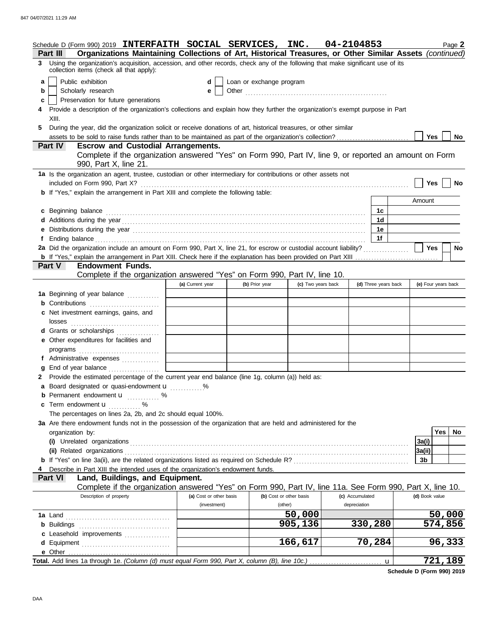|    | Schedule D (Form 990) 2019 INTERFAITH SOCIAL SERVICES, INC. 04-2104853                                                                                                                                                         |                         |                          |                    |                 |                      |                     | Page 2    |
|----|--------------------------------------------------------------------------------------------------------------------------------------------------------------------------------------------------------------------------------|-------------------------|--------------------------|--------------------|-----------------|----------------------|---------------------|-----------|
|    | Organizations Maintaining Collections of Art, Historical Treasures, or Other Similar Assets (continued)<br>Part III                                                                                                            |                         |                          |                    |                 |                      |                     |           |
| 3  | Using the organization's acquisition, accession, and other records, check any of the following that make significant use of its<br>collection items (check all that apply):                                                    |                         |                          |                    |                 |                      |                     |           |
| a  | Public exhibition                                                                                                                                                                                                              | d                       | Loan or exchange program |                    |                 |                      |                     |           |
| b  | Scholarly research                                                                                                                                                                                                             | е                       |                          |                    |                 |                      |                     |           |
| c  | Preservation for future generations                                                                                                                                                                                            |                         |                          |                    |                 |                      |                     |           |
|    | Provide a description of the organization's collections and explain how they further the organization's exempt purpose in Part                                                                                                 |                         |                          |                    |                 |                      |                     |           |
|    | XIII.                                                                                                                                                                                                                          |                         |                          |                    |                 |                      |                     |           |
| 5. | During the year, did the organization solicit or receive donations of art, historical treasures, or other similar                                                                                                              |                         |                          |                    |                 |                      |                     |           |
|    |                                                                                                                                                                                                                                |                         |                          |                    |                 |                      | Yes $ $             | No        |
|    | Part IV<br><b>Escrow and Custodial Arrangements.</b>                                                                                                                                                                           |                         |                          |                    |                 |                      |                     |           |
|    | Complete if the organization answered "Yes" on Form 990, Part IV, line 9, or reported an amount on Form                                                                                                                        |                         |                          |                    |                 |                      |                     |           |
|    | 990, Part X, line 21.                                                                                                                                                                                                          |                         |                          |                    |                 |                      |                     |           |
|    | 1a Is the organization an agent, trustee, custodian or other intermediary for contributions or other assets not                                                                                                                |                         |                          |                    |                 |                      |                     |           |
|    | included on Form 990, Part X?                                                                                                                                                                                                  |                         |                          |                    |                 |                      | Yes $ $             | No        |
|    | <b>b</b> If "Yes," explain the arrangement in Part XIII and complete the following table:                                                                                                                                      |                         |                          |                    |                 |                      |                     |           |
|    |                                                                                                                                                                                                                                |                         |                          |                    |                 |                      | Amount              |           |
|    | c Beginning balance                                                                                                                                                                                                            |                         |                          |                    |                 | 1c                   |                     |           |
|    |                                                                                                                                                                                                                                |                         |                          |                    |                 | 1d                   |                     |           |
|    | e Distributions during the year contact and the set of the set of the set of the set of the set of the set of the set of the set of the set of the set of the set of the set of the set of the set of the set of the set of th |                         |                          |                    |                 | 1e                   |                     |           |
|    |                                                                                                                                                                                                                                |                         |                          |                    |                 | 1f                   |                     |           |
|    | 2a Did the organization include an amount on Form 990, Part X, line 21, for escrow or custodial account liability?                                                                                                             |                         |                          |                    |                 |                      | Yes                 | <b>No</b> |
|    |                                                                                                                                                                                                                                |                         |                          |                    |                 |                      |                     |           |
|    | Part V<br><b>Endowment Funds.</b>                                                                                                                                                                                              |                         |                          |                    |                 |                      |                     |           |
|    | Complete if the organization answered "Yes" on Form 990, Part IV, line 10.                                                                                                                                                     |                         |                          |                    |                 |                      |                     |           |
|    |                                                                                                                                                                                                                                | (a) Current year        | (b) Prior year           | (c) Two years back |                 | (d) Three years back | (e) Four years back |           |
|    | 1a Beginning of year balance                                                                                                                                                                                                   |                         |                          |                    |                 |                      |                     |           |
|    | <b>b</b> Contributions                                                                                                                                                                                                         |                         |                          |                    |                 |                      |                     |           |
|    | c Net investment earnings, gains, and                                                                                                                                                                                          |                         |                          |                    |                 |                      |                     |           |
|    | losses                                                                                                                                                                                                                         |                         |                          |                    |                 |                      |                     |           |
|    | d Grants or scholarships                                                                                                                                                                                                       |                         |                          |                    |                 |                      |                     |           |
|    | e Other expenditures for facilities and                                                                                                                                                                                        |                         |                          |                    |                 |                      |                     |           |
|    |                                                                                                                                                                                                                                |                         |                          |                    |                 |                      |                     |           |
|    | f Administrative expenses                                                                                                                                                                                                      |                         |                          |                    |                 |                      |                     |           |
|    | End of year balance                                                                                                                                                                                                            |                         |                          |                    |                 |                      |                     |           |
|    | 2 Provide the estimated percentage of the current year end balance (line 1g, column (a)) held as:                                                                                                                              |                         |                          |                    |                 |                      |                     |           |
|    | <b>a</b> Board designated or quasi-endowment <b>u</b>                                                                                                                                                                          |                         |                          |                    |                 |                      |                     |           |
|    | <b>b</b> Permanent endowment <b>u</b> %                                                                                                                                                                                        |                         |                          |                    |                 |                      |                     |           |
|    | c Term endowment <b>u</b> %                                                                                                                                                                                                    |                         |                          |                    |                 |                      |                     |           |
|    | The percentages on lines 2a, 2b, and 2c should equal 100%.                                                                                                                                                                     |                         |                          |                    |                 |                      |                     |           |
|    | 3a Are there endowment funds not in the possession of the organization that are held and administered for the                                                                                                                  |                         |                          |                    |                 |                      |                     |           |
|    | organization by:                                                                                                                                                                                                               |                         |                          |                    |                 |                      | Yes                 | No        |
|    |                                                                                                                                                                                                                                |                         |                          |                    |                 |                      | 3a(i)               |           |
|    |                                                                                                                                                                                                                                |                         |                          |                    |                 |                      | 3a(ii)              |           |
|    |                                                                                                                                                                                                                                |                         |                          |                    |                 |                      | 3b                  |           |
|    | Describe in Part XIII the intended uses of the organization's endowment funds.                                                                                                                                                 |                         |                          |                    |                 |                      |                     |           |
|    | Land, Buildings, and Equipment.<br>Part VI                                                                                                                                                                                     |                         |                          |                    |                 |                      |                     |           |
|    | Complete if the organization answered "Yes" on Form 990, Part IV, line 11a. See Form 990, Part X, line 10.                                                                                                                     |                         |                          |                    |                 |                      |                     |           |
|    | Description of property                                                                                                                                                                                                        | (a) Cost or other basis | (b) Cost or other basis  |                    | (c) Accumulated |                      | (d) Book value      |           |
|    |                                                                                                                                                                                                                                | (investment)            | (other)                  |                    | depreciation    |                      |                     |           |
|    |                                                                                                                                                                                                                                |                         |                          | 50,000             |                 |                      |                     | 50,000    |
|    |                                                                                                                                                                                                                                |                         |                          | 905,136            |                 | 330,280              |                     | 574,856   |
|    | c Leasehold improvements                                                                                                                                                                                                       |                         |                          |                    |                 |                      |                     |           |
|    |                                                                                                                                                                                                                                |                         |                          | 166,617            |                 | 70,284               |                     | 96,333    |
|    | e Other                                                                                                                                                                                                                        |                         |                          |                    |                 |                      |                     |           |
|    |                                                                                                                                                                                                                                |                         |                          |                    |                 | $\mathbf{u}$         |                     | 721,189   |

**Schedule D (Form 990) 2019**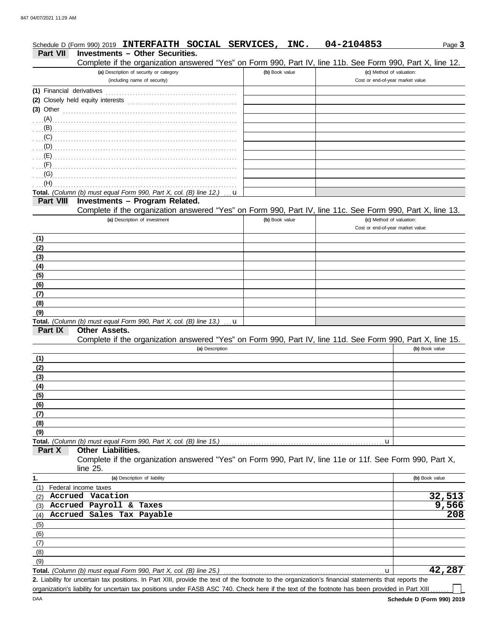|                           | Schedule D (Form 990) 2019 INTERFAITH SOCIAL SERVICES, INC.                                                                                          |                 |          |                | 04-2104853                       | Page 3         |
|---------------------------|------------------------------------------------------------------------------------------------------------------------------------------------------|-----------------|----------|----------------|----------------------------------|----------------|
| <b>Part VII</b>           | <b>Investments - Other Securities.</b>                                                                                                               |                 |          |                |                                  |                |
|                           | Complete if the organization answered "Yes" on Form 990, Part IV, line 11b. See Form 990, Part X, line 12.                                           |                 |          |                |                                  |                |
|                           | (a) Description of security or category                                                                                                              |                 |          | (b) Book value | (c) Method of valuation:         |                |
|                           | (including name of security)                                                                                                                         |                 |          |                | Cost or end-of-year market value |                |
| (1) Financial derivatives |                                                                                                                                                      |                 |          |                |                                  |                |
|                           | (2) Closely held equity interests                                                                                                                    |                 |          |                |                                  |                |
| $(3)$ Other               |                                                                                                                                                      |                 |          |                |                                  |                |
| (A)                       |                                                                                                                                                      |                 |          |                |                                  |                |
| $\mathcal{L}(\mathsf{B})$ |                                                                                                                                                      |                 |          |                |                                  |                |
|                           |                                                                                                                                                      |                 |          |                |                                  |                |
|                           |                                                                                                                                                      |                 |          |                |                                  |                |
|                           |                                                                                                                                                      |                 |          |                |                                  |                |
| (F)                       |                                                                                                                                                      |                 |          |                |                                  |                |
| (G)<br>(H)                |                                                                                                                                                      |                 |          |                |                                  |                |
|                           | Total. (Column (b) must equal Form 990, Part X, col. (B) line 12.)                                                                                   |                 |          |                |                                  |                |
| <b>Part VIII</b>          | <b>Investments - Program Related.</b>                                                                                                                |                 | u u      |                |                                  |                |
|                           | Complete if the organization answered "Yes" on Form 990, Part IV, line 11c. See Form 990, Part X, line 13.                                           |                 |          |                |                                  |                |
|                           | (a) Description of investment                                                                                                                        |                 |          | (b) Book value | (c) Method of valuation:         |                |
|                           |                                                                                                                                                      |                 |          |                | Cost or end-of-year market value |                |
| (1)                       |                                                                                                                                                      |                 |          |                |                                  |                |
| (2)                       |                                                                                                                                                      |                 |          |                |                                  |                |
| (3)                       |                                                                                                                                                      |                 |          |                |                                  |                |
| (4)                       |                                                                                                                                                      |                 |          |                |                                  |                |
| (5)                       |                                                                                                                                                      |                 |          |                |                                  |                |
| (6)                       |                                                                                                                                                      |                 |          |                |                                  |                |
| (7)                       |                                                                                                                                                      |                 |          |                |                                  |                |
| (8)                       |                                                                                                                                                      |                 |          |                |                                  |                |
| (9)                       |                                                                                                                                                      |                 |          |                |                                  |                |
|                           | Total. (Column (b) must equal Form 990, Part X, col. (B) line 13.)                                                                                   |                 | <b>u</b> |                |                                  |                |
| Part IX                   | <b>Other Assets.</b>                                                                                                                                 |                 |          |                |                                  |                |
|                           | Complete if the organization answered "Yes" on Form 990, Part IV, line 11d. See Form 990, Part X, line 15.                                           |                 |          |                |                                  |                |
|                           |                                                                                                                                                      | (a) Description |          |                |                                  | (b) Book value |
| (1)                       |                                                                                                                                                      |                 |          |                |                                  |                |
| (2)                       |                                                                                                                                                      |                 |          |                |                                  |                |
| (3)                       |                                                                                                                                                      |                 |          |                |                                  |                |
| (4)                       |                                                                                                                                                      |                 |          |                |                                  |                |
| (5)                       |                                                                                                                                                      |                 |          |                |                                  |                |
| (6)                       |                                                                                                                                                      |                 |          |                |                                  |                |
| (7)                       |                                                                                                                                                      |                 |          |                |                                  |                |
| (8)                       |                                                                                                                                                      |                 |          |                |                                  |                |
| (9)                       | Total. (Column (b) must equal Form 990, Part X, col. (B) line 15.)                                                                                   |                 |          |                |                                  |                |
| Part X                    | Other Liabilities.                                                                                                                                   |                 |          |                | u                                |                |
|                           | Complete if the organization answered "Yes" on Form 990, Part IV, line 11e or 11f. See Form 990, Part X,                                             |                 |          |                |                                  |                |
|                           | line 25.                                                                                                                                             |                 |          |                |                                  |                |
| 1.                        | (a) Description of liability                                                                                                                         |                 |          |                |                                  | (b) Book value |
| (1)                       | Federal income taxes                                                                                                                                 |                 |          |                |                                  |                |
| (2)                       | Accrued Vacation                                                                                                                                     |                 |          |                |                                  | 32,513         |
| (3)                       | Accrued Payroll & Taxes                                                                                                                              |                 |          |                |                                  | 9,566          |
| (4)                       | Accrued Sales Tax Payable                                                                                                                            |                 |          |                |                                  | 208            |
| (5)                       |                                                                                                                                                      |                 |          |                |                                  |                |
| (6)                       |                                                                                                                                                      |                 |          |                |                                  |                |
| (7)                       |                                                                                                                                                      |                 |          |                |                                  |                |
| (8)                       |                                                                                                                                                      |                 |          |                |                                  |                |
| (9)                       |                                                                                                                                                      |                 |          |                |                                  |                |
|                           | Total. (Column (b) must equal Form 990, Part X, col. (B) line 25.)                                                                                   |                 |          |                | u                                | 42,287         |
|                           | 2. Liability for uncertain tax positions. In Part XIII, provide the text of the footnote to the organization's financial statements that reports the |                 |          |                |                                  |                |

organization's liability for uncertain tax positions under FASB ASC 740. Check here if the text of the footnote has been provided in Part XIII . . . . . .

 $\Box$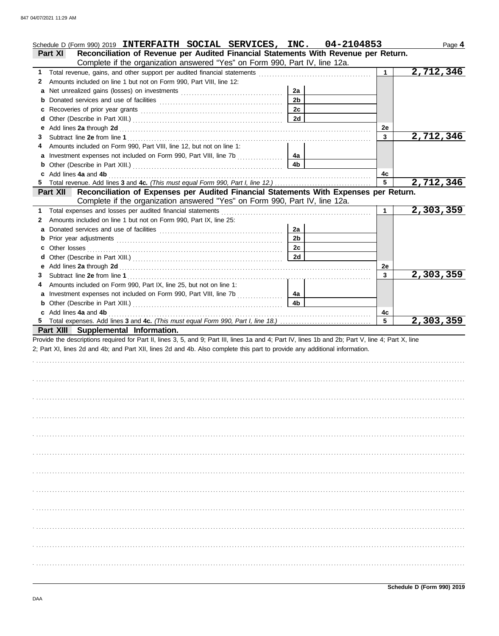|    | Schedule D (Form 990) 2019 INTERFAITH SOCIAL SERVICES, INC. 04-2104853                                                                                                                                                         |                      |              | Page 4    |
|----|--------------------------------------------------------------------------------------------------------------------------------------------------------------------------------------------------------------------------------|----------------------|--------------|-----------|
|    | Reconciliation of Revenue per Audited Financial Statements With Revenue per Return.<br><b>Part XI</b>                                                                                                                          |                      |              |           |
|    | Complete if the organization answered "Yes" on Form 990, Part IV, line 12a.                                                                                                                                                    |                      |              |           |
| 1. | Total revenue, gains, and other support per audited financial statements [11] [11] Total revenue controlled to the support per audited financial statements [11] [11] Total Revenue of the statements of the statements of the |                      | 1            | 2,712,346 |
| 2  | Amounts included on line 1 but not on Form 990, Part VIII, line 12:                                                                                                                                                            |                      |              |           |
|    |                                                                                                                                                                                                                                | 2a                   |              |           |
| b  |                                                                                                                                                                                                                                | 2 <sub>b</sub>       |              |           |
|    |                                                                                                                                                                                                                                | 2c                   |              |           |
| d  |                                                                                                                                                                                                                                | 2d                   |              |           |
| е  |                                                                                                                                                                                                                                |                      | 2e           |           |
| 3  |                                                                                                                                                                                                                                |                      | $\mathbf{3}$ | 2,712,346 |
| 4  | Amounts included on Form 990, Part VIII, line 12, but not on line 1:                                                                                                                                                           |                      |              |           |
|    | Investment expenses not included on Form 990, Part VIII, line 7b [[[[[[[[[[[[[[[[[[[[[[[[]]]]]]]]]]                                                                                                                            | 4a                   |              |           |
|    |                                                                                                                                                                                                                                | 4b                   |              |           |
| c  | Add lines 4a and 4b                                                                                                                                                                                                            |                      | 4c           |           |
| 5  |                                                                                                                                                                                                                                |                      | 5            | 2,712,346 |
|    | Reconciliation of Expenses per Audited Financial Statements With Expenses per Return.<br><b>Part XII</b>                                                                                                                       |                      |              |           |
|    | Complete if the organization answered "Yes" on Form 990, Part IV, line 12a.                                                                                                                                                    |                      |              | 2,303,359 |
| 1. | Total expenses and losses per audited financial statements<br>Amounts included on line 1 but not on Form 990, Part IX, line 25:                                                                                                |                      | 1            |           |
| 2  |                                                                                                                                                                                                                                |                      |              |           |
| a  |                                                                                                                                                                                                                                | 2a<br>2 <sub>b</sub> |              |           |
| b  |                                                                                                                                                                                                                                |                      |              |           |
| с  | Other losses                                                                                                                                                                                                                   | 2c                   |              |           |
| d  |                                                                                                                                                                                                                                | 2d                   |              |           |
| е  |                                                                                                                                                                                                                                |                      | 2e           |           |
| 3  |                                                                                                                                                                                                                                |                      | 3            | 2,303,359 |
| 4  | Amounts included on Form 990, Part IX, line 25, but not on line 1:                                                                                                                                                             |                      |              |           |
| a  | Investment expenses not included on Form 990, Part VIII, line 7b<br><u> 1999 - Johann Stoff, Amerikaansk kanton (</u>                                                                                                          | 4a                   |              |           |
|    |                                                                                                                                                                                                                                |                      |              |           |
| b  |                                                                                                                                                                                                                                | 4b                   |              |           |
|    | c Add lines 4a and 4b                                                                                                                                                                                                          |                      | 4с           |           |
| 5  |                                                                                                                                                                                                                                |                      | 5            | 2,303,359 |
|    | Part XIII Supplemental Information.                                                                                                                                                                                            |                      |              |           |
|    | Provide the descriptions required for Part II, lines 3, 5, and 9; Part III, lines 1a and 4; Part IV, lines 1b and 2b; Part V, line 4; Part X, line                                                                             |                      |              |           |
|    | 2; Part XI, lines 2d and 4b; and Part XII, lines 2d and 4b. Also complete this part to provide any additional information.                                                                                                     |                      |              |           |
|    |                                                                                                                                                                                                                                |                      |              |           |
|    |                                                                                                                                                                                                                                |                      |              |           |
|    |                                                                                                                                                                                                                                |                      |              |           |
|    |                                                                                                                                                                                                                                |                      |              |           |
|    |                                                                                                                                                                                                                                |                      |              |           |
|    |                                                                                                                                                                                                                                |                      |              |           |
|    |                                                                                                                                                                                                                                |                      |              |           |
|    |                                                                                                                                                                                                                                |                      |              |           |
|    |                                                                                                                                                                                                                                |                      |              |           |
|    |                                                                                                                                                                                                                                |                      |              |           |
|    |                                                                                                                                                                                                                                |                      |              |           |
|    |                                                                                                                                                                                                                                |                      |              |           |
|    |                                                                                                                                                                                                                                |                      |              |           |
|    |                                                                                                                                                                                                                                |                      |              |           |
|    |                                                                                                                                                                                                                                |                      |              |           |
|    |                                                                                                                                                                                                                                |                      |              |           |
|    |                                                                                                                                                                                                                                |                      |              |           |
|    |                                                                                                                                                                                                                                |                      |              |           |
|    |                                                                                                                                                                                                                                |                      |              |           |
|    |                                                                                                                                                                                                                                |                      |              |           |
|    |                                                                                                                                                                                                                                |                      |              |           |
|    |                                                                                                                                                                                                                                |                      |              |           |
|    |                                                                                                                                                                                                                                |                      |              |           |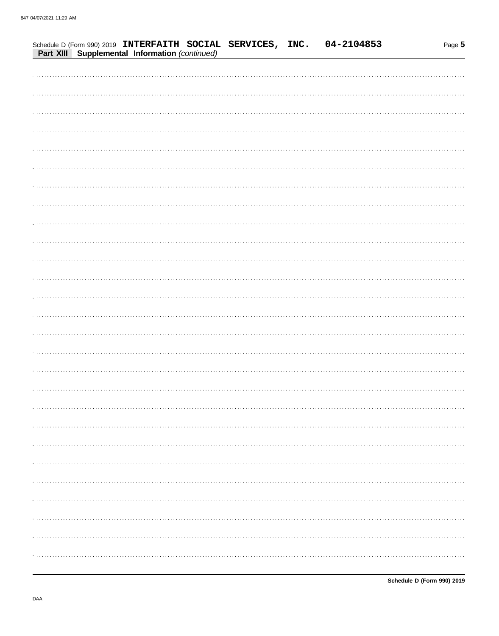|  |  |                                                                                                               | 04-2104853 | <u>Page 5</u> |
|--|--|---------------------------------------------------------------------------------------------------------------|------------|---------------|
|  |  | Schedule D (Form 990) 2019 INTERFAITH SOCIAL SERVICES, INC.<br>Part XIII Supplemental Information (continued) |            |               |
|  |  |                                                                                                               |            |               |
|  |  |                                                                                                               |            |               |
|  |  |                                                                                                               |            |               |
|  |  |                                                                                                               |            |               |
|  |  |                                                                                                               |            |               |
|  |  |                                                                                                               |            |               |
|  |  |                                                                                                               |            |               |
|  |  |                                                                                                               |            |               |
|  |  |                                                                                                               |            |               |
|  |  |                                                                                                               |            |               |
|  |  |                                                                                                               |            |               |
|  |  |                                                                                                               |            |               |
|  |  |                                                                                                               |            |               |
|  |  |                                                                                                               |            |               |
|  |  |                                                                                                               |            |               |
|  |  |                                                                                                               |            |               |
|  |  |                                                                                                               |            |               |
|  |  |                                                                                                               |            |               |
|  |  |                                                                                                               |            |               |
|  |  |                                                                                                               |            |               |
|  |  |                                                                                                               |            |               |
|  |  |                                                                                                               |            |               |
|  |  |                                                                                                               |            |               |
|  |  |                                                                                                               |            |               |
|  |  |                                                                                                               |            |               |
|  |  |                                                                                                               |            |               |
|  |  |                                                                                                               |            |               |
|  |  |                                                                                                               |            |               |
|  |  |                                                                                                               |            |               |
|  |  |                                                                                                               |            |               |
|  |  |                                                                                                               |            |               |
|  |  |                                                                                                               |            |               |
|  |  |                                                                                                               |            |               |
|  |  |                                                                                                               |            |               |
|  |  |                                                                                                               |            |               |
|  |  |                                                                                                               |            |               |
|  |  |                                                                                                               |            |               |
|  |  |                                                                                                               |            |               |
|  |  |                                                                                                               |            |               |
|  |  |                                                                                                               |            |               |
|  |  |                                                                                                               |            |               |
|  |  |                                                                                                               |            |               |
|  |  |                                                                                                               |            |               |
|  |  |                                                                                                               |            |               |
|  |  |                                                                                                               |            |               |
|  |  |                                                                                                               |            |               |
|  |  |                                                                                                               |            |               |
|  |  |                                                                                                               |            |               |
|  |  |                                                                                                               |            |               |
|  |  |                                                                                                               |            |               |
|  |  |                                                                                                               |            |               |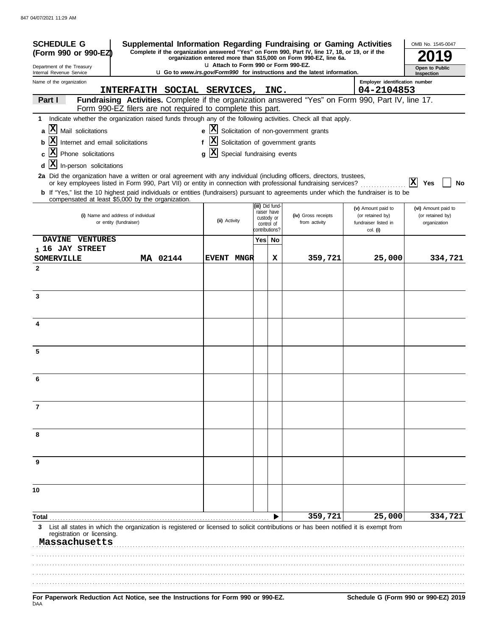| <b>SCHEDULE G</b><br>(Form 990 or 990-EZ)                                                                                                                                                                                                                                |                                    |          |                                                                 |      |                                | Supplemental Information Regarding Fundraising or Gaming Activities<br>Complete if the organization answered "Yes" on Form 990, Part IV, line 17, 18, or 19, or if the<br>organization entered more than \$15,000 on Form 990-EZ, line 6a. |                                          | OMB No. 1545-0047<br>9                  |
|--------------------------------------------------------------------------------------------------------------------------------------------------------------------------------------------------------------------------------------------------------------------------|------------------------------------|----------|-----------------------------------------------------------------|------|--------------------------------|--------------------------------------------------------------------------------------------------------------------------------------------------------------------------------------------------------------------------------------------|------------------------------------------|-----------------------------------------|
| Department of the Treasury                                                                                                                                                                                                                                               |                                    |          | La Attach to Form 990 or Form 990-EZ.                           |      |                                |                                                                                                                                                                                                                                            |                                          | Open to Public                          |
| Internal Revenue Service                                                                                                                                                                                                                                                 |                                    |          |                                                                 |      |                                | <b>u</b> Go to www.irs.gov/Form990 for instructions and the latest information.                                                                                                                                                            | Employer identification number           | Inspection                              |
| Name of the organization                                                                                                                                                                                                                                                 |                                    |          | INTERFAITH SOCIAL SERVICES, INC.                                |      |                                |                                                                                                                                                                                                                                            | 04-2104853                               |                                         |
| Part I                                                                                                                                                                                                                                                                   |                                    |          | Form 990-EZ filers are not required to complete this part.      |      |                                | Fundraising Activities. Complete if the organization answered "Yes" on Form 990, Part IV, line 17.                                                                                                                                         |                                          |                                         |
| Indicate whether the organization raised funds through any of the following activities. Check all that apply.<br>1.                                                                                                                                                      |                                    |          |                                                                 |      |                                |                                                                                                                                                                                                                                            |                                          |                                         |
| X <br>Mail solicitations<br>a                                                                                                                                                                                                                                            |                                    |          | $\mathbf{e}$ $\mathbf{X}$ Solicitation of non-government grants |      |                                |                                                                                                                                                                                                                                            |                                          |                                         |
| Internet and email solicitations                                                                                                                                                                                                                                         |                                    |          | X Solicitation of government grants<br>f                        |      |                                |                                                                                                                                                                                                                                            |                                          |                                         |
| Phone solicitations<br>X                                                                                                                                                                                                                                                 |                                    |          | $ \mathbf{X} $ Special fundraising events<br>a                  |      |                                |                                                                                                                                                                                                                                            |                                          |                                         |
| In-person solicitations<br>d<br>2a Did the organization have a written or oral agreement with any individual (including officers, directors, trustees,<br>or key employees listed in Form 990, Part VII) or entity in connection with professional fundraising services? |                                    |          |                                                                 |      |                                |                                                                                                                                                                                                                                            |                                          | X.<br>Yes<br>No                         |
| <b>b</b> If "Yes," list the 10 highest paid individuals or entities (fundraisers) pursuant to agreements under which the fundraiser is to be<br>compensated at least \$5,000 by the organization.                                                                        |                                    |          |                                                                 |      |                                |                                                                                                                                                                                                                                            |                                          |                                         |
|                                                                                                                                                                                                                                                                          | (i) Name and address of individual |          |                                                                 |      | (iii) Did fund-<br>raiser have | (iv) Gross receipts                                                                                                                                                                                                                        | (v) Amount paid to                       | (vi) Amount paid to<br>(or retained by) |
|                                                                                                                                                                                                                                                                          | or entity (fundraiser)             |          | (ii) Activity                                                   |      | custody or<br>control of       | from activity                                                                                                                                                                                                                              | (or retained by)<br>fundraiser listed in | organization                            |
|                                                                                                                                                                                                                                                                          |                                    |          |                                                                 |      | contributions?                 |                                                                                                                                                                                                                                            | col. (i)                                 |                                         |
| <b>VENTURES</b><br><b>DAVINE</b>                                                                                                                                                                                                                                         |                                    |          |                                                                 | Yesl | No                             |                                                                                                                                                                                                                                            |                                          |                                         |
| 1 16 JAY STREET<br><b>SOMERVILLE</b>                                                                                                                                                                                                                                     |                                    | MA 02144 | <b>EVENT MNGR</b>                                               |      | x                              | 359,721                                                                                                                                                                                                                                    | 25,000                                   | 334,721                                 |
| $\mathbf{2}$                                                                                                                                                                                                                                                             |                                    |          |                                                                 |      |                                |                                                                                                                                                                                                                                            |                                          |                                         |
|                                                                                                                                                                                                                                                                          |                                    |          |                                                                 |      |                                |                                                                                                                                                                                                                                            |                                          |                                         |
| 3                                                                                                                                                                                                                                                                        |                                    |          |                                                                 |      |                                |                                                                                                                                                                                                                                            |                                          |                                         |
|                                                                                                                                                                                                                                                                          |                                    |          |                                                                 |      |                                |                                                                                                                                                                                                                                            |                                          |                                         |
| 4                                                                                                                                                                                                                                                                        |                                    |          |                                                                 |      |                                |                                                                                                                                                                                                                                            |                                          |                                         |
| 5                                                                                                                                                                                                                                                                        |                                    |          |                                                                 |      |                                |                                                                                                                                                                                                                                            |                                          |                                         |
| 6                                                                                                                                                                                                                                                                        |                                    |          |                                                                 |      |                                |                                                                                                                                                                                                                                            |                                          |                                         |
|                                                                                                                                                                                                                                                                          |                                    |          |                                                                 |      |                                |                                                                                                                                                                                                                                            |                                          |                                         |
| 7                                                                                                                                                                                                                                                                        |                                    |          |                                                                 |      |                                |                                                                                                                                                                                                                                            |                                          |                                         |
| 8                                                                                                                                                                                                                                                                        |                                    |          |                                                                 |      |                                |                                                                                                                                                                                                                                            |                                          |                                         |
| 9                                                                                                                                                                                                                                                                        |                                    |          |                                                                 |      |                                |                                                                                                                                                                                                                                            |                                          |                                         |
| 10                                                                                                                                                                                                                                                                       |                                    |          |                                                                 |      |                                |                                                                                                                                                                                                                                            |                                          |                                         |
|                                                                                                                                                                                                                                                                          |                                    |          |                                                                 |      |                                |                                                                                                                                                                                                                                            |                                          |                                         |
| Total                                                                                                                                                                                                                                                                    |                                    |          |                                                                 |      |                                | 359,721                                                                                                                                                                                                                                    | 25,000                                   | 334,721                                 |
| List all states in which the organization is registered or licensed to solicit contributions or has been notified it is exempt from<br>3<br>registration or licensing.<br>Massachusetts                                                                                  |                                    |          |                                                                 |      |                                |                                                                                                                                                                                                                                            |                                          |                                         |
|                                                                                                                                                                                                                                                                          |                                    |          |                                                                 |      |                                |                                                                                                                                                                                                                                            |                                          |                                         |
|                                                                                                                                                                                                                                                                          |                                    |          |                                                                 |      |                                |                                                                                                                                                                                                                                            |                                          |                                         |
| For Paperwork Reduction Act Notice, see the Instructions for Form 990 or 990-EZ.                                                                                                                                                                                         |                                    |          |                                                                 |      |                                |                                                                                                                                                                                                                                            |                                          | Schedule G (Form 990 or 990-EZ) 2019    |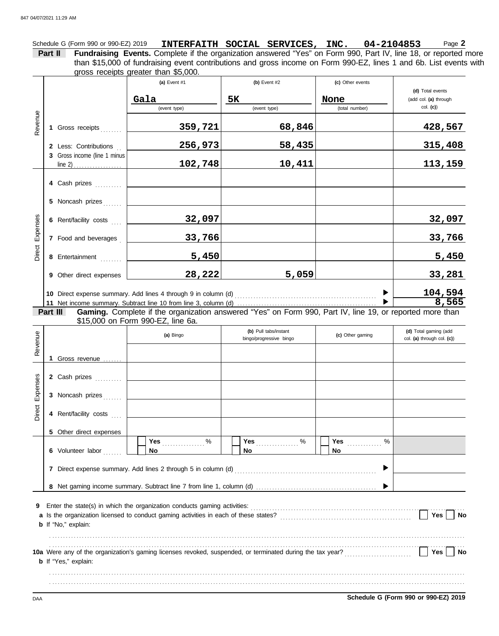Schedule G (Form 990 or 990-EZ) 2019 **INTERFAITH SOCIAL SERVICES , INC. 04-2104853** Page 2 **Part II Fundraising Events.** Complete if the organization answered "Yes" on Form 990, Part IV, line 18, or reported more gross receipts greater than \$5,000. than \$15,000 of fundraising event contributions and gross income on Form 990-EZ, lines 1 and 6b. List events with

|          |          |                              | (a) Event #1                      | (b) Event $#2$                                                                                           | (c) Other events |                                           |
|----------|----------|------------------------------|-----------------------------------|----------------------------------------------------------------------------------------------------------|------------------|-------------------------------------------|
|          |          |                              | Gala                              | <b>5K</b>                                                                                                | None             | (d) Total events<br>(add col. (a) through |
|          |          |                              | (event type)                      | (event type)                                                                                             | (total number)   | col. (c)                                  |
| Revenue  |          |                              |                                   |                                                                                                          |                  |                                           |
|          |          | 1 Gross receipts             | 359,721                           | 68,846                                                                                                   |                  | 428,567                                   |
|          |          | 2 Less: Contributions        | 256,973                           | 58,435                                                                                                   |                  | 315,408                                   |
|          |          | 3 Gross income (line 1 minus |                                   |                                                                                                          |                  |                                           |
|          |          |                              | 102,748                           | 10,411                                                                                                   |                  | 113,159                                   |
|          |          | 4 Cash prizes                |                                   |                                                                                                          |                  |                                           |
|          |          |                              |                                   |                                                                                                          |                  |                                           |
|          |          | 5 Noncash prizes             |                                   |                                                                                                          |                  |                                           |
|          |          | 6 Rent/facility costs        | 32,097                            |                                                                                                          |                  | 32,097                                    |
| Expenses |          |                              |                                   |                                                                                                          |                  |                                           |
|          |          | 7 Food and beverages         | 33,766                            |                                                                                                          |                  | 33,766                                    |
| Direct   |          | 8 Entertainment              | 5,450                             |                                                                                                          |                  | 5,450                                     |
|          |          | 9 Other direct expenses      | 28,222                            | 5,059                                                                                                    |                  | 33,281                                    |
|          |          |                              |                                   |                                                                                                          |                  |                                           |
|          |          |                              |                                   |                                                                                                          |                  | 104,594                                   |
|          |          |                              |                                   |                                                                                                          |                  | 8,565                                     |
|          | Part III |                              | \$15,000 on Form 990-EZ, line 6a. | Gaming. Complete if the organization answered "Yes" on Form 990, Part IV, line 19, or reported more than |                  |                                           |
|          |          |                              | (a) Bingo                         | (b) Pull tabs/instant                                                                                    | (c) Other gaming | (d) Total gaming (add                     |
| Revenue  |          |                              |                                   | bingo/progressive bingo                                                                                  |                  | col. (a) through col. (c))                |
|          |          | 1 Gross revenue              |                                   |                                                                                                          |                  |                                           |
|          |          |                              |                                   |                                                                                                          |                  |                                           |
|          |          | 2 Cash prizes                |                                   |                                                                                                          |                  |                                           |
| Expenses |          | 3 Noncash prizes             |                                   |                                                                                                          |                  |                                           |
|          |          |                              |                                   |                                                                                                          |                  |                                           |
| Direct   |          | 4 Rent/facility costs        |                                   |                                                                                                          |                  |                                           |
|          |          | 5 Other direct expenses      |                                   |                                                                                                          |                  |                                           |
|          |          |                              | %<br>Yes                          | %<br>Yes                                                                                                 | %<br>Yes         |                                           |
|          |          | 6 Volunteer labor            | No                                | No                                                                                                       | No               |                                           |
|          |          |                              |                                   |                                                                                                          |                  |                                           |
|          |          |                              |                                   |                                                                                                          |                  |                                           |
|          |          |                              |                                   |                                                                                                          |                  |                                           |
| 9        |          |                              |                                   |                                                                                                          |                  |                                           |
|          |          |                              |                                   |                                                                                                          |                  | Yes<br>No                                 |
|          |          | b If "No," explain:          |                                   |                                                                                                          |                  |                                           |
|          |          |                              |                                   |                                                                                                          |                  |                                           |
|          |          |                              |                                   |                                                                                                          |                  | Yes<br>No                                 |
|          |          | <b>b</b> If "Yes," explain:  |                                   |                                                                                                          |                  |                                           |
|          |          |                              |                                   |                                                                                                          |                  |                                           |
|          |          |                              |                                   |                                                                                                          |                  |                                           |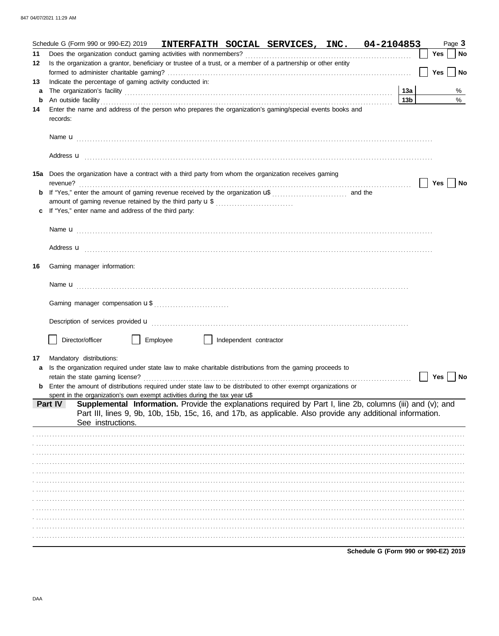|    |          |                                                                                      |          |                        | Schedule G (Form 990 or 990-EZ) 2019 INTERFAITH SOCIAL SERVICES, INC. 04-2104853                                                                                                                                                                                                                   |                                      |                 |            | Page 3 |
|----|----------|--------------------------------------------------------------------------------------|----------|------------------------|----------------------------------------------------------------------------------------------------------------------------------------------------------------------------------------------------------------------------------------------------------------------------------------------------|--------------------------------------|-----------------|------------|--------|
| 11 |          |                                                                                      |          |                        |                                                                                                                                                                                                                                                                                                    |                                      |                 | Yes        | No     |
| 12 |          |                                                                                      |          |                        | Is the organization a grantor, beneficiary or trustee of a trust, or a member of a partnership or other entity                                                                                                                                                                                     |                                      |                 | <b>Yes</b> | No     |
| 13 |          | Indicate the percentage of gaming activity conducted in:                             |          |                        |                                                                                                                                                                                                                                                                                                    |                                      |                 |            |        |
| a  |          |                                                                                      |          |                        |                                                                                                                                                                                                                                                                                                    |                                      | 13а             |            | %      |
| b  |          |                                                                                      |          |                        |                                                                                                                                                                                                                                                                                                    |                                      | 13 <sub>b</sub> |            | %      |
| 14 | records: |                                                                                      |          |                        | Enter the name and address of the person who prepares the organization's gaming/special events books and                                                                                                                                                                                           |                                      |                 |            |        |
|    |          |                                                                                      |          |                        | Name $\mathbf{u}$ [1] $\cdots$ [1] $\cdots$ [1] $\cdots$ [1] $\cdots$ [1] $\cdots$ [1] $\cdots$ [1] $\cdots$ [1] $\cdots$ [1] $\cdots$ [1] $\cdots$ [1] $\cdots$ [1] $\cdots$ [1] $\cdots$ [1] $\cdots$ [1] $\cdots$ [1] $\cdots$ [1] $\cdots$ [1] $\cdots$ [1] $\cdots$ [1] $\cdots$ [1] $\cdots$ |                                      |                 |            |        |
|    |          |                                                                                      |          |                        | Address <b>u</b> decree and the contract of the contract of the contract of the contract of the contract of the contract of the contract of the contract of the contract of the contract of the contract of the contract of the con                                                                |                                      |                 |            |        |
|    | revenue? |                                                                                      |          |                        | 15a Does the organization have a contract with a third party from whom the organization receives gaming                                                                                                                                                                                            |                                      |                 | Yes        | No     |
| b  |          |                                                                                      |          |                        |                                                                                                                                                                                                                                                                                                    |                                      |                 |            |        |
|    |          | amount of gaming revenue retained by the third party <b>u</b> \$                     |          |                        |                                                                                                                                                                                                                                                                                                    |                                      |                 |            |        |
| c  |          | If "Yes," enter name and address of the third party:                                 |          |                        |                                                                                                                                                                                                                                                                                                    |                                      |                 |            |        |
|    |          |                                                                                      |          |                        |                                                                                                                                                                                                                                                                                                    |                                      |                 |            |        |
|    |          |                                                                                      |          |                        |                                                                                                                                                                                                                                                                                                    |                                      |                 |            |        |
|    |          |                                                                                      |          |                        |                                                                                                                                                                                                                                                                                                    |                                      |                 |            |        |
|    |          |                                                                                      |          |                        | Address <b>u</b> <u>contractive and the contractive and the contractive and the contractive and the contractive and the contractive and the contractive and contract and contract and contract and contract and contract and contract</u>                                                          |                                      |                 |            |        |
| 16 |          | Gaming manager information:                                                          |          |                        |                                                                                                                                                                                                                                                                                                    |                                      |                 |            |        |
|    |          |                                                                                      |          |                        |                                                                                                                                                                                                                                                                                                    |                                      |                 |            |        |
|    |          |                                                                                      |          |                        |                                                                                                                                                                                                                                                                                                    |                                      |                 |            |        |
|    |          |                                                                                      |          |                        |                                                                                                                                                                                                                                                                                                    |                                      |                 |            |        |
|    |          |                                                                                      |          |                        |                                                                                                                                                                                                                                                                                                    |                                      |                 |            |        |
|    |          | Director/officer                                                                     | Employee | Independent contractor |                                                                                                                                                                                                                                                                                                    |                                      |                 |            |        |
| 17 |          | Mandatory distributions:                                                             |          |                        |                                                                                                                                                                                                                                                                                                    |                                      |                 |            |        |
| a  |          |                                                                                      |          |                        | Is the organization required under state law to make charitable distributions from the gaming proceeds to                                                                                                                                                                                          |                                      |                 |            |        |
|    |          | retain the state gaming license?                                                     |          |                        |                                                                                                                                                                                                                                                                                                    |                                      |                 | Yes        | No     |
| b  |          |                                                                                      |          |                        | Enter the amount of distributions required under state law to be distributed to other exempt organizations or                                                                                                                                                                                      |                                      |                 |            |        |
|    |          | spent in the organization's own exempt activities during the tax year $\mathbf{u}^*$ |          |                        |                                                                                                                                                                                                                                                                                                    |                                      |                 |            |        |
|    | Part IV  |                                                                                      |          |                        | Supplemental Information. Provide the explanations required by Part I, line 2b, columns (iii) and (v); and<br>Part III, lines 9, 9b, 10b, 15b, 15c, 16, and 17b, as applicable. Also provide any additional information.                                                                           |                                      |                 |            |        |
|    |          | See instructions.                                                                    |          |                        |                                                                                                                                                                                                                                                                                                    |                                      |                 |            |        |
|    |          |                                                                                      |          |                        |                                                                                                                                                                                                                                                                                                    |                                      |                 |            |        |
|    |          |                                                                                      |          |                        |                                                                                                                                                                                                                                                                                                    |                                      |                 |            |        |
|    |          |                                                                                      |          |                        |                                                                                                                                                                                                                                                                                                    |                                      |                 |            |        |
|    |          |                                                                                      |          |                        |                                                                                                                                                                                                                                                                                                    |                                      |                 |            |        |
|    |          |                                                                                      |          |                        |                                                                                                                                                                                                                                                                                                    |                                      |                 |            |        |
|    |          |                                                                                      |          |                        |                                                                                                                                                                                                                                                                                                    |                                      |                 |            |        |
|    |          |                                                                                      |          |                        |                                                                                                                                                                                                                                                                                                    |                                      |                 |            |        |
|    |          |                                                                                      |          |                        |                                                                                                                                                                                                                                                                                                    |                                      |                 |            |        |
|    |          |                                                                                      |          |                        |                                                                                                                                                                                                                                                                                                    |                                      |                 |            |        |
|    |          |                                                                                      |          |                        |                                                                                                                                                                                                                                                                                                    |                                      |                 |            |        |
|    |          |                                                                                      |          |                        |                                                                                                                                                                                                                                                                                                    |                                      |                 |            |        |
|    |          |                                                                                      |          |                        |                                                                                                                                                                                                                                                                                                    | Schedule G (Form 990 or 990-EZ) 2019 |                 |            |        |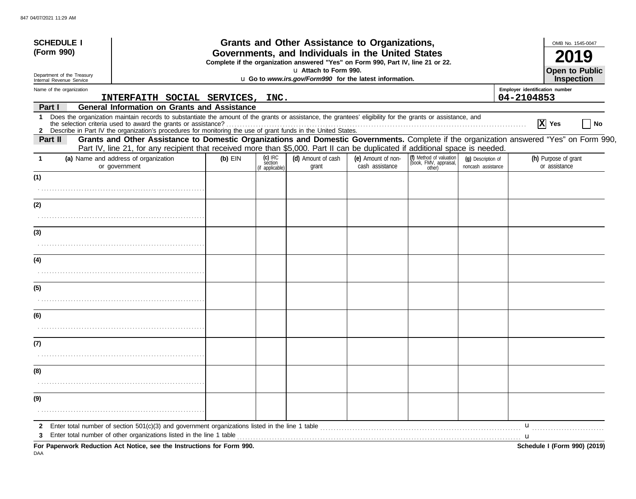| <b>SCHEDULE I</b><br>(Form 990)                        |                                                                                                                                                                                                                                                                               | Grants and Other Assistance to Organizations,<br>Governments, and Individuals in the United States | OMB No. 1545-0047                       |                                                                                  |                                       |                                                             |                                          |                                              |                                       |
|--------------------------------------------------------|-------------------------------------------------------------------------------------------------------------------------------------------------------------------------------------------------------------------------------------------------------------------------------|----------------------------------------------------------------------------------------------------|-----------------------------------------|----------------------------------------------------------------------------------|---------------------------------------|-------------------------------------------------------------|------------------------------------------|----------------------------------------------|---------------------------------------|
|                                                        |                                                                                                                                                                                                                                                                               |                                                                                                    |                                         | Complete if the organization answered "Yes" on Form 990, Part IV, line 21 or 22. |                                       |                                                             |                                          |                                              |                                       |
| Department of the Treasury<br>Internal Revenue Service |                                                                                                                                                                                                                                                                               |                                                                                                    |                                         | u Attach to Form 990.<br>u Go to www.irs.gov/Form990 for the latest information. |                                       |                                                             |                                          |                                              | <b>Open to Public</b><br>Inspection   |
| Name of the organization                               | INTERFAITH SOCIAL SERVICES,                                                                                                                                                                                                                                                   |                                                                                                    | INC.                                    |                                                                                  |                                       |                                                             |                                          | Employer identification number<br>04-2104853 |                                       |
| Part I                                                 | <b>General Information on Grants and Assistance</b>                                                                                                                                                                                                                           |                                                                                                    |                                         |                                                                                  |                                       |                                                             |                                          |                                              |                                       |
| 1.                                                     | Does the organization maintain records to substantiate the amount of the grants or assistance, the grantees' eligibility for the grants or assistance, and<br>2 Describe in Part IV the organization's procedures for monitoring the use of grant funds in the United States. |                                                                                                    |                                         |                                                                                  |                                       |                                                             |                                          |                                              | $ \mathbf{X} $ Yes<br>No              |
| <b>Part II</b>                                         | Grants and Other Assistance to Domestic Organizations and Domestic Governments. Complete if the organization answered "Yes" on Form 990,<br>Part IV, line 21, for any recipient that received more than \$5,000. Part II can be duplicated if additional space is needed.     |                                                                                                    |                                         |                                                                                  |                                       |                                                             |                                          |                                              |                                       |
| -1                                                     | (a) Name and address of organization<br>or government                                                                                                                                                                                                                         | $(b)$ EIN                                                                                          | $(c)$ IRC<br>section<br>(if applicable) | (d) Amount of cash<br>grant                                                      | (e) Amount of non-<br>cash assistance | (f) Method of valuation<br>(book, FMV, appraisal,<br>other) | (g) Description of<br>noncash assistance |                                              | (h) Purpose of grant<br>or assistance |
| (1)                                                    |                                                                                                                                                                                                                                                                               |                                                                                                    |                                         |                                                                                  |                                       |                                                             |                                          |                                              |                                       |
| (2)                                                    |                                                                                                                                                                                                                                                                               |                                                                                                    |                                         |                                                                                  |                                       |                                                             |                                          |                                              |                                       |
| (3)                                                    |                                                                                                                                                                                                                                                                               |                                                                                                    |                                         |                                                                                  |                                       |                                                             |                                          |                                              |                                       |
|                                                        |                                                                                                                                                                                                                                                                               |                                                                                                    |                                         |                                                                                  |                                       |                                                             |                                          |                                              |                                       |
| (4)                                                    |                                                                                                                                                                                                                                                                               |                                                                                                    |                                         |                                                                                  |                                       |                                                             |                                          |                                              |                                       |
| (5)                                                    |                                                                                                                                                                                                                                                                               |                                                                                                    |                                         |                                                                                  |                                       |                                                             |                                          |                                              |                                       |
| (6)                                                    |                                                                                                                                                                                                                                                                               |                                                                                                    |                                         |                                                                                  |                                       |                                                             |                                          |                                              |                                       |
| (7)                                                    |                                                                                                                                                                                                                                                                               |                                                                                                    |                                         |                                                                                  |                                       |                                                             |                                          |                                              |                                       |
|                                                        |                                                                                                                                                                                                                                                                               |                                                                                                    |                                         |                                                                                  |                                       |                                                             |                                          |                                              |                                       |
| (8)                                                    |                                                                                                                                                                                                                                                                               |                                                                                                    |                                         |                                                                                  |                                       |                                                             |                                          |                                              |                                       |
|                                                        |                                                                                                                                                                                                                                                                               |                                                                                                    |                                         |                                                                                  |                                       |                                                             |                                          |                                              |                                       |
| (9)                                                    |                                                                                                                                                                                                                                                                               |                                                                                                    |                                         |                                                                                  |                                       |                                                             |                                          |                                              |                                       |
| 2<br>3                                                 | Enter total number of section $501(c)(3)$ and government organizations listed in the line 1 table<br>Enter total number of other organizations listed in the line 1 table                                                                                                     |                                                                                                    |                                         |                                                                                  |                                       |                                                             |                                          | u<br><b>u</b>                                |                                       |
|                                                        | For Paperwork Reduction Act Notice, see the Instructions for Form 990.                                                                                                                                                                                                        |                                                                                                    |                                         |                                                                                  |                                       |                                                             |                                          |                                              | Schedule I (Form 990) (2019)          |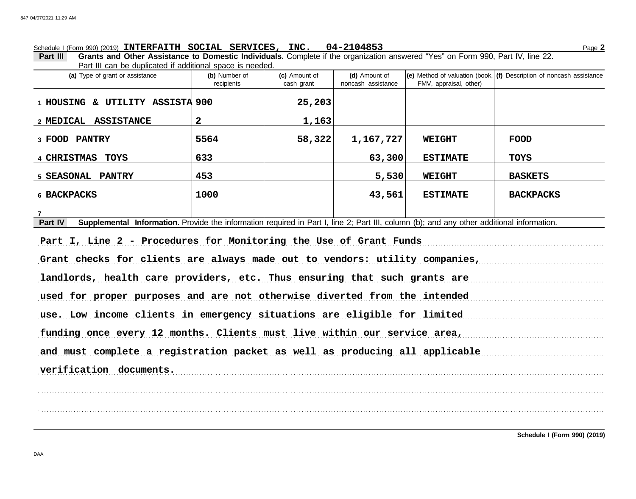## Schedule I (Form 990) (2019) Page **2 INTERFAITH SOCIAL SERVICES, INC. 04-2104853**

**Part III Grants and Other Assistance to Domestic Individuals.** Complete if the organization answered "Yes" on Form 990, Part IV, line 22. Part III can be duplicated if additional space is needed.

|                                                                                                                                                                                                                                                                                                                                                                                                                                                                                                         | $ e\rangle$ Method of valuation (book, $ f\rangle$ Description of noncash assistance<br>FMV, appraisal, other) | (d) Amount of<br>noncash assistance | (c) Amount of<br>cash grant | (b) Number of<br>recipients | (a) Type of grant or assistance                                                                                                           |                  |  |  |  |  |  |  |
|---------------------------------------------------------------------------------------------------------------------------------------------------------------------------------------------------------------------------------------------------------------------------------------------------------------------------------------------------------------------------------------------------------------------------------------------------------------------------------------------------------|----------------------------------------------------------------------------------------------------------------|-------------------------------------|-----------------------------|-----------------------------|-------------------------------------------------------------------------------------------------------------------------------------------|------------------|--|--|--|--|--|--|
|                                                                                                                                                                                                                                                                                                                                                                                                                                                                                                         |                                                                                                                |                                     | 25,203                      |                             | 1 HOUSING & UTILITY ASSISTA 900                                                                                                           |                  |  |  |  |  |  |  |
|                                                                                                                                                                                                                                                                                                                                                                                                                                                                                                         |                                                                                                                |                                     | <u>1,163</u>                | $\mathbf{2}$                | 2 MEDICAL ASSISTANCE                                                                                                                      |                  |  |  |  |  |  |  |
| <b>FOOD</b>                                                                                                                                                                                                                                                                                                                                                                                                                                                                                             | <b>WEIGHT</b>                                                                                                  | 1,167,727                           | 58,322                      | 5564                        |                                                                                                                                           | 3 FOOD PANTRY    |  |  |  |  |  |  |
| <b>TOYS</b>                                                                                                                                                                                                                                                                                                                                                                                                                                                                                             | <b>ESTIMATE</b>                                                                                                | 63,300                              |                             | 633                         |                                                                                                                                           | 4 CHRISTMAS TOYS |  |  |  |  |  |  |
| <b>BASKETS</b>                                                                                                                                                                                                                                                                                                                                                                                                                                                                                          | <b>WEIGHT</b>                                                                                                  | 5,530                               |                             | 453                         | 5 SEASONAL PANTRY                                                                                                                         |                  |  |  |  |  |  |  |
| <b>BACKPACKS</b>                                                                                                                                                                                                                                                                                                                                                                                                                                                                                        | <b>ESTIMATE</b>                                                                                                | 43,561                              |                             | 1000                        |                                                                                                                                           | 6 BACKPACKS      |  |  |  |  |  |  |
|                                                                                                                                                                                                                                                                                                                                                                                                                                                                                                         |                                                                                                                |                                     |                             |                             |                                                                                                                                           |                  |  |  |  |  |  |  |
|                                                                                                                                                                                                                                                                                                                                                                                                                                                                                                         |                                                                                                                |                                     |                             |                             | Supplemental Information. Provide the information required in Part I, line 2; Part III, column (b); and any other additional information. | Part IV          |  |  |  |  |  |  |
|                                                                                                                                                                                                                                                                                                                                                                                                                                                                                                         |                                                                                                                |                                     |                             |                             | Part I, Line 2 - Procedures for Monitoring the Use of Grant Funds                                                                         |                  |  |  |  |  |  |  |
|                                                                                                                                                                                                                                                                                                                                                                                                                                                                                                         |                                                                                                                |                                     |                             |                             |                                                                                                                                           |                  |  |  |  |  |  |  |
|                                                                                                                                                                                                                                                                                                                                                                                                                                                                                                         |                                                                                                                |                                     |                             |                             |                                                                                                                                           |                  |  |  |  |  |  |  |
|                                                                                                                                                                                                                                                                                                                                                                                                                                                                                                         |                                                                                                                |                                     |                             |                             |                                                                                                                                           |                  |  |  |  |  |  |  |
|                                                                                                                                                                                                                                                                                                                                                                                                                                                                                                         |                                                                                                                |                                     |                             |                             |                                                                                                                                           |                  |  |  |  |  |  |  |
|                                                                                                                                                                                                                                                                                                                                                                                                                                                                                                         |                                                                                                                |                                     |                             |                             |                                                                                                                                           |                  |  |  |  |  |  |  |
|                                                                                                                                                                                                                                                                                                                                                                                                                                                                                                         |                                                                                                                |                                     |                             |                             |                                                                                                                                           |                  |  |  |  |  |  |  |
|                                                                                                                                                                                                                                                                                                                                                                                                                                                                                                         |                                                                                                                |                                     |                             |                             |                                                                                                                                           |                  |  |  |  |  |  |  |
|                                                                                                                                                                                                                                                                                                                                                                                                                                                                                                         |                                                                                                                |                                     |                             |                             |                                                                                                                                           |                  |  |  |  |  |  |  |
|                                                                                                                                                                                                                                                                                                                                                                                                                                                                                                         |                                                                                                                |                                     |                             |                             |                                                                                                                                           |                  |  |  |  |  |  |  |
| Grant checks for clients are always made out to vendors: utility companies,<br>landlords, health care providers, etc. Thus ensuring that such grants are<br>used for proper purposes and are not otherwise diverted from the intended<br>use. Low income clients in emergency situations are eligible for limited<br>funding once every 12 months. Clients must live within our service area,<br>and must complete a registration packet as well as producing all applicable<br>verification documents. |                                                                                                                |                                     |                             |                             |                                                                                                                                           |                  |  |  |  |  |  |  |

DAA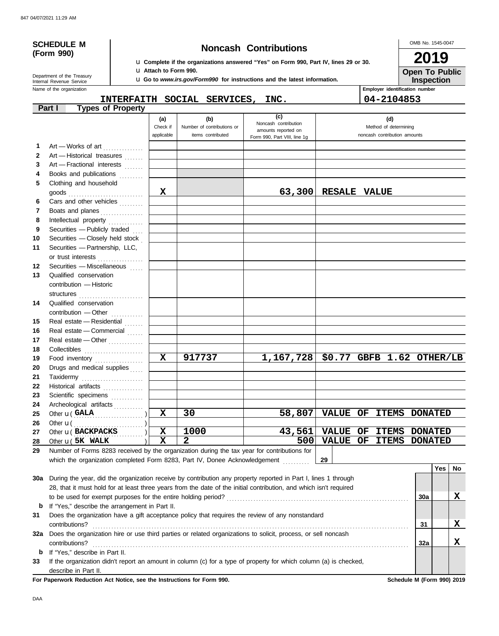# **(Form 990)**

## **SCHEDULE M Noncash Contributions**

u **Complete if the organizations answered "Yes" on Form 990, Part IV, lines 29 or 30.** u **Attach to Form 990.**

u **Go to** *www.irs.gov/Form990* **for instructions and the latest information.**

OMB No. 1545-0047 **2019**

**Inspection Open To Public**

Name of the organization **Employer identification number Employer identification number** Internal Revenue Service Department of the Treasury

## **INTERFAITH SOCIAL SERVICES, INC. 04-2104853**

| וווטוו ווטוווטמוויסטו ושמונו. |  |
|-------------------------------|--|
| 04-2104853                    |  |

|              | <b>Types of Property</b><br>Part I                                                                                                  |              |                            |                              |                     |                              |                |     |          |
|--------------|-------------------------------------------------------------------------------------------------------------------------------------|--------------|----------------------------|------------------------------|---------------------|------------------------------|----------------|-----|----------|
|              |                                                                                                                                     | (a)          | (b)                        | (c)<br>Noncash contribution  |                     | (d)                          |                |     |          |
|              |                                                                                                                                     | Check if     | Number of contributions or | amounts reported on          |                     | Method of determining        |                |     |          |
|              |                                                                                                                                     | applicable   | items contributed          | Form 990, Part VIII, line 1g |                     | noncash contribution amounts |                |     |          |
| 1.           | Art - Works of art                                                                                                                  |              |                            |                              |                     |                              |                |     |          |
| $\mathbf{2}$ | Art - Historical treasures                                                                                                          |              |                            |                              |                     |                              |                |     |          |
| 3            | Art - Fractional interests                                                                                                          |              |                            |                              |                     |                              |                |     |          |
| 4            | Books and publications                                                                                                              |              |                            |                              |                     |                              |                |     |          |
| 5            | Clothing and household                                                                                                              |              |                            |                              |                     |                              |                |     |          |
|              |                                                                                                                                     | $\mathbf X$  |                            |                              | 63,300 RESALE VALUE |                              |                |     |          |
| 6            | Cars and other vehicles                                                                                                             |              |                            |                              |                     |                              |                |     |          |
| 7            | Boats and planes                                                                                                                    |              |                            |                              |                     |                              |                |     |          |
| 8            | Intellectual property                                                                                                               |              |                            |                              |                     |                              |                |     |          |
| 9            | Securities - Publicly traded                                                                                                        |              |                            |                              |                     |                              |                |     |          |
| 10           | Securities - Closely held stock                                                                                                     |              |                            |                              |                     |                              |                |     |          |
| 11           | Securities - Partnership, LLC,                                                                                                      |              |                            |                              |                     |                              |                |     |          |
|              | or trust interests                                                                                                                  |              |                            |                              |                     |                              |                |     |          |
| 12           | Securities - Miscellaneous                                                                                                          |              |                            |                              |                     |                              |                |     |          |
| 13           | Qualified conservation                                                                                                              |              |                            |                              |                     |                              |                |     |          |
|              | contribution - Historic                                                                                                             |              |                            |                              |                     |                              |                |     |          |
| 14           | structures<br>Qualified conservation                                                                                                |              |                            |                              |                     |                              |                |     |          |
|              |                                                                                                                                     |              |                            |                              |                     |                              |                |     |          |
| 15           | contribution - Other<br>Real estate - Residential                                                                                   |              |                            |                              |                     |                              |                |     |          |
| 16           | Real estate - Commercial                                                                                                            |              |                            |                              |                     |                              |                |     |          |
| 17           | Real estate - Other                                                                                                                 |              |                            |                              |                     |                              |                |     |          |
| 18           |                                                                                                                                     |              |                            |                              |                     |                              |                |     |          |
| 19           | Collectibles<br>Food inventory                                                                                                      | $\mathbf{x}$ | 917737                     | 1,167,728                    |                     | $$0.77$ GBFB $1.62$ OTHER/LB |                |     |          |
| 20           | Drugs and medical supplies                                                                                                          |              |                            |                              |                     |                              |                |     |          |
| 21           | Taxidermy                                                                                                                           |              |                            |                              |                     |                              |                |     |          |
| 22           | Historical artifacts                                                                                                                |              |                            |                              |                     |                              |                |     |          |
| 23           | Scientific specimens                                                                                                                |              |                            |                              |                     |                              |                |     |          |
| 24           | Archeological artifacts                                                                                                             |              |                            |                              |                     |                              |                |     |          |
| 25           | Other <b>u</b> (GALA                                                                                                                | $\mathbf x$  | 30                         | 58,807                       | <b>VALUE OF</b>     | <b>ITEMS DONATED</b>         |                |     |          |
| 26           |                                                                                                                                     |              |                            |                              |                     |                              |                |     |          |
| 27           | Other <b>u</b> (BACKPACKS                                                                                                           | $\mathbf x$  | 1000                       | 43,561                       | <b>VALUE</b>        | OF ITEMS DONATED             |                |     |          |
| 28           | Other <b>u</b> (5K WALK                                                                                                             | $\mathbf x$  | $\mathbf{2}$               | 500                          | <b>VALUE</b>        | OF ITEMS                     | <b>DONATED</b> |     |          |
| 29           | Number of Forms 8283 received by the organization during the tax year for contributions for                                         |              |                            |                              |                     |                              |                |     |          |
|              | which the organization completed Form 8283, Part IV, Donee Acknowledgement                                                          |              |                            |                              | 29                  |                              |                |     |          |
|              |                                                                                                                                     |              |                            |                              |                     |                              |                | Yes | No.      |
|              | 30a During the year, did the organization receive by contribution any property reported in Part I, lines 1 through                  |              |                            |                              |                     |                              |                |     |          |
|              | 28, that it must hold for at least three years from the date of the initial contribution, and which isn't required                  |              |                            |                              |                     |                              |                |     |          |
|              | to be used for exempt purposes for the entire holding period?                                                                       |              |                            |                              |                     |                              | 30a            |     | X        |
| b            | If "Yes," describe the arrangement in Part II.                                                                                      |              |                            |                              |                     |                              |                |     |          |
| 31           | Does the organization have a gift acceptance policy that requires the review of any nonstandard                                     |              |                            |                              |                     |                              |                |     |          |
|              | contributions?<br>32a Does the organization hire or use third parties or related organizations to solicit, process, or sell noncash |              |                            |                              |                     |                              | 31             |     | <u>x</u> |
|              |                                                                                                                                     |              |                            |                              |                     |                              |                |     |          |

**b** If "Yes," describe in Part II.

**For Paperwork Reduction Act Notice, see the Instructions for Form 990. Schedule M (Form 990) 2019**

contributions? . . . . . . . . . . . . . . . . . . . . . . . . . . . . . . . . . . . . . . . . . . . . . . . . . . . . . . . . . . . . . . . . . . . . . . . . . . . . . . . . . . . . . . . . . . . . . . . . . . . . . . . . . . . . . . . . . . . . . .

**32a**

**X**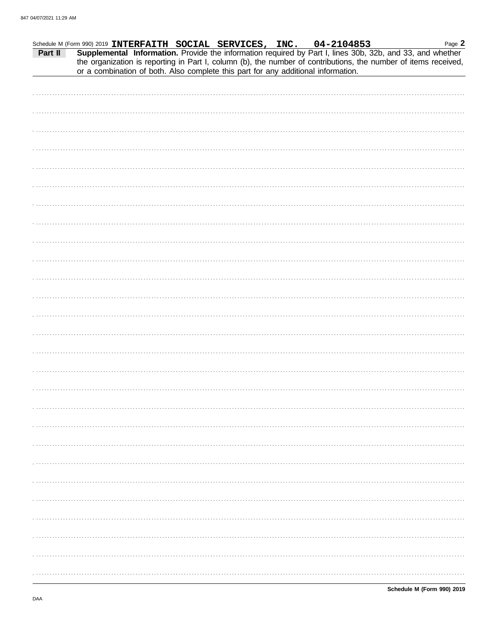| Schedule M (Form 990) 2019 INTERFAITH SOCIAL SERVICES, INC.<br>Supplemental Information. Provide the information required by Part I, lines 30b, 32b, and 33, and whether<br>Part II<br>the organization is reporting in Part I, column (b), the number of contributions, the number of items received,<br>or a combination of both. Also complete this part for any additional information. |  |  |  | 04-2104853 | Page 2 |
|---------------------------------------------------------------------------------------------------------------------------------------------------------------------------------------------------------------------------------------------------------------------------------------------------------------------------------------------------------------------------------------------|--|--|--|------------|--------|
|                                                                                                                                                                                                                                                                                                                                                                                             |  |  |  |            |        |
|                                                                                                                                                                                                                                                                                                                                                                                             |  |  |  |            |        |
|                                                                                                                                                                                                                                                                                                                                                                                             |  |  |  |            |        |
|                                                                                                                                                                                                                                                                                                                                                                                             |  |  |  |            |        |
|                                                                                                                                                                                                                                                                                                                                                                                             |  |  |  |            |        |
|                                                                                                                                                                                                                                                                                                                                                                                             |  |  |  |            |        |
|                                                                                                                                                                                                                                                                                                                                                                                             |  |  |  |            |        |
|                                                                                                                                                                                                                                                                                                                                                                                             |  |  |  |            |        |
|                                                                                                                                                                                                                                                                                                                                                                                             |  |  |  |            |        |
|                                                                                                                                                                                                                                                                                                                                                                                             |  |  |  |            |        |
|                                                                                                                                                                                                                                                                                                                                                                                             |  |  |  |            |        |
|                                                                                                                                                                                                                                                                                                                                                                                             |  |  |  |            |        |
|                                                                                                                                                                                                                                                                                                                                                                                             |  |  |  |            |        |
|                                                                                                                                                                                                                                                                                                                                                                                             |  |  |  |            |        |
|                                                                                                                                                                                                                                                                                                                                                                                             |  |  |  |            |        |
|                                                                                                                                                                                                                                                                                                                                                                                             |  |  |  |            |        |
|                                                                                                                                                                                                                                                                                                                                                                                             |  |  |  |            |        |
|                                                                                                                                                                                                                                                                                                                                                                                             |  |  |  |            |        |
|                                                                                                                                                                                                                                                                                                                                                                                             |  |  |  |            |        |
|                                                                                                                                                                                                                                                                                                                                                                                             |  |  |  |            |        |
|                                                                                                                                                                                                                                                                                                                                                                                             |  |  |  |            |        |
|                                                                                                                                                                                                                                                                                                                                                                                             |  |  |  |            |        |
|                                                                                                                                                                                                                                                                                                                                                                                             |  |  |  |            |        |
|                                                                                                                                                                                                                                                                                                                                                                                             |  |  |  |            |        |
|                                                                                                                                                                                                                                                                                                                                                                                             |  |  |  |            |        |
|                                                                                                                                                                                                                                                                                                                                                                                             |  |  |  |            |        |
|                                                                                                                                                                                                                                                                                                                                                                                             |  |  |  |            |        |
|                                                                                                                                                                                                                                                                                                                                                                                             |  |  |  |            |        |
|                                                                                                                                                                                                                                                                                                                                                                                             |  |  |  |            |        |
|                                                                                                                                                                                                                                                                                                                                                                                             |  |  |  |            |        |
|                                                                                                                                                                                                                                                                                                                                                                                             |  |  |  |            |        |
|                                                                                                                                                                                                                                                                                                                                                                                             |  |  |  |            |        |
|                                                                                                                                                                                                                                                                                                                                                                                             |  |  |  |            |        |
|                                                                                                                                                                                                                                                                                                                                                                                             |  |  |  |            |        |
|                                                                                                                                                                                                                                                                                                                                                                                             |  |  |  |            |        |
|                                                                                                                                                                                                                                                                                                                                                                                             |  |  |  |            |        |
|                                                                                                                                                                                                                                                                                                                                                                                             |  |  |  |            |        |
|                                                                                                                                                                                                                                                                                                                                                                                             |  |  |  |            |        |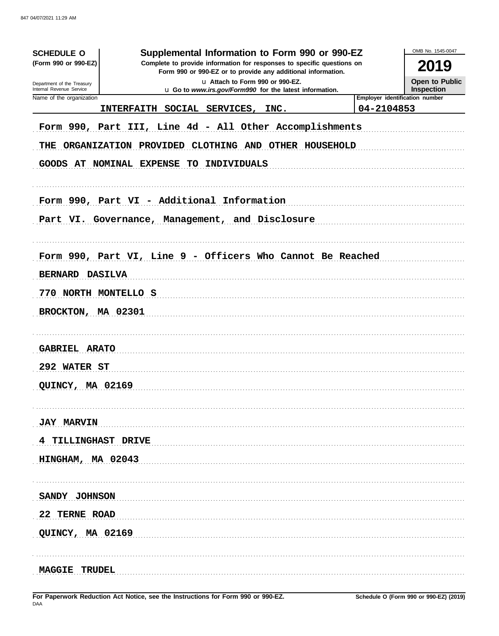| <b>SCHEDULE O</b><br>(Form 990 or 990-EZ)<br>Department of the Treasury<br>Internal Revenue Service | Supplemental Information to Form 990 or 990-EZ<br>Complete to provide information for responses to specific questions on<br>Form 990 or 990-EZ or to provide any additional information.<br>u Attach to Form 990 or 990-EZ.<br>u Go to www.irs.gov/Form990 for the latest information. |            |                                |  |  |
|-----------------------------------------------------------------------------------------------------|----------------------------------------------------------------------------------------------------------------------------------------------------------------------------------------------------------------------------------------------------------------------------------------|------------|--------------------------------|--|--|
| Name of the organization                                                                            | INTERFAITH SOCIAL SERVICES, INC.                                                                                                                                                                                                                                                       | 04-2104853 | Employer identification number |  |  |
|                                                                                                     | Form 990, Part III, Line 4d - All Other Accomplishments<br>THE ORGANIZATION PROVIDED CLOTHING AND OTHER HOUSEHOLD<br>GOODS AT NOMINAL EXPENSE TO INDIVIDUALS                                                                                                                           |            |                                |  |  |
|                                                                                                     | Form 990, Part VI - Additional Information                                                                                                                                                                                                                                             |            |                                |  |  |
|                                                                                                     | Part VI. Governance, Management, and Disclosure                                                                                                                                                                                                                                        |            |                                |  |  |
|                                                                                                     |                                                                                                                                                                                                                                                                                        |            |                                |  |  |
|                                                                                                     | Form 990, Part VI, Line 9 - Officers Who Cannot Be Reached                                                                                                                                                                                                                             |            |                                |  |  |
| BERNARD DASILVA                                                                                     |                                                                                                                                                                                                                                                                                        |            |                                |  |  |
| 770 NORTH MONTELLO S                                                                                |                                                                                                                                                                                                                                                                                        |            |                                |  |  |
| BROCKTON, MA 02301                                                                                  |                                                                                                                                                                                                                                                                                        |            |                                |  |  |
|                                                                                                     |                                                                                                                                                                                                                                                                                        |            |                                |  |  |
| <b>GABRIEL ARATO</b>                                                                                |                                                                                                                                                                                                                                                                                        |            |                                |  |  |
| 292 WATER ST                                                                                        |                                                                                                                                                                                                                                                                                        |            |                                |  |  |
| QUINCY, MA 02169                                                                                    |                                                                                                                                                                                                                                                                                        |            |                                |  |  |
|                                                                                                     |                                                                                                                                                                                                                                                                                        |            |                                |  |  |
|                                                                                                     |                                                                                                                                                                                                                                                                                        |            |                                |  |  |
| <b>JAY MARVIN</b>                                                                                   |                                                                                                                                                                                                                                                                                        |            |                                |  |  |
| 4 TILLINGHAST DRIVE                                                                                 |                                                                                                                                                                                                                                                                                        |            |                                |  |  |
| HINGHAM, MA 02043                                                                                   |                                                                                                                                                                                                                                                                                        |            |                                |  |  |
|                                                                                                     |                                                                                                                                                                                                                                                                                        |            |                                |  |  |
| SANDY JOHNSON                                                                                       |                                                                                                                                                                                                                                                                                        |            |                                |  |  |
| 22 TERNE ROAD                                                                                       |                                                                                                                                                                                                                                                                                        |            |                                |  |  |
|                                                                                                     |                                                                                                                                                                                                                                                                                        |            |                                |  |  |
| QUINCY, MA 02169                                                                                    |                                                                                                                                                                                                                                                                                        |            |                                |  |  |
|                                                                                                     |                                                                                                                                                                                                                                                                                        |            |                                |  |  |
| <b>MAGGIE</b><br><b>TRUDEL</b>                                                                      |                                                                                                                                                                                                                                                                                        |            |                                |  |  |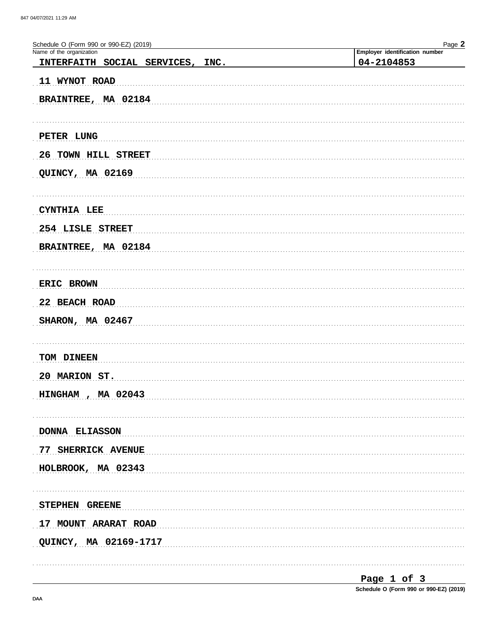| Schedule O (Form 990 or 990-EZ) (2019) | Page 2                         |
|----------------------------------------|--------------------------------|
| Name of the organization               | Employer identification number |
| INTERFAITH SOCIAL SERVICES,<br>INC.    | 04-2104853                     |
| 11 WYNOT ROAD                          |                                |
| BRAINTREE, MA 02184                    |                                |
|                                        |                                |
|                                        |                                |
| PETER LUNG                             |                                |
| 26 TOWN HILL STREET                    |                                |
| QUINCY, MA 02169                       |                                |
|                                        |                                |
|                                        |                                |
| CYNTHIA LEE                            |                                |
| 254 LISLE STREET                       |                                |
| BRAINTREE, MA 02184                    |                                |
|                                        |                                |
|                                        |                                |
| ERIC BROWN                             |                                |
| 22 BEACH ROAD                          |                                |
| SHARON, MA 02467                       |                                |
|                                        |                                |
|                                        |                                |
| TOM DINEEN                             |                                |
| 20 MARION ST.                          |                                |
| HINGHAM, MA 02043                      |                                |
|                                        |                                |
| <b>DONNA ELIASSON</b>                  |                                |
|                                        |                                |
| 77 SHERRICK AVENUE                     |                                |
| HOLBROOK, MA 02343                     |                                |
|                                        |                                |
| <b>STEPHEN GREENE</b>                  |                                |
|                                        |                                |
| 17 MOUNT ARARAT ROAD                   |                                |
| QUINCY, MA 02169-1717                  |                                |
|                                        |                                |
|                                        |                                |

Page 1 of 3 Schedule O (Form 990 or 990-EZ) (2019)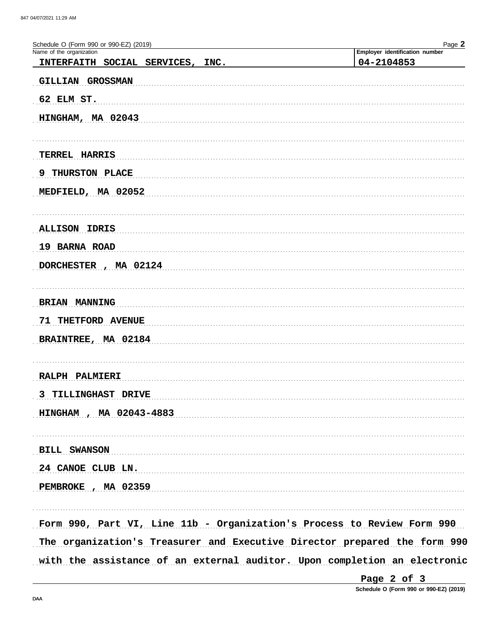| Schedule O (Form 990 or 990-EZ) (2019)                                    | Page 2                                       |
|---------------------------------------------------------------------------|----------------------------------------------|
| Name of the organization<br>INTERFAITH SOCIAL SERVICES,<br>INC.           | Employer identification number<br>04-2104853 |
|                                                                           |                                              |
| GILLIAN GROSSMAN                                                          |                                              |
| 62 ELM ST.                                                                |                                              |
| HINGHAM, MA 02043                                                         |                                              |
|                                                                           |                                              |
| TERREL HARRIS                                                             |                                              |
| 9 THURSTON PLACE                                                          |                                              |
| MEDFIELD, MA 02052                                                        |                                              |
|                                                                           |                                              |
| <b>ALLISON IDRIS</b>                                                      |                                              |
| 19 BARNA ROAD                                                             |                                              |
| , MA 02124<br><b>DORCHESTER</b>                                           |                                              |
|                                                                           |                                              |
| BRIAN MANNING                                                             |                                              |
| 71 THETFORD AVENUE                                                        |                                              |
| BRAINTREE, MA 02184                                                       |                                              |
|                                                                           |                                              |
| <b>RALPH PALMIERI</b>                                                     |                                              |
| 3 TILLINGHAST DRIVE                                                       |                                              |
|                                                                           |                                              |
| HINGHAM, MA 02043-4883                                                    |                                              |
|                                                                           |                                              |
| <b>BILL SWANSON</b>                                                       |                                              |
| 24 CANOE CLUB LN.                                                         |                                              |
| PEMBROKE, MA 02359                                                        |                                              |
|                                                                           |                                              |
| Form 990, Part VI, Line 11b - Organization's Process to Review Form 990   |                                              |
| The organization's Treasurer and Executive Director prepared the form 990 |                                              |

with the assistance of an external auditor. Upon completion an electronic

Page 2 of 3 Schedule O (Form 990 or 990-EZ) (2019)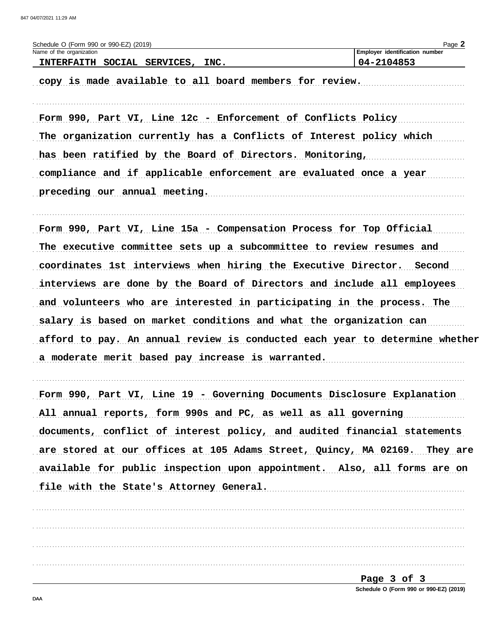| Schedule O (Form 990 or 990-EZ) (2019)<br>Name of the organization          | Page 2<br><b>Emplover identification number</b> |
|-----------------------------------------------------------------------------|-------------------------------------------------|
| INTERFAITH SOCIAL SERVICES, INC.                                            | 04-2104853                                      |
| copy is made available to all board members for review.                     |                                                 |
| Form 990, Part VI, Line 12c - Enforcement of Conflicts Policy               |                                                 |
| The organization currently has a Conflicts of Interest policy which         |                                                 |
| has been ratified by the Board of Directors. Monitoring,                    |                                                 |
| compliance and if applicable enforcement are evaluated once a year          |                                                 |
| preceding our annual meeting.                                               |                                                 |
| Form 990, Part VI, Line 15a - Compensation Process for Top Official         |                                                 |
| The executive committee sets up a subcommittee to review resumes and        |                                                 |
| coordinates 1st interviews when hiring the Executive Director. Second       |                                                 |
| interviews are done by the Board of Directors and include all employees     |                                                 |
| and volunteers who are interested in participating in the process. The      |                                                 |
| salary is based on market conditions and what the organization can          |                                                 |
| afford to pay. An annual review is conducted each year to determine whether |                                                 |
| a moderate merit based pay increase is warranted.                           |                                                 |
| Form 990, Part VI, Line 19 - Governing Documents Disclosure Explanation     |                                                 |
| All annual reports, form 990s and PC, as well as all governing              |                                                 |
| documents, conflict of interest policy, and audited financial statements    |                                                 |
| are stored at our offices at 105 Adams Street, Quincy, MA 02169. They are   |                                                 |
| available for public inspection upon appointment. Also, all forms are on    |                                                 |
| file with the State's Attorney General.                                     |                                                 |
|                                                                             |                                                 |
|                                                                             |                                                 |
|                                                                             |                                                 |
|                                                                             |                                                 |
|                                                                             |                                                 |

Page 3 of 3 Schedule O (Form 990 or 990-EZ) (2019)